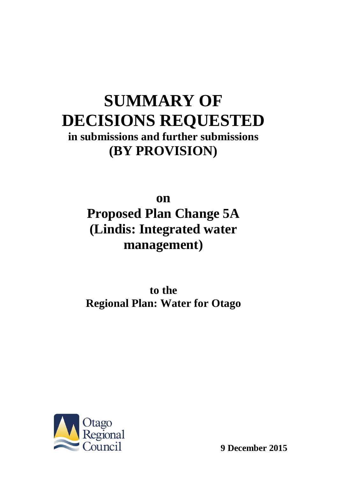# **SUMMARY OF DECISIONS REQUESTED in submissions and further submissions (BY PROVISION)**

**on Proposed Plan Change 5A (Lindis: Integrated water management)**

**to the Regional Plan: Water for Otago**



**9 December 2015**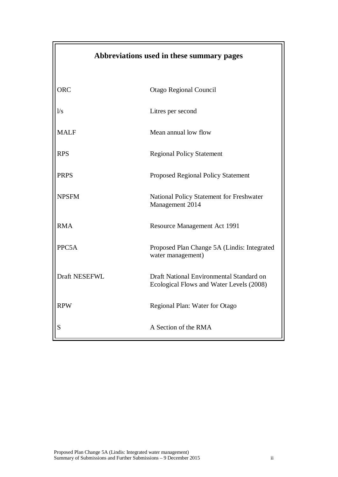| Abbreviations used in these summary pages |                                                                                      |
|-------------------------------------------|--------------------------------------------------------------------------------------|
| <b>ORC</b>                                | Otago Regional Council                                                               |
| 1/s                                       | Litres per second                                                                    |
| <b>MALF</b>                               | Mean annual low flow                                                                 |
| <b>RPS</b>                                | <b>Regional Policy Statement</b>                                                     |
| <b>PRPS</b>                               | <b>Proposed Regional Policy Statement</b>                                            |
| <b>NPSFM</b>                              | National Policy Statement for Freshwater<br>Management 2014                          |
| <b>RMA</b>                                | Resource Management Act 1991                                                         |
| PPC5A                                     | Proposed Plan Change 5A (Lindis: Integrated<br>water management)                     |
| Draft NESEFWL                             | Draft National Environmental Standard on<br>Ecological Flows and Water Levels (2008) |
| <b>RPW</b>                                | Regional Plan: Water for Otago                                                       |
| S                                         | A Section of the RMA                                                                 |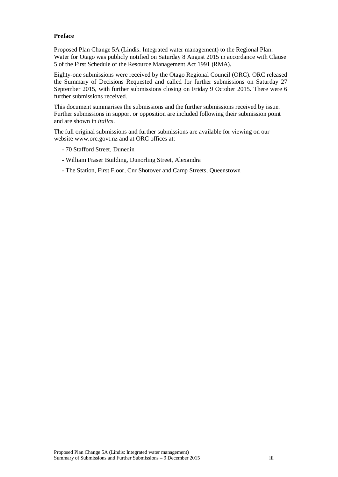#### **Preface**

Proposed Plan Change 5A (Lindis: Integrated water management) to the Regional Plan: Water for Otago was publicly notified on Saturday 8 August 2015 in accordance with Clause 5 of the First Schedule of the Resource Management Act 1991 (RMA).

Eighty-one submissions were received by the Otago Regional Council (ORC). ORC released the Summary of Decisions Requested and called for further submissions on Saturday 27 September 2015, with further submissions closing on Friday 9 October 2015. There were 6 further submissions received.

This document summarises the submissions and the further submissions received by issue. Further submissions in support or opposition are included following their submission point and are shown in *italics*.

The full original submissions and further submissions are available for viewing on our website www.orc.govt.nz and at ORC offices at:

- 70 Stafford Street, Dunedin
- William Fraser Building, Dunorling Street, Alexandra
- The Station, First Floor, Cnr Shotover and Camp Streets, Queenstown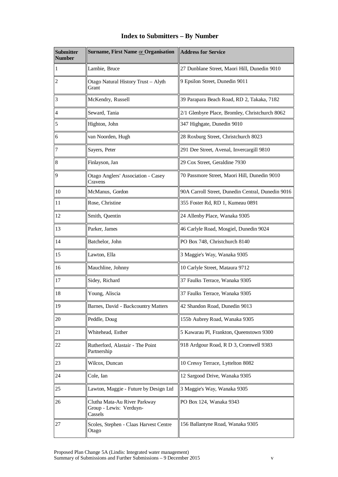| <b>Submitter</b><br><b>Number</b> | <b>Surname, First Name or Organisation</b>                         | <b>Address for Service</b>                        |
|-----------------------------------|--------------------------------------------------------------------|---------------------------------------------------|
| 1                                 | Lambie, Bruce                                                      | 27 Dunblane Street, Maori Hill, Dunedin 9010      |
| $\overline{c}$                    | Otago Natural History Trust - Alyth<br>Grant                       | 9 Epsilon Street, Dunedin 9011                    |
| 3                                 | McKendry, Russell                                                  | 39 Parapara Beach Road, RD 2, Takaka, 7182        |
| $\overline{4}$                    | Seward, Tania                                                      | 2/1 Glenbyre Place, Bromley, Christchurch 8062    |
| 5                                 | Highton, John                                                      | 347 Highgate, Dunedin 9010                        |
| 6                                 | van Noorden, Hugh                                                  | 28 Roxburg Street, Christchurch 8023              |
| 7                                 | Sayers, Peter                                                      | 291 Dee Street, Avenal, Invercargill 9810         |
| 8                                 | Finlayson, Jan                                                     | 29 Cox Street, Geraldine 7930                     |
| 9                                 | <b>Otago Anglers' Association - Casey</b><br>Cravens               | 70 Passmore Street, Maori Hill, Dunedin 9010      |
| 10                                | McManus, Gordon                                                    | 90A Carroll Street, Dunedin Central, Dunedin 9016 |
| 11                                | Rose, Christine                                                    | 355 Foster Rd, RD 1, Kumeau 0891                  |
| 12                                | Smith, Quentin                                                     | 24 Allenby Place, Wanaka 9305                     |
| 13                                | Parker, James                                                      | 46 Carlyle Road, Mosgiel, Dunedin 9024            |
| 14                                | Batchelor, John                                                    | PO Box 748, Christchurch 8140                     |
| 15                                | Lawton, Ella                                                       | 3 Maggie's Way, Wanaka 9305                       |
| 16                                | Mauchline, Johnny                                                  | 10 Carlyle Street, Mataura 9712                   |
| 17                                | Sidey, Richard                                                     | 37 Faulks Terrace, Wanaka 9305                    |
| 18                                | Young, Aliscia                                                     | 37 Faulks Terrace, Wanaka 9305                    |
| 19                                | Barnes, David - Backcountry Matters                                | 42 Shandon Road, Dunedin 9013                     |
| 20                                | Peddle, Doug                                                       | 155b Aubrey Road, Wanaka 9305                     |
| 21                                | Whitehead, Esther                                                  | 5 Kawarau Pl, Frankton, Queenstown 9300           |
| 22                                | Rutherford, Alastair - The Point<br>Partnership                    | 918 Ardgour Road, R D 3, Cromwell 9383            |
| 23                                | Wilcox, Duncan                                                     | 10 Cressy Terrace, Lyttelton 8082                 |
| 24                                | Cole, Ian                                                          | 12 Sargood Drive, Wanaka 9305                     |
| 25                                | Lawton, Maggie - Future by Design Ltd                              | 3 Maggie's Way, Wanaka 9305                       |
| 26                                | Clutha Mata-Au River Parkway<br>Group - Lewis: Verduyn-<br>Cassels | PO Box 124, Wanaka 9343                           |
| 27                                | Scoles, Stephen - Claas Harvest Centre<br>Otago                    | 156 Ballantyne Road, Wanaka 9305                  |

# **Index to Submitters – By Number**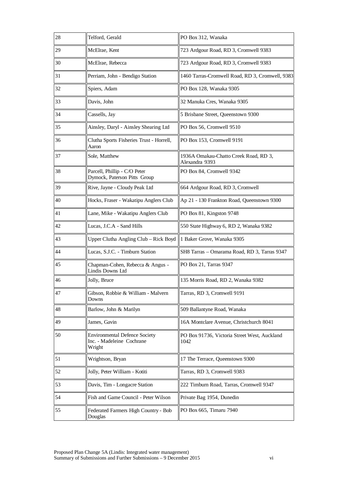| 28 | Telford, Gerald                                                             | PO Box 312, Wanaka                                      |
|----|-----------------------------------------------------------------------------|---------------------------------------------------------|
| 29 | McElrae, Kent                                                               | 723 Ardgour Road, RD 3, Cromwell 9383                   |
| 30 | McElrae, Rebecca                                                            | 723 Ardgour Road, RD 3, Cromwell 9383                   |
| 31 | Perriam, John - Bendigo Station                                             | 1460 Tarras-Cromwell Road, RD 3, Cromwell, 9383         |
| 32 | Spiers, Adam                                                                | PO Box 128, Wanaka 9305                                 |
| 33 | Davis, John                                                                 | 32 Manuka Cres, Wanaka 9305                             |
| 34 | Cassells, Jay                                                               | 5 Brisbane Street, Queenstown 9300                      |
| 35 | Ainsley, Daryl - Ainsley Shearing Ltd                                       | PO Box 56, Cromwell 9510                                |
| 36 | Clutha Sports Fisheries Trust - Horrell,<br>Aaron                           | PO Box 153, Cromwell 9191                               |
| 37 | Sole, Matthew                                                               | 1936A Omakau-Chatto Creek Road, RD 3,<br>Alexandra 9393 |
| 38 | Parcell, Phillip - C/O Peter<br>Dymock, Paterson Pitts Group                | PO Box 84, Cromwell 9342                                |
| 39 | Rive, Jayne - Cloudy Peak Ltd                                               | 664 Ardgour Road, RD 3, Cromwell                        |
| 40 | Hocks, Fraser - Wakatipu Anglers Club                                       | Ap 21 - 130 Frankton Road, Queenstown 9300              |
| 41 | Lane, Mike - Wakatipu Anglers Club                                          | PO Box 81, Kingston 9748                                |
| 42 | Lucas, J.C.A - Sand Hills                                                   | 550 State Highway 6, RD 2, Wanaka 9382                  |
| 43 | Upper Clutha Angling Club – Rick Boyd    1 Baker Grove, Wanaka 9305         |                                                         |
| 44 | Lucas, S.J.C. - Timburn Station                                             | SH8 Tarras - Omarama Road, RD 3, Tarras 9347            |
| 45 | Chapman-Cohen, Rebecca & Angus -<br>Lindis Downs Ltd                        | PO Box 21, Tarras 9347                                  |
| 46 | Jolly, Bruce                                                                | 135 Morris Road, RD 2, Wanaka 9382                      |
| 47 | Gibson, Robbie & William - Malvern<br>Downs                                 | Tarras, RD 3, Cromwell 9191                             |
| 48 | Barlow, John & Marilyn                                                      | 509 Ballantyne Road, Wanaka                             |
| 49 | James, Gavin                                                                | 16A Montclare Avenue, Christchurch 8041                 |
| 50 | <b>Environmental Defence Society</b><br>Inc. - Madeleine Cochrane<br>Wright | PO Box 91736, Victoria Street West, Auckland<br>1042    |
| 51 | Wrightson, Bryan                                                            | 17 The Terrace, Queenstown 9300                         |
| 52 | Jolly, Peter William - Kotiti                                               | Tarras, RD 3, Cromwell 9383                             |
| 53 | Davis, Tim - Longacre Station                                               | 222 Timburn Road, Tarras, Cromwell 9347                 |
| 54 | Fish and Game Council - Peter Wilson                                        | Private Bag 1954, Dunedin                               |
| 55 | Federated Farmers High Country - Bob<br>Douglas                             | PO Box 665, Timaru 7940                                 |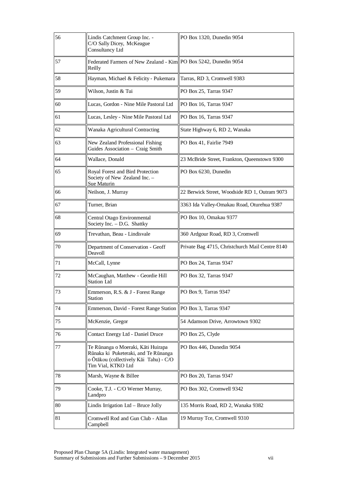| 56 | Lindis Catchment Group Inc. -<br>C/O Sally Dicey, McKeague<br><b>Consultancy Ltd</b>                                                       | PO Box 1320, Dunedin 9054                       |
|----|--------------------------------------------------------------------------------------------------------------------------------------------|-------------------------------------------------|
| 57 | Federated Farmers of New Zealand - Kim PO Box 5242, Dunedin 9054<br>Reilly                                                                 |                                                 |
| 58 | Hayman, Michael & Felicity - Pukemara                                                                                                      | Tarras, RD 3, Cromwell 9383                     |
| 59 | Wilson, Justin & Tui                                                                                                                       | PO Box 25, Tarras 9347                          |
| 60 | Lucas, Gordon - Nine Mile Pastoral Ltd                                                                                                     | PO Box 16, Tarras 9347                          |
| 61 | Lucas, Lesley - Nine Mile Pastoral Ltd                                                                                                     | PO Box 16, Tarras 9347                          |
| 62 | Wanaka Agricultural Contracting                                                                                                            | State Highway 6, RD 2, Wanaka                   |
| 63 | New Zealand Professional Fishing<br>Guides Association - Craig Smith                                                                       | PO Box 41, Fairlie 7949                         |
| 64 | Wallace, Donald                                                                                                                            | 23 McBride Street, Frankton, Queenstown 9300    |
| 65 | Royal Forest and Bird Protection<br>Society of New Zealand Inc. -<br>Sue Maturin                                                           | PO Box 6230, Dunedin                            |
| 66 | Neilson, J. Murray                                                                                                                         | 22 Berwick Street, Woodside RD 1, Outram 9073   |
| 67 | Turner, Brian                                                                                                                              | 3363 Ida Valley-Omakau Road, Oturehua 9387      |
| 68 | Central Otago Environmental<br>Society Inc. - D.G. Shattky                                                                                 | PO Box 10, Omakau 9377                          |
| 69 | Trevathan, Beau - Lindisvale                                                                                                               | 360 Ardgour Road, RD 3, Cromwell                |
| 70 | Department of Conservation - Geoff<br>Deavoll                                                                                              | Private Bag 4715, Christchurch Mail Centre 8140 |
| 71 | McCall, Lynne                                                                                                                              | PO Box 24, Tarras 9347                          |
| 72 | McCaughan, Matthew - Geordie Hill<br><b>Station Ltd</b>                                                                                    | PO Box 32, Tarras 9347                          |
| 73 | Emmerson, R.S. & J - Forest Range<br><b>Station</b>                                                                                        | PO Box 9, Tarras 9347                           |
| 74 | Emmerson, David - Forest Range Station                                                                                                     | PO Box 3, Tarras 9347                           |
| 75 | McKenzie, Gregor                                                                                                                           | 54 Adamson Drive, Arrowtown 9302                |
| 76 | Contact Energy Ltd - Daniel Druce                                                                                                          | PO Box 25, Clyde                                |
| 77 | Te Rūnanga o Moeraki, Kāti Huirapa<br>Rūnaka ki Puketeraki, and Te Rūnanga<br>o Ōtākou (collectively Kāi Tahu) - C/O<br>Tim Vial, KTKO Ltd | PO Box 446, Dunedin 9054                        |
| 78 | Marsh, Wayne & Billee                                                                                                                      | PO Box 20, Tarras 9347                          |
| 79 | Cooke, T.J. - C/O Werner Murray,<br>Landpro                                                                                                | PO Box 302, Cromwell 9342                       |
| 80 | Lindis Irrigation Ltd - Bruce Jolly                                                                                                        | 135 Morris Road, RD 2, Wanaka 9382              |
| 81 | Cromwell Rod and Gun Club - Allan<br>Campbell                                                                                              | 19 Murray Tce, Cromwell 9310                    |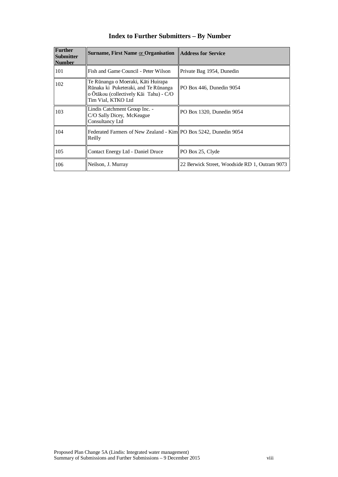| <b>Further</b><br><b>Submitter</b><br><b>Number</b> | Surname, First Name or Organisation    Address for Service                                                                                 |                                               |
|-----------------------------------------------------|--------------------------------------------------------------------------------------------------------------------------------------------|-----------------------------------------------|
| 101                                                 | Fish and Game Council - Peter Wilson                                                                                                       | Private Bag 1954, Dunedin                     |
| 102                                                 | Te Rūnanga o Moeraki, Kāti Huirapa<br>Rūnaka ki Puketeraki, and Te Rūnanga<br>o Ōtākou (collectively Kāi Tahu) - C/O<br>Tim Vial, KTKO Ltd | PO Box 446, Dunedin 9054                      |
| 103                                                 | Lindis Catchment Group Inc. -<br>C/O Sally Dicey, McKeague<br>Consultancy Ltd                                                              | PO Box 1320, Dunedin 9054                     |
| 104                                                 | Federated Farmers of New Zealand - Kim   PO Box 5242, Dunedin 9054<br>Reilly                                                               |                                               |
| 105                                                 | Contact Energy Ltd - Daniel Druce                                                                                                          | PO Box 25, Clyde                              |
| 106                                                 | Neilson, J. Murray                                                                                                                         | 22 Berwick Street, Woodside RD 1, Outram 9073 |

# **Index to Further Submitters – By Number**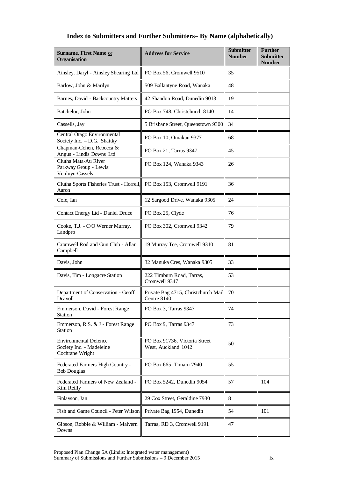# **Index to Submitters and Further Submitters– By Name (alphabetically)**

| Surname, First Name or<br>Organisation                                      | <b>Address for Service</b>                           | <b>Submitter</b><br><b>Number</b> | <b>Further</b><br><b>Submitter</b><br><b>Number</b> |
|-----------------------------------------------------------------------------|------------------------------------------------------|-----------------------------------|-----------------------------------------------------|
| Ainsley, Daryl - Ainsley Shearing Ltd                                       | PO Box 56, Cromwell 9510                             | 35                                |                                                     |
| Barlow, John & Marilyn                                                      | 509 Ballantyne Road, Wanaka                          | 48                                |                                                     |
| Barnes, David - Backcountry Matters                                         | 42 Shandon Road, Dunedin 9013                        | 19                                |                                                     |
| Batchelor, John                                                             | PO Box 748, Christchurch 8140                        | 14                                |                                                     |
| Cassells, Jay                                                               | 5 Brisbane Street, Queenstown 9300                   | 34                                |                                                     |
| Central Otago Environmental<br>Society Inc. - D.G. Shattky                  | PO Box 10, Omakau 9377                               | 68                                |                                                     |
| Chapman-Cohen, Rebecca &<br>Angus - Lindis Downs Ltd                        | PO Box 21, Tarras 9347                               | 45                                |                                                     |
| Clutha Mata-Au River<br>Parkway Group - Lewis:<br>Verduyn-Cassels           | PO Box 124, Wanaka 9343                              | 26                                |                                                     |
| Clutha Sports Fisheries Trust - Horrell,<br>Aaron                           | PO Box 153, Cromwell 9191                            | 36                                |                                                     |
| Cole, Ian                                                                   | 12 Sargood Drive, Wanaka 9305                        | 24                                |                                                     |
| Contact Energy Ltd - Daniel Druce                                           | PO Box 25, Clyde                                     | 76                                |                                                     |
| Cooke, T.J. - C/O Werner Murray,<br>Landpro                                 | PO Box 302, Cromwell 9342                            | 79                                |                                                     |
| Cromwell Rod and Gun Club - Allan<br>Campbell                               | 19 Murray Tce, Cromwell 9310                         | 81                                |                                                     |
| Davis, John                                                                 | 32 Manuka Cres, Wanaka 9305                          | 33                                |                                                     |
| Davis, Tim - Longacre Station                                               | 222 Timburn Road, Tarras,<br>Cromwell 9347           | 53                                |                                                     |
| Department of Conservation - Geoff<br>Deavoll                               | Private Bag 4715, Christchurch Mail<br>Centre 8140   | 70                                |                                                     |
| Emmerson, David - Forest Range<br>Station                                   | PO Box 3, Tarras 9347                                | 74                                |                                                     |
| Emmerson, R.S. & J - Forest Range<br><b>Station</b>                         | PO Box 9, Tarras 9347                                | 73                                |                                                     |
| <b>Environmental Defence</b><br>Society Inc. - Madeleine<br>Cochrane Wright | PO Box 91736, Victoria Street<br>West, Auckland 1042 | 50                                |                                                     |
| Federated Farmers High Country -<br><b>Bob Douglas</b>                      | PO Box 665, Timaru 7940                              | 55                                |                                                     |
| Federated Farmers of New Zealand -<br>Kim Reilly                            | PO Box 5242, Dunedin 9054                            | 57                                | 104                                                 |
| Finlayson, Jan                                                              | 29 Cox Street, Geraldine 7930                        | 8                                 |                                                     |
| Fish and Game Council - Peter Wilson                                        | Private Bag 1954, Dunedin                            | 54                                | 101                                                 |
| Gibson, Robbie & William - Malvern<br>Downs                                 | Tarras, RD 3, Cromwell 9191                          | 47                                |                                                     |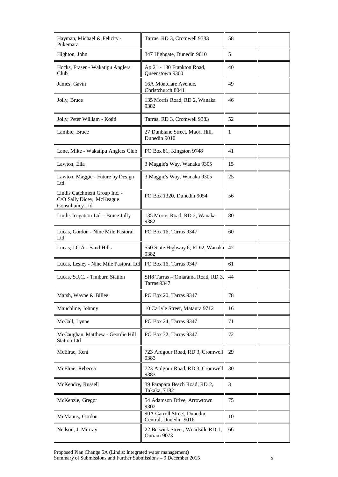| Hayman, Michael & Felicity -<br>Pukemara                                      | Tarras, RD 3, Cromwell 9383                          | 58 |  |
|-------------------------------------------------------------------------------|------------------------------------------------------|----|--|
| Highton, John                                                                 | 347 Highgate, Dunedin 9010                           | 5  |  |
| Hocks, Fraser - Wakatipu Anglers<br>Club                                      | Ap 21 - 130 Frankton Road,<br>Queenstown 9300        | 40 |  |
| James, Gavin                                                                  | 16A Montclare Avenue,<br>Christchurch 8041           | 49 |  |
| Jolly, Bruce                                                                  | 135 Morris Road, RD 2, Wanaka<br>9382                | 46 |  |
| Jolly, Peter William - Kotiti                                                 | Tarras, RD 3, Cromwell 9383                          | 52 |  |
| Lambie, Bruce                                                                 | 27 Dunblane Street, Maori Hill,<br>Dunedin 9010      | 1  |  |
| Lane, Mike - Wakatipu Anglers Club                                            | PO Box 81, Kingston 9748                             | 41 |  |
| Lawton, Ella                                                                  | 3 Maggie's Way, Wanaka 9305                          | 15 |  |
| Lawton, Maggie - Future by Design<br>Ltd                                      | 3 Maggie's Way, Wanaka 9305                          | 25 |  |
| Lindis Catchment Group Inc. -<br>C/O Sally Dicey, McKeague<br>Consultancy Ltd | PO Box 1320, Dunedin 9054                            | 56 |  |
| Lindis Irrigation Ltd - Bruce Jolly                                           | 135 Morris Road, RD 2, Wanaka<br>9382                | 80 |  |
| Lucas, Gordon - Nine Mile Pastoral<br>Ltd                                     | PO Box 16, Tarras 9347                               | 60 |  |
| Lucas, J.C.A - Sand Hills                                                     | 550 State Highway 6, RD 2, Wanaka<br>9382            | 42 |  |
| Lucas, Lesley - Nine Mile Pastoral Ltd  PO Box 16, Tarras 9347                |                                                      | 61 |  |
| Lucas, S.J.C. - Timburn Station                                               | SH8 Tarras - Omarama Road, RD 3,<br>Tarras 9347      | 44 |  |
| Marsh, Wayne & Billee                                                         | PO Box 20, Tarras 9347                               | 78 |  |
| Mauchline, Johnny                                                             | 10 Carlyle Street, Mataura 9712                      | 16 |  |
| McCall, Lynne                                                                 | PO Box 24, Tarras 9347                               | 71 |  |
| McCaughan, Matthew - Geordie Hill<br>Station Ltd                              | PO Box 32, Tarras 9347                               | 72 |  |
| McElrae, Kent                                                                 | 723 Ardgour Road, RD 3, Cromwell<br>9383             | 29 |  |
| McElrae, Rebecca                                                              | 723 Ardgour Road, RD 3, Cromwell<br>9383             | 30 |  |
| McKendry, Russell                                                             | 39 Parapara Beach Road, RD 2,<br>Takaka, 7182        | 3  |  |
| McKenzie, Gregor                                                              | 54 Adamson Drive, Arrowtown<br>9302                  | 75 |  |
| McManus, Gordon                                                               | 90A Carroll Street, Dunedin<br>Central, Dunedin 9016 | 10 |  |
| Neilson, J. Murray                                                            | 22 Berwick Street, Woodside RD 1,<br>Outram 9073     | 66 |  |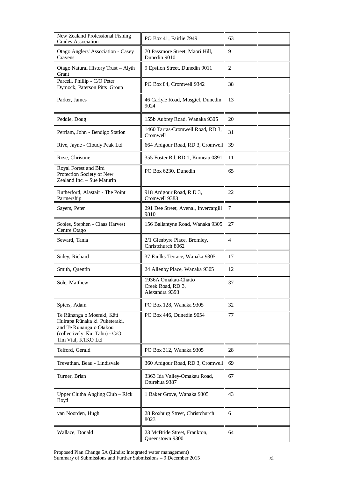| New Zealand Professional Fishing<br>Guides Association                                                                                        | PO Box 41, Fairlie 7949                                    | 63     |  |
|-----------------------------------------------------------------------------------------------------------------------------------------------|------------------------------------------------------------|--------|--|
| Otago Anglers' Association - Casey<br>Cravens                                                                                                 | 70 Passmore Street, Maori Hill,<br>Dunedin 9010            | 9      |  |
| Otago Natural History Trust - Alyth<br>Grant                                                                                                  | 9 Epsilon Street, Dunedin 9011                             | 2      |  |
| Parcell, Phillip - C/O Peter<br>Dymock, Paterson Pitts Group                                                                                  | PO Box 84, Cromwell 9342                                   | 38     |  |
| Parker, James                                                                                                                                 | 46 Carlyle Road, Mosgiel, Dunedin<br>9024                  | 13     |  |
| Peddle, Doug                                                                                                                                  | 155b Aubrey Road, Wanaka 9305                              | 20     |  |
| Perriam, John - Bendigo Station                                                                                                               | 1460 Tarras-Cromwell Road, RD 3,<br>Cromwell               | 31     |  |
| Rive, Jayne - Cloudy Peak Ltd                                                                                                                 | 664 Ardgour Road, RD 3, Cromwell                           | 39     |  |
| Rose, Christine                                                                                                                               | 355 Foster Rd, RD 1, Kumeau 0891                           | 11     |  |
| Royal Forest and Bird<br>Protection Society of New<br>Zealand Inc. - Sue Maturin                                                              | PO Box 6230, Dunedin                                       | 65     |  |
| Rutherford, Alastair - The Point<br>Partnership                                                                                               | 918 Ardgour Road, R D 3,<br>Cromwell 9383                  | 22     |  |
| Sayers, Peter                                                                                                                                 | 291 Dee Street, Avenal, Invercargill<br>9810               | $\tau$ |  |
| Scoles, Stephen - Claas Harvest<br>Centre Otago                                                                                               | 156 Ballantyne Road, Wanaka 9305                           | 27     |  |
| Seward, Tania                                                                                                                                 | 2/1 Glenbyre Place, Bromley,<br>Christchurch 8062          | 4      |  |
| Sidey, Richard                                                                                                                                | 37 Faulks Terrace, Wanaka 9305                             | 17     |  |
| Smith, Quentin                                                                                                                                | 24 Allenby Place, Wanaka 9305                              | 12     |  |
| Sole, Matthew                                                                                                                                 | 1936A Omakau-Chatto<br>Creek Road, RD 3,<br>Alexandra 9393 | 37     |  |
| Spiers, Adam                                                                                                                                  | PO Box 128, Wanaka 9305                                    | 32     |  |
| Te Rūnanga o Moeraki, Kāti<br>Huirapa Rūnaka ki Puketeraki,<br>and Te Rūnanga o Ōtākou<br>(collectively Kāi Tahu) - C/O<br>Tim Vial, KTKO Ltd | PO Box 446, Dunedin 9054                                   | 77     |  |
| Telford, Gerald                                                                                                                               | PO Box 312, Wanaka 9305                                    | 28     |  |
| Trevathan, Beau - Lindisvale                                                                                                                  | 360 Ardgour Road, RD 3, Cromwell                           | 69     |  |
| Turner, Brian                                                                                                                                 | 3363 Ida Valley-Omakau Road,<br>Oturehua 9387              | 67     |  |
| Upper Clutha Angling Club - Rick<br>Boyd                                                                                                      | 1 Baker Grove, Wanaka 9305                                 | 43     |  |
| van Noorden, Hugh                                                                                                                             | 28 Roxburg Street, Christchurch<br>8023                    | 6      |  |
| Wallace, Donald                                                                                                                               | 23 McBride Street, Frankton,<br>Queenstown 9300            | 64     |  |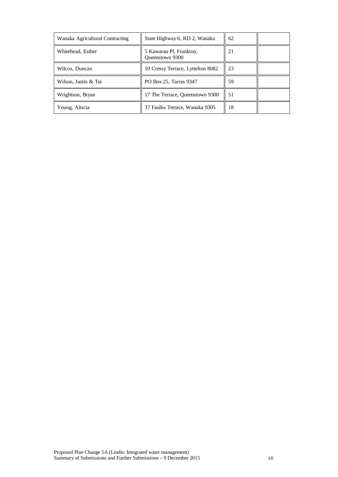| Wanaka Agricultural Contracting | State Highway 6, RD 2, Wanaka                     | 62 |  |
|---------------------------------|---------------------------------------------------|----|--|
| Whitehead, Esther               | 5 Kawarau Pl, Frankton,<br><b>Oueenstown 9300</b> | 21 |  |
| Wilcox, Duncan                  | 10 Cressy Terrace, Lyttelton 8082                 | 23 |  |
| Wilson, Justin & Tui            | PO Box 25, Tarras 9347                            | 59 |  |
| Wrightson, Bryan                | 17 The Terrace, Queenstown 9300                   | 51 |  |
| Young, Aliscia                  | 37 Faulks Terrace, Wanaka 9305                    | 18 |  |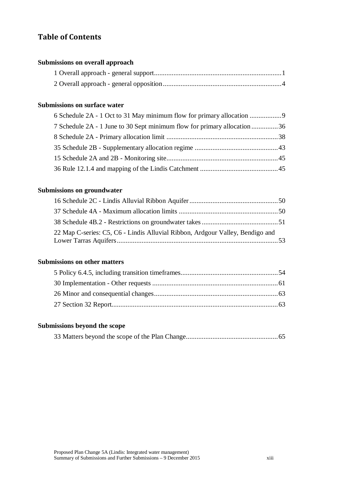# **Table of Contents**

#### **[Submissions on overall approach](#page-14-0)**

## **[Submissions on surface water](#page-22-0)**

| 6 Schedule 2A - 1 Oct to 31 May minimum flow for primary allocation      |  |
|--------------------------------------------------------------------------|--|
| 7 Schedule 2A - 1 June to 30 Sept minimum flow for primary allocation 36 |  |
|                                                                          |  |
|                                                                          |  |
|                                                                          |  |
|                                                                          |  |

## **[Submissions on groundwater](#page-63-0)**

| 22 Map C-series: C5, C6 - Lindis Alluvial Ribbon, Ardgour Valley, Bendigo and |  |
|-------------------------------------------------------------------------------|--|

## **[Submissions on other matters](#page-67-0)**

## **[Submissions beyond the scope](#page-78-0)**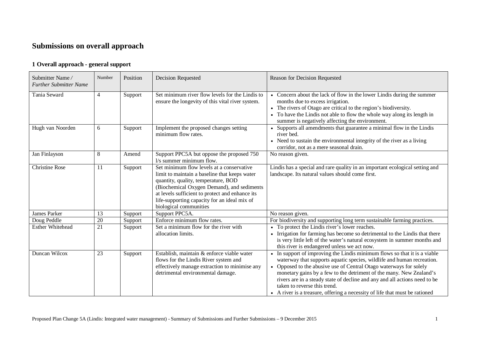# **Submissions on overall approach**

### **1 Overall approach - general support**

<span id="page-14-1"></span><span id="page-14-0"></span>

| Submitter Name/<br><b>Further Submitter Name</b> | Number          | Position | <b>Decision Requested</b>                                                                                                                                                                                                                                                                                    | Reason for Decision Requested                                                                                                                                                                                                                                                                                                                                                                                                                                                               |
|--------------------------------------------------|-----------------|----------|--------------------------------------------------------------------------------------------------------------------------------------------------------------------------------------------------------------------------------------------------------------------------------------------------------------|---------------------------------------------------------------------------------------------------------------------------------------------------------------------------------------------------------------------------------------------------------------------------------------------------------------------------------------------------------------------------------------------------------------------------------------------------------------------------------------------|
| Tania Seward                                     | $\overline{4}$  | Support  | Set minimum river flow levels for the Lindis to<br>ensure the longevity of this vital river system.                                                                                                                                                                                                          | • Concern about the lack of flow in the lower Lindis during the summer<br>months due to excess irrigation.<br>• The rivers of Otago are critical to the region's biodiversity.<br>• To have the Lindis not able to flow the whole way along its length in<br>summer is negatively affecting the environment.                                                                                                                                                                                |
| Hugh van Noorden                                 | 6               | Support  | Implement the proposed changes setting<br>minimum flow rates.                                                                                                                                                                                                                                                | • Supports all amendments that guarantee a minimal flow in the Lindis<br>river bed.<br>• Need to sustain the environmental integrity of the river as a living<br>corridor, not as a mere seasonal drain.                                                                                                                                                                                                                                                                                    |
| Jan Finlayson                                    | 8               | Amend    | Support PPC5A but oppose the proposed 750<br>1/s summer minimum flow.                                                                                                                                                                                                                                        | No reason given.                                                                                                                                                                                                                                                                                                                                                                                                                                                                            |
| <b>Christine Rose</b>                            | 11              | Support  | Set minimum flow levels at a conservative<br>limit to maintain a baseline that keeps water<br>quantity, quality, temperature, BOD<br>(Biochemical Oxygen Demand), and sediments<br>at levels sufficient to protect and enhance its<br>life-supporting capacity for an ideal mix of<br>biological communities | Lindis has a special and rare quality in an important ecological setting and<br>landscape. Its natural values should come first.                                                                                                                                                                                                                                                                                                                                                            |
| <b>James Parker</b>                              | 13              | Support  | Support PPC5A.                                                                                                                                                                                                                                                                                               | No reason given.                                                                                                                                                                                                                                                                                                                                                                                                                                                                            |
| Doug Peddle                                      | 20              | Support  | Enforce minimum flow rates.                                                                                                                                                                                                                                                                                  | For biodiversity and supporting long term sustainable farming practices.                                                                                                                                                                                                                                                                                                                                                                                                                    |
| <b>Esther Whitehead</b>                          | $\overline{21}$ | Support  | Set a minimum flow for the river with<br>allocation limits.                                                                                                                                                                                                                                                  | • To protect the Lindis river's lower reaches.<br>• Irrigation for farming has become so detrimental to the Lindis that there<br>is very little left of the water's natural ecosystem in summer months and<br>this river is endangered unless we act now.                                                                                                                                                                                                                                   |
| Duncan Wilcox                                    | 23              | Support  | Establish, maintain & enforce viable water<br>flows for the Lindis River system and<br>effectively manage extraction to minimise any<br>detrimental environmental damage.                                                                                                                                    | • In support of improving the Lindis minimum flows so that it is a viable<br>waterway that supports aquatic species, wildlife and human recreation.<br>Opposed to the abusive use of Central Otago waterways for solely<br>monetary gains by a few to the detriment of the many. New Zealand's<br>rivers are in a steady state of decline and any and all actions need to be<br>taken to reverse this trend.<br>• A river is a treasure, offering a necessity of life that must be rationed |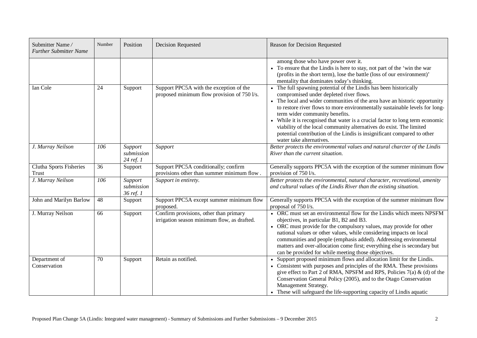| Submitter Name/<br><b>Further Submitter Name</b> | Number | Position                           | <b>Decision Requested</b>                                                              | Reason for Decision Requested                                                                                                                                                                                                                                                                                                                                                                                                                                                                                                                                              |
|--------------------------------------------------|--------|------------------------------------|----------------------------------------------------------------------------------------|----------------------------------------------------------------------------------------------------------------------------------------------------------------------------------------------------------------------------------------------------------------------------------------------------------------------------------------------------------------------------------------------------------------------------------------------------------------------------------------------------------------------------------------------------------------------------|
|                                                  |        |                                    |                                                                                        | among those who have power over it.<br>• To ensure that the Lindis is here to stay, not part of the 'win the war<br>(profits in the short term), lose the battle (loss of our environment)'<br>mentality that dominates today's thinking.                                                                                                                                                                                                                                                                                                                                  |
| Ian Cole                                         | 24     | Support                            | Support PPC5A with the exception of the<br>proposed minimum flow provision of 750 l/s. | • The full spawning potential of the Lindis has been historically<br>compromised under depleted river flows.<br>• The local and wider communities of the area have an historic opportunity<br>to restore river flows to more environmentally sustainable levels for long-<br>term wider community benefits.<br>• While it is recognised that water is a crucial factor to long term economic<br>viability of the local community alternatives do exist. The limited<br>potential contribution of the Lindis is insignificant compared to other<br>water take alternatives. |
| J. Murray Neilson                                | 106    | Support<br>submission<br>24 ref. 1 | Support                                                                                | Better protects the environmental values and natural charcter of the Lindis<br>River than the current situation.                                                                                                                                                                                                                                                                                                                                                                                                                                                           |
| Clutha Sports Fisheries<br><b>Trust</b>          | 36     | Support                            | Support PPC5A conditionally; confirm<br>provisions other than summer minimum flow.     | Generally supports PPC5A with the exception of the summer minimum flow<br>provision of 750 l/s.                                                                                                                                                                                                                                                                                                                                                                                                                                                                            |
| J. Murray Neilson                                | 106    | Support<br>submission<br>36 ref. 1 | Support in entirety.                                                                   | Better protects the environmental, natural character, recreational, amenity<br>and cultural values of the Lindis River than the existing situation.                                                                                                                                                                                                                                                                                                                                                                                                                        |
| John and Marilyn Barlow                          | 48     | Support                            | Support PPC5A except summer minimum flow<br>proposed.                                  | Generally supports PPC5A with the exception of the summer minimum flow<br>proposal of 750 l/s.                                                                                                                                                                                                                                                                                                                                                                                                                                                                             |
| J. Murray Neilson                                | 66     | Support                            | Confirm provisions, other than primary<br>irrigation season minimum flow, as drafted.  | • ORC must set an environmental flow for the Lindis which meets NPSFM<br>objectives, in particular B1, B2 and B3.<br>• ORC must provide for the compulsory values, may provide for other<br>national values or other values, while considering impacts on local<br>communities and people (emphasis added). Addressing environmental<br>matters and over-allocation come first; everything else is secondary but<br>can be provided for while meeting those objectives.                                                                                                    |
| Department of<br>Conservation                    | 70     | Support                            | Retain as notified.                                                                    | Support proposed minimum flows and allocation limit for the Lindis.<br>• Consistent with purposes and principles of the RMA. These provisions<br>give effect to Part 2 of RMA, NPSFM and RPS, Policies $7(a)$ & (d) of the<br>Conservation General Policy (2005), and to the Otago Conservation<br>Management Strategy.<br>• These will safeguard the life-supporting capacity of Lindis aquatic                                                                                                                                                                           |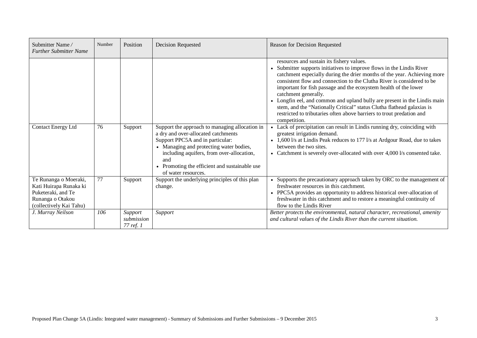| Submitter Name/<br><b>Further Submitter Name</b>                                                                     | Number | Position                           | <b>Decision Requested</b>                                                                                                                                                                                                                                                                        | Reason for Decision Requested                                                                                                                                                                                                                                                                                                                                                                                                                                                                                                                                                                                      |
|----------------------------------------------------------------------------------------------------------------------|--------|------------------------------------|--------------------------------------------------------------------------------------------------------------------------------------------------------------------------------------------------------------------------------------------------------------------------------------------------|--------------------------------------------------------------------------------------------------------------------------------------------------------------------------------------------------------------------------------------------------------------------------------------------------------------------------------------------------------------------------------------------------------------------------------------------------------------------------------------------------------------------------------------------------------------------------------------------------------------------|
|                                                                                                                      |        |                                    |                                                                                                                                                                                                                                                                                                  | resources and sustain its fishery values.<br>Submitter supports initiatives to improve flows in the Lindis River<br>catchment especially during the drier months of the year. Achieving more<br>consistent flow and connection to the Clutha River is considered to be<br>important for fish passage and the ecosystem health of the lower<br>catchment generally.<br>• Longfin eel, and common and upland bully are present in the Lindis main<br>stem, and the "Nationally Critical" status Clutha flathead galaxias is<br>restricted to tributaries often above barriers to trout predation and<br>competition. |
| Contact Energy Ltd                                                                                                   | 76     | Support                            | Support the approach to managing allocation in<br>a dry and over-allocated catchments<br>Support PPC5A and in particular:<br>• Managing and protecting water bodies,<br>including aquifers, from over-allocation,<br>and<br>• Promoting the efficient and sustainable use<br>of water resources. | Lack of precipitation can result in Lindis running dry, coinciding with<br>greatest irrigation demand.<br>• 1,600 l/s at Lindis Peak reduces to 177 l/s at Ardgour Road, due to takes<br>between the two sites.<br>Catchment is severely over-allocated with over 4,000 l/s consented take.                                                                                                                                                                                                                                                                                                                        |
| Te Runanga o Moeraki,<br>Kati Huirapa Runaka ki<br>Puketeraki, and Te<br>Runanga o Otakou<br>(collectively Kai Tahu) | 77     | Support                            | Support the underlying principles of this plan<br>change.                                                                                                                                                                                                                                        | Supports the precautionary approach taken by ORC to the management of<br>freshwater resources in this catchment.<br>• PPC5A provides an opportunity to address historical over-allocation of<br>freshwater in this catchment and to restore a meaningful continuity of<br>flow to the Lindis River                                                                                                                                                                                                                                                                                                                 |
| J. Murray Neilson                                                                                                    | 106    | Support<br>submission<br>77 ref. 1 | Support                                                                                                                                                                                                                                                                                          | Better protects the environmental, natural character, recreational, amenity<br>and cultural values of the Lindis River than the current situation.                                                                                                                                                                                                                                                                                                                                                                                                                                                                 |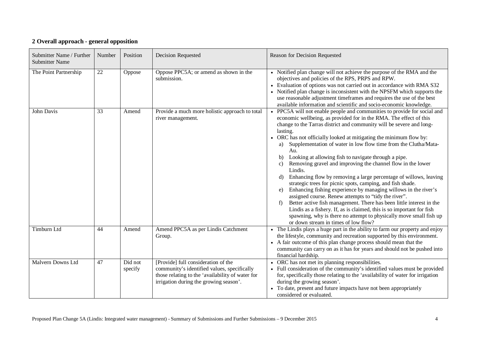### **2 Overall approach - general opposition**

<span id="page-17-0"></span>

| Submitter Name / Further<br><b>Submitter Name</b> | Number | Position           | Decision Requested                                                                                                                                                               | Reason for Decision Requested                                                                                                                                                                                                                                                                                                                                                                                                                                                                                                                                                                                                                                                                                                                                                                                                                                                                                                                                                                                                                                                |
|---------------------------------------------------|--------|--------------------|----------------------------------------------------------------------------------------------------------------------------------------------------------------------------------|------------------------------------------------------------------------------------------------------------------------------------------------------------------------------------------------------------------------------------------------------------------------------------------------------------------------------------------------------------------------------------------------------------------------------------------------------------------------------------------------------------------------------------------------------------------------------------------------------------------------------------------------------------------------------------------------------------------------------------------------------------------------------------------------------------------------------------------------------------------------------------------------------------------------------------------------------------------------------------------------------------------------------------------------------------------------------|
| The Point Partnership                             | 22     | Oppose             | Oppose PPC5A; or amend as shown in the<br>submission.                                                                                                                            | • Notified plan change will not achieve the purpose of the RMA and the<br>objectives and policies of the RPS, PRPS and RPW.<br>• Evaluation of options was not carried out in accordance with RMA S32<br>• Notified plan change is inconsistent with the NPSFM which supports the<br>use reasonable adjustment timeframes and requires the use of the best<br>available information and scientific and socio-economic knowledge.                                                                                                                                                                                                                                                                                                                                                                                                                                                                                                                                                                                                                                             |
| John Davis                                        | 33     | Amend              | Provide a much more holistic approach to total<br>river management.                                                                                                              | • PPC5A will not enable people and communities to provide for social and<br>economic wellbeing, as provided for in the RMA. The effect of this<br>change to the Tarras district and community will be severe and long-<br>lasting.<br>• ORC has not officially looked at mitigating the minimum flow by:<br>a) Supplementation of water in low flow time from the Clutha/Mata-<br>Au.<br>Looking at allowing fish to navigate through a pipe.<br>b)<br>Removing gravel and improving the channel flow in the lower<br>C)<br>Lindis.<br>Enhancing flow by removing a large percentage of willows, leaving<br>d)<br>strategic trees for picnic spots, camping, and fish shade.<br>Enhancing fishing experience by managing willows in the river's<br>e)<br>assigned course. Renew attempts to "tidy the river".<br>Better active fish management. There has been little interest in the<br>Lindis as a fishery. If, as is claimed, this is so important for fish<br>spawning, why is there no attempt to physically move small fish up<br>or down stream in times of low flow? |
| <b>Timburn Ltd</b>                                | 44     | Amend              | Amend PPC5A as per Lindis Catchment<br>Group.                                                                                                                                    | • The Lindis plays a huge part in the ability to farm our property and enjoy<br>the lifestyle, community and recreation supported by this environment.<br>• A fair outcome of this plan change process should mean that the<br>community can carry on as it has for years and should not be pushed into<br>financial hardship.                                                                                                                                                                                                                                                                                                                                                                                                                                                                                                                                                                                                                                                                                                                                               |
| Malvern Downs Ltd                                 | 47     | Did not<br>specify | [Provide] full consideration of the<br>community's identified values, specifically<br>those relating to the 'availability of water for<br>irrigation during the growing season'. | • ORC has not met its planning responsibilities.<br>• Full consideration of the community's identified values must be provided<br>for, specifically those relating to the 'availability of water for irrigation<br>during the growing season'.<br>To date, present and future impacts have not been appropriately<br>considered or evaluated.                                                                                                                                                                                                                                                                                                                                                                                                                                                                                                                                                                                                                                                                                                                                |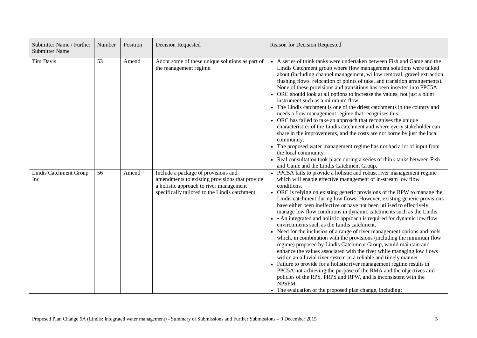| Submitter Name / Further<br><b>Submitter Name</b> | Number | Position | Decision Requested                                                                                                                                                                 | Reason for Decision Requested                                                                                                                                                                                                                                                                                                                                                                                                                                                                                                                                                                                                                                                                                                                                                                                                                                                                                                                                                                                                                                                                                                                                                                                                                    |
|---------------------------------------------------|--------|----------|------------------------------------------------------------------------------------------------------------------------------------------------------------------------------------|--------------------------------------------------------------------------------------------------------------------------------------------------------------------------------------------------------------------------------------------------------------------------------------------------------------------------------------------------------------------------------------------------------------------------------------------------------------------------------------------------------------------------------------------------------------------------------------------------------------------------------------------------------------------------------------------------------------------------------------------------------------------------------------------------------------------------------------------------------------------------------------------------------------------------------------------------------------------------------------------------------------------------------------------------------------------------------------------------------------------------------------------------------------------------------------------------------------------------------------------------|
| Tim Davis                                         | 53     | Amend    | Adopt some of these unique solutions as part of<br>the management regime.                                                                                                          | • A series of think tanks were undertaken between Fish and Game and the<br>Lindis Catchment group where flow management solutions were talked<br>about (including channel management, willow removal, gravel extraction,<br>flushing flows, relocation of points of take, and transition arrangements).<br>None of these provisions and transitions has been inserted into PPC5A.<br>• ORC should look at all options to increase the values, not just a blunt<br>instrument such as a minimum flow.<br>• The Lindis catchment is one of the driest catchments in the country and<br>needs a flow management regime that recognises this.<br>• ORC has failed to take an approach that recognises the unique<br>characteristics of the Lindis catchment and where every stakeholder can<br>share in the improvements, and the costs are not borne by just the local<br>community.<br>• The proposed water management regime has not had a lot of input from<br>the local community.<br>• Real consultation took place during a series of think tanks between Fish<br>and Game and the Lindis Catchment Group.                                                                                                                                    |
| Lindis Catchment Group<br>Inc                     | 56     | Amend    | Include a package of provisions and<br>amendments to existing provisions that provide<br>a holistic approach to river management<br>specifically tailored to the Lindis catchment. | PPC5A fails to provide a holistic and robust river management regime<br>which will enable effective management of in-stream low flow<br>conditions.<br>• ORC is relying on existing generic provisions of the RPW to manage the<br>Lindis catchment during low flows. However, existing generic provisions<br>have either been ineffective or have not been utilised to effectively<br>manage low flow conditions in dynamic catchments such as the Lindis.<br>• An integrated and holistic approach is required for dynamic low flow<br>environments such as the Lindis catchment.<br>• Need for the inclusion of a range of river management options and tools<br>which, in combination with the provisions (including the minimum flow<br>regime) proposed by Lindis Catchment Group, would maintain and<br>enhance the values associated with the river while managing low flows<br>within an alluvial river system in a reliable and timely manner.<br>• Failure to provide for a holistic river management regime results in<br>PPC5A not achieving the purpose of the RMA and the objectives and<br>policies of the RPS, PRPS and RPW, and is inconsistent with the<br>NPSFM.<br>• The evaluation of the proposed plan change, including: |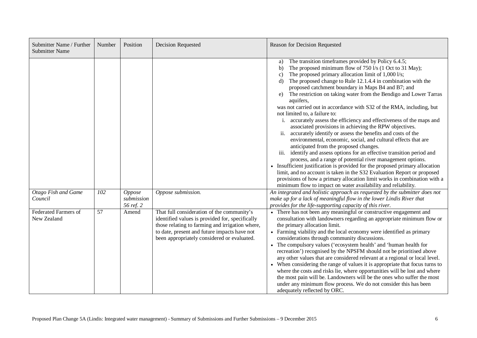| Submitter Name / Further<br><b>Submitter Name</b> | Number | Position                          | <b>Decision Requested</b>                                                                                                                                                                                                                       | Reason for Decision Requested                                                                                                                                                                                                                                                                                                                                                                                                                                                                                                                                                                                                                                                                                                                                                                                                                                                                                                                                                                                                                                                                                                                                                                                                                                                                          |
|---------------------------------------------------|--------|-----------------------------------|-------------------------------------------------------------------------------------------------------------------------------------------------------------------------------------------------------------------------------------------------|--------------------------------------------------------------------------------------------------------------------------------------------------------------------------------------------------------------------------------------------------------------------------------------------------------------------------------------------------------------------------------------------------------------------------------------------------------------------------------------------------------------------------------------------------------------------------------------------------------------------------------------------------------------------------------------------------------------------------------------------------------------------------------------------------------------------------------------------------------------------------------------------------------------------------------------------------------------------------------------------------------------------------------------------------------------------------------------------------------------------------------------------------------------------------------------------------------------------------------------------------------------------------------------------------------|
|                                                   |        |                                   |                                                                                                                                                                                                                                                 | The transition timeframes provided by Policy 6.4.5;<br>a)<br>The proposed minimum flow of 750 l/s (1 Oct to 31 May);<br>b)<br>The proposed primary allocation limit of 1,000 l/s;<br>$\mathbf{c}$<br>The proposed change to Rule 12.1.4.4 in combination with the<br>d)<br>proposed catchment boundary in Maps B4 and B7; and<br>The restriction on taking water from the Bendigo and Lower Tarras<br>e)<br>aquifers,<br>was not carried out in accordance with S32 of the RMA, including, but<br>not limited to, a failure to:<br>accurately assess the efficiency and effectiveness of the maps and<br>associated provisions in achieving the RPW objectives.<br>accurately identify or assess the benefits and costs of the<br>ii.<br>environmental, economic, social, and cultural effects that are<br>anticipated from the proposed changes.<br>identify and assess options for an effective transition period and<br>iii.<br>process, and a range of potential river management options.<br>• Insufficient justification is provided for the proposed primary allocation<br>limit, and no account is taken in the S32 Evaluation Report or proposed<br>provisions of how a primary allocation limit works in combination with a<br>minimum flow to impact on water availability and reliability. |
| Otago Fish and Game<br>Council                    | 102    | Oppose<br>submission<br>56 ref. 2 | Oppose submission.                                                                                                                                                                                                                              | An integrated and holistic approach as requested by the submitter does not<br>make up for a lack of meaningful flow in the lower Lindis River that<br>provides for the life-supporting capacity of this river.                                                                                                                                                                                                                                                                                                                                                                                                                                                                                                                                                                                                                                                                                                                                                                                                                                                                                                                                                                                                                                                                                         |
| Federated Farmers of<br>New Zealand               | 57     | Amend                             | That full consideration of the community's<br>identified values is provided for, specifically<br>those relating to farming and irrigation where,<br>to date, present and future impacts have not<br>been appropriately considered or evaluated. | • There has not been any meaningful or constructive engagement and<br>consultation with landowners regarding an appropriate minimum flow or<br>the primary allocation limit.<br>• Farming viability and the local economy were identified as primary<br>considerations through community discussions.<br>• The compulsory values ('ecosystem health' and 'human health for<br>recreation') recognised by the NPSFM should not be prioritised above<br>any other values that are considered relevant at a regional or local level.<br>• When considering the range of values it is appropriate that focus turns to<br>where the costs and risks lie, where opportunities will be lost and where<br>the most pain will be. Landowners will be the ones who suffer the most<br>under any minimum flow process. We do not consider this has been<br>adequately reflected by ORC.                                                                                                                                                                                                                                                                                                                                                                                                                           |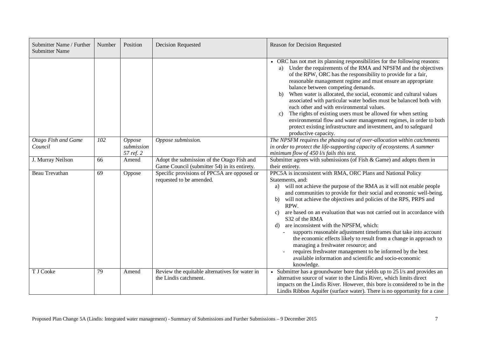| Submitter Name / Further<br><b>Submitter Name</b> | Number | Position                          | Decision Requested                                                                         | Reason for Decision Requested                                                                                                                                                                                                                                                                                                                                                                                                                                                                                                                                                                                                                                                                                                                                                                     |
|---------------------------------------------------|--------|-----------------------------------|--------------------------------------------------------------------------------------------|---------------------------------------------------------------------------------------------------------------------------------------------------------------------------------------------------------------------------------------------------------------------------------------------------------------------------------------------------------------------------------------------------------------------------------------------------------------------------------------------------------------------------------------------------------------------------------------------------------------------------------------------------------------------------------------------------------------------------------------------------------------------------------------------------|
|                                                   |        |                                   |                                                                                            | • ORC has not met its planning responsibilities for the following reasons:<br>Under the requirements of the RMA and NPSFM and the objectives<br>a)<br>of the RPW, ORC has the responsibility to provide for a fair,<br>reasonable management regime and must ensure an appropriate<br>balance between competing demands.<br>When water is allocated, the social, economic and cultural values<br>b)<br>associated with particular water bodies must be balanced both with<br>each other and with environmental values.<br>The rights of existing users must be allowed for when setting<br>$\mathbf{c}$ )<br>environmental flow and water management regimes, in order to both<br>protect existing infrastructure and investment, and to safeguard<br>productive capacity.                        |
| <b>Otago Fish and Game</b><br>Council             | 102    | Oppose<br>submission<br>57 ref. 2 | Oppose submission.                                                                         | The NPSFM requires the phasing out of over-allocation within catchments<br>in order to protect the life-supporting capacity of ecosystems. A summer<br>minimum flow of $450$ l/s fails this test.                                                                                                                                                                                                                                                                                                                                                                                                                                                                                                                                                                                                 |
| J. Murray Neilson                                 | 66     | Amend                             | Adopt the submission of the Otago Fish and<br>Game Council (submitter 54) in its entirety. | Submitter agrees with submissions (of Fish $& Game$ ) and adopts them in<br>their entirety.                                                                                                                                                                                                                                                                                                                                                                                                                                                                                                                                                                                                                                                                                                       |
| <b>Beau Trevathan</b>                             | 69     | Oppose                            | Specific provisions of PPC5A are opposed or<br>requested to be amended.                    | PPC5A is inconsistent with RMA, ORC Plans and National Policy<br>Statements, and:<br>a) will not achieve the purpose of the RMA as it will not enable people<br>and communities to provide for their social and economic well-being.<br>will not achieve the objectives and policies of the RPS, PRPS and<br>b)<br>RPW.<br>are based on an evaluation that was not carried out in accordance with<br>C)<br>S32 of the RMA<br>are inconsistent with the NPSFM, which:<br>d)<br>supports reasonable adjustment timeframes that take into account<br>the economic effects likely to result from a change in approach to<br>managing a freshwater resource; and<br>requires freshwater management to be informed by the best<br>available information and scientific and socio-economic<br>knowledge. |
| T J Cooke                                         | 79     | Amend                             | Review the equitable alternatives for water in<br>the Lindis catchment.                    | Submitter has a groundwater bore that yields up to 25 l/s and provides an<br>alternative source of water to the Lindis River, which limits direct<br>impacts on the Lindis River. However, this bore is considered to be in the<br>Lindis Ribbon Aquifer (surface water). There is no opportunity for a case                                                                                                                                                                                                                                                                                                                                                                                                                                                                                      |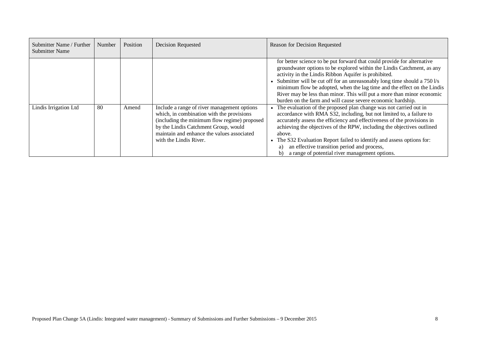| Submitter Name / Further<br><b>Submitter Name</b> | Number | Position | <b>Decision Requested</b>                                                                                                                                                                                                                                | Reason for Decision Requested                                                                                                                                                                                                                                                                                                                                                                                                                                                                             |
|---------------------------------------------------|--------|----------|----------------------------------------------------------------------------------------------------------------------------------------------------------------------------------------------------------------------------------------------------------|-----------------------------------------------------------------------------------------------------------------------------------------------------------------------------------------------------------------------------------------------------------------------------------------------------------------------------------------------------------------------------------------------------------------------------------------------------------------------------------------------------------|
|                                                   |        |          |                                                                                                                                                                                                                                                          | for better science to be put forward that could provide for alternative<br>groundwater options to be explored within the Lindis Catchment, as any<br>activity in the Lindis Ribbon Aquifer is prohibited.<br>Submitter will be cut off for an unreasonably long time should a 750 l/s<br>minimum flow be adopted, when the lag time and the effect on the Lindis<br>River may be less than minor. This will put a more than minor economic<br>burden on the farm and will cause severe economic hardship. |
| Lindis Irrigation Ltd                             | -80    | Amend    | Include a range of river management options<br>which, in combination with the provisions<br>(including the minimum flow regime) proposed<br>by the Lindis Catchment Group, would<br>maintain and enhance the values associated<br>with the Lindis River. | The evaluation of the proposed plan change was not carried out in<br>accordance with RMA S32, including, but not limited to, a failure to<br>accurately assess the efficiency and effectiveness of the provisions in<br>achieving the objectives of the RPW, including the objectives outlined<br>above.<br>The S32 Evaluation Report failed to identify and assess options for:<br>an effective transition period and process,<br>a)<br>a range of potential river management options.                   |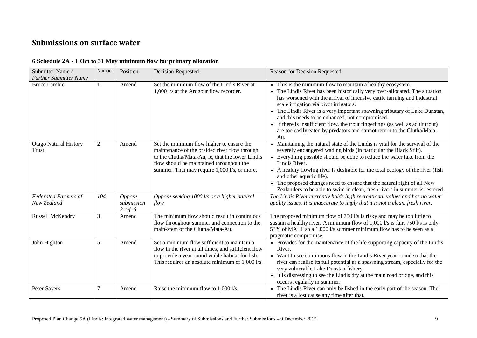## **Submissions on surface water**

<span id="page-22-1"></span><span id="page-22-0"></span>

| Submitter Name/                            | Number         | Position                             | <b>Decision Requested</b>                                                                                                                                                                                                                  | Reason for Decision Requested                                                                                                                                                                                                                                                                                                                                                                                                                                                                                                                                        |
|--------------------------------------------|----------------|--------------------------------------|--------------------------------------------------------------------------------------------------------------------------------------------------------------------------------------------------------------------------------------------|----------------------------------------------------------------------------------------------------------------------------------------------------------------------------------------------------------------------------------------------------------------------------------------------------------------------------------------------------------------------------------------------------------------------------------------------------------------------------------------------------------------------------------------------------------------------|
| <b>Further Submitter Name</b>              |                |                                      |                                                                                                                                                                                                                                            |                                                                                                                                                                                                                                                                                                                                                                                                                                                                                                                                                                      |
| <b>Bruce Lambie</b>                        | $\mathbf{1}$   | Amend                                | Set the minimum flow of the Lindis River at<br>1,000 l/s at the Ardgour flow recorder.                                                                                                                                                     | • This is the minimum flow to maintain a healthy ecosystem.<br>The Lindis River has been historically very over-allocated. The situation<br>has worsened with the arrival of intensive cattle farming and industrial<br>scale irrigation via pivot irrigators.<br>• The Lindis River is a very important spawning tributary of Lake Dunstan,<br>and this needs to be enhanced, not compromised.<br>• If there is insufficient flow, the trout fingerlings (as well as adult trout)<br>are too easily eaten by predators and cannot return to the Clutha/Mata-<br>Au. |
| <b>Otago Natural History</b><br>Trust      | $\overline{2}$ | Amend                                | Set the minimum flow higher to ensure the<br>maintenance of the braided river flow through<br>to the Clutha/Mata-Au, ie, that the lower Lindis<br>flow should be maintained throughout the<br>summer. That may require 1,000 l/s, or more. | • Maintaining the natural state of the Lindis is vital for the survival of the<br>severely endangered wading birds (in particular the Black Stilt).<br>• Everything possible should be done to reduce the water take from the<br>Lindis River.<br>• A healthy flowing river is desirable for the total ecology of the river (fish<br>and other aquatic life).<br>• The proposed changes need to ensure that the natural right of all New<br>Zealanders to be able to swim in clean, fresh rivers in summer is restored.                                              |
| <b>Federated Farmers of</b><br>New Zealand | 104            | Oppose<br>submission<br>$2$ ref. $6$ | Oppose seeking 1000 l/s or a higher natural<br>flow.                                                                                                                                                                                       | The Lindis River currently holds high recreational values and has no water<br>quality issues. It is inaccurate to imply that it is not a clean, fresh river.                                                                                                                                                                                                                                                                                                                                                                                                         |
| Russell McKendry                           | 3              | Amend                                | The minimum flow should result in continuous<br>flow throughout summer and connection to the<br>main-stem of the Clutha/Mata-Au.                                                                                                           | The proposed minimum flow of 750 l/s is risky and may be too little to<br>sustain a healthy river. A minimum flow of 1,000 l/s is fair. 750 l/s is only<br>53% of MALF so a 1,000 l/s summer minimum flow has to be seen as a<br>pragmatic compromise.                                                                                                                                                                                                                                                                                                               |
| John Highton                               | 5              | Amend                                | Set a minimum flow sufficient to maintain a<br>flow in the river at all times, and sufficient flow<br>to provide a year round viable habitat for fish.<br>This requires an absolute minimum of 1,000 l/s.                                  | • Provides for the maintenance of the life supporting capacity of the Lindis<br>River.<br>• Want to see continuous flow in the Lindis River year round so that the<br>river can realise its full potential as a spawning stream, especially for the<br>very vulnerable Lake Dunstan fishery.<br>• It is distressing to see the Lindis dry at the main road bridge, and this<br>occurs regularly in summer.                                                                                                                                                           |
| Peter Sayers                               | 7              | Amend                                | Raise the minimum flow to 1,000 l/s.                                                                                                                                                                                                       | • The Lindis River can only be fished in the early part of the season. The<br>river is a lost cause any time after that.                                                                                                                                                                                                                                                                                                                                                                                                                                             |

#### **6 Schedule 2A - 1 Oct to 31 May minimum flow for primary allocation**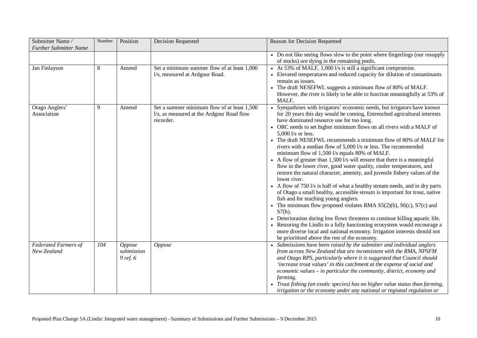| Submitter Name/<br><b>Further Submitter Name</b> | Number | Position                                | <b>Decision Requested</b>                                                                             | Reason for Decision Requested                                                                                                                                                                                                                                                                                                                                                                                                                                                                                                                                                                                                                                                                                                                                                                                                                                                                                                                                                                                                                                                                                                                                                                                                                                                                                                         |
|--------------------------------------------------|--------|-----------------------------------------|-------------------------------------------------------------------------------------------------------|---------------------------------------------------------------------------------------------------------------------------------------------------------------------------------------------------------------------------------------------------------------------------------------------------------------------------------------------------------------------------------------------------------------------------------------------------------------------------------------------------------------------------------------------------------------------------------------------------------------------------------------------------------------------------------------------------------------------------------------------------------------------------------------------------------------------------------------------------------------------------------------------------------------------------------------------------------------------------------------------------------------------------------------------------------------------------------------------------------------------------------------------------------------------------------------------------------------------------------------------------------------------------------------------------------------------------------------|
|                                                  |        |                                         |                                                                                                       | • Do not like seeing flows slow to the point where fingerlings (our resupply<br>of stocks) are dying in the remaining pools.                                                                                                                                                                                                                                                                                                                                                                                                                                                                                                                                                                                                                                                                                                                                                                                                                                                                                                                                                                                                                                                                                                                                                                                                          |
| Jan Finlayson                                    | 8      | Amend                                   | Set a minimum summer flow of at least 1,000<br>l/s, measured at Ardgour Road.                         | • At 53% of MALF, 1,000 l/s is still a significant compromise.<br>• Elevated temperatures and reduced capacity for dilution of contaminants<br>remain as issues.<br>• The draft NESEFWL suggests a minimum flow of 80% of MALF.<br>However, the river is likely to be able to function meaningfully at 53% of<br>MALF.                                                                                                                                                                                                                                                                                                                                                                                                                                                                                                                                                                                                                                                                                                                                                                                                                                                                                                                                                                                                                |
| Otago Anglers'<br>Association                    | 9      | Amend                                   | Set a summer minimum flow of at least 1,500<br>l/s, as measured at the Ardgour Road flow<br>recorder. | • Sympathises with irrigators' economic needs, but irrigators have known<br>for 20 years this day would be coming. Entrenched agricultural interests<br>have dominated resource use for too long.<br>• ORC needs to set higher minimum flows on all rivers with a MALF of<br>5,000 l/s or less.<br>• The draft NESEFWL recommends a minimum flow of 80% of MALF for<br>rivers with a median flow of 5,000 l/s or less. The recommended<br>minimum flow of 1,500 l/s equals 80% of MALF.<br>• A flow of greater than 1,500 l/s will ensure that there is a meaningful<br>flow in the lower river, good water quality, cooler temperatures, and<br>restore the natural character, amenity, and juvenile fishery values of the<br>lower river.<br>• A flow of 750 l/s is half of what a healthy stream needs, and in dry parts<br>of Otago a small healthy, accessible stream is important for trout, native<br>fish and for teaching young anglers.<br>• The minimum flow proposed violates RMA $S5(2)(b)$ , $S6(c)$ , $S7(c)$ and<br>$S7(h)$ .<br>Deterioration during low flows threatens to continue killing aquatic life.<br>• Restoring the Lindis to a fully functioning ecosystem would encourage a<br>more diverse local and national economy. Irrigation interests should not<br>be prioritised above the rest of the economy. |
| <b>Federated Farmers of</b><br>New Zealand       | 104    | <b>Oppose</b><br>submission<br>9 ref. 6 | <b>Oppose</b>                                                                                         | Submissions have been raised by the submitter and individual anglers<br>from across New Zealand that are inconsistent with the RMA, NPSFM<br>and Otago RPS, particularly where it is suggested that Council should<br>'increase trout values' in this catchment at the expense of social and<br>economic values – in particular the community, district, economy and<br><i>farming.</i><br>• Trout fishing (an exotic species) has no higher value status than farming,<br>irrigation or the economy under any national or regional regulation or                                                                                                                                                                                                                                                                                                                                                                                                                                                                                                                                                                                                                                                                                                                                                                                     |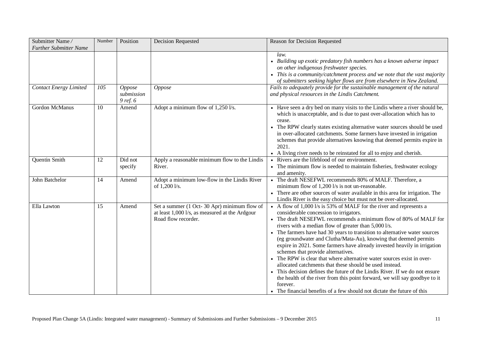| Submitter Name/<br><b>Further Submitter Name</b> | Number | Position               | <b>Decision Requested</b>                                                                                             | Reason for Decision Requested                                                                                                                                                                                                                                                                                                                                                                                                                                                                                                                                                                                                                                                                                                                                                                                                                                                                        |
|--------------------------------------------------|--------|------------------------|-----------------------------------------------------------------------------------------------------------------------|------------------------------------------------------------------------------------------------------------------------------------------------------------------------------------------------------------------------------------------------------------------------------------------------------------------------------------------------------------------------------------------------------------------------------------------------------------------------------------------------------------------------------------------------------------------------------------------------------------------------------------------------------------------------------------------------------------------------------------------------------------------------------------------------------------------------------------------------------------------------------------------------------|
| <b>Contact Energy Limited</b>                    | 105    | Oppose                 | Oppose                                                                                                                | law.<br>• Building up exotic predatory fish numbers has a known adverse impact<br>on other indigenous freshwater species.<br>This is a community/catchment process and we note that the vast majority<br>of submitters seeking higher flows are from elsewhere in New Zealand.<br>Fails to adequately provide for the sustainable management of the natural                                                                                                                                                                                                                                                                                                                                                                                                                                                                                                                                          |
|                                                  |        | submission<br>9 ref. 6 |                                                                                                                       | and physical resources in the Lindis Catchment.                                                                                                                                                                                                                                                                                                                                                                                                                                                                                                                                                                                                                                                                                                                                                                                                                                                      |
| <b>Gordon McManus</b>                            | 10     | Amend                  | Adopt a minimum flow of 1,250 l/s.                                                                                    | • Have seen a dry bed on many visits to the Lindis where a river should be,<br>which is unacceptable, and is due to past over-allocation which has to<br>cease.<br>• The RPW clearly states existing alternative water sources should be used<br>in over-allocated catchments. Some farmers have invested in irrigation<br>schemes that provide alternatives knowing that deemed permits expire in<br>2021.<br>• A living river needs to be reinstated for all to enjoy and cherish.                                                                                                                                                                                                                                                                                                                                                                                                                 |
| <b>Quentin Smith</b>                             | 12     | Did not<br>specify     | Apply a reasonable minimum flow to the Lindis<br>River.                                                               | • Rivers are the lifeblood of our environment.<br>• The minimum flow is needed to maintain fisheries, freshwater ecology<br>and amenity.                                                                                                                                                                                                                                                                                                                                                                                                                                                                                                                                                                                                                                                                                                                                                             |
| John Batchelor                                   | 14     | Amend                  | Adopt a minimum low-flow in the Lindis River<br>of 1,200 l/s.                                                         | • The draft NESEFWL recommends 80% of MALF. Therefore, a<br>minimum flow of 1,200 l/s is not un-reasonable.<br>• There are other sources of water available in this area for irrigation. The<br>Lindis River is the easy choice but must not be over-allocated.                                                                                                                                                                                                                                                                                                                                                                                                                                                                                                                                                                                                                                      |
| Ella Lawton                                      | 15     | Amend                  | Set a summer (1 Oct- 30 Apr) minimum flow of<br>at least 1,000 l/s, as measured at the Ardgour<br>Road flow recorder. | • A flow of 1,000 l/s is 53% of MALF for the river and represents a<br>considerable concession to irrigators.<br>The draft NESEFWL recommends a minimum flow of 80% of MALF for<br>rivers with a median flow of greater than 5,000 l/s.<br>• The farmers have had 30 years to transition to alternative water sources<br>(eg groundwater and Clutha/Mata-Au), knowing that deemed permits<br>expire in 2021. Some farmers have already invested heavily in irrigation<br>schemes that provide alternatives.<br>• The RPW is clear that where alternative water sources exist in over-<br>allocated catchments that these should be used instead.<br>• This decision defines the future of the Lindis River. If we do not ensure<br>the health of the river from this point forward, we will say goodbye to it<br>forever.<br>• The financial benefits of a few should not dictate the future of this |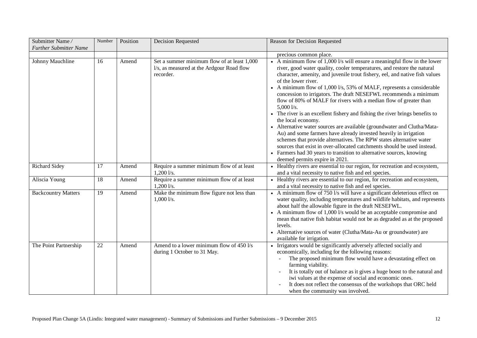| Submitter Name/<br><b>Further Submitter Name</b> | Number | Position | <b>Decision Requested</b>                                                                             | Reason for Decision Requested                                                                                                                                                                                                                                                                                                                                                                                                                                                                                                                                                                                                                                                                                                                                                                                                                                                                                                                                                                                    |
|--------------------------------------------------|--------|----------|-------------------------------------------------------------------------------------------------------|------------------------------------------------------------------------------------------------------------------------------------------------------------------------------------------------------------------------------------------------------------------------------------------------------------------------------------------------------------------------------------------------------------------------------------------------------------------------------------------------------------------------------------------------------------------------------------------------------------------------------------------------------------------------------------------------------------------------------------------------------------------------------------------------------------------------------------------------------------------------------------------------------------------------------------------------------------------------------------------------------------------|
|                                                  |        |          |                                                                                                       | precious common place.                                                                                                                                                                                                                                                                                                                                                                                                                                                                                                                                                                                                                                                                                                                                                                                                                                                                                                                                                                                           |
| Johnny Mauchline                                 | 16     | Amend    | Set a summer minimum flow of at least 1,000<br>l/s, as measured at the Ardgour Road flow<br>recorder. | • A minimum flow of $1,000$ l/s will ensure a meaningful flow in the lower<br>river, good water quality, cooler temperatures, and restore the natural<br>character, amenity, and juvenile trout fishery, eel, and native fish values<br>of the lower river.<br>• A minimum flow of $1,0001/s$ , 53% of MALF, represents a considerable<br>concession to irrigators. The draft NESEFWL recommends a minimum<br>flow of 80% of MALF for rivers with a median flow of greater than<br>$5,000$ l/s.<br>• The river is an excellent fishery and fishing the river brings benefits to<br>the local economy.<br>• Alternative water sources are available (groundwater and Clutha/Mata-<br>Au) and some farmers have already invested heavily in irrigation<br>schemes that provide alternatives. The RPW states alternative water<br>sources that exist in over-allocated catchments should be used instead.<br>• Farmers had 30 years to transition to alternative sources, knowing<br>deemed permits expire in 2021. |
| <b>Richard Sidey</b>                             | 17     | Amend    | Require a summer minimum flow of at least<br>$1,200$ l/s.                                             | • Healthy rivers are essential to our region, for recreation and ecosystem,<br>and a vital necessity to native fish and eel species.                                                                                                                                                                                                                                                                                                                                                                                                                                                                                                                                                                                                                                                                                                                                                                                                                                                                             |
| Aliscia Young                                    | 18     | Amend    | Require a summer minimum flow of at least<br>$1,200$ l/s.                                             | • Healthy rivers are essential to our region, for recreation and ecosystem,<br>and a vital necessity to native fish and eel species.                                                                                                                                                                                                                                                                                                                                                                                                                                                                                                                                                                                                                                                                                                                                                                                                                                                                             |
| <b>Backcountry Matters</b>                       | 19     | Amend    | Make the minimum flow figure not less than<br>$1,000$ l/s.                                            | • A minimum flow of 750 l/s will have a significant deleterious effect on<br>water quality, including temperatures and wildlife habitats, and represents<br>about half the allowable figure in the draft NESEFWL.<br>• A minimum flow of 1,000 l/s would be an acceptable compromise and<br>mean that native fish habitat would not be as degraded as at the proposed<br>levels.<br>• Alternative sources of water (Clutha/Mata-Au or groundwater) are<br>available for irrigation.                                                                                                                                                                                                                                                                                                                                                                                                                                                                                                                              |
| The Point Partnership                            | 22     | Amend    | Amend to a lower minimum flow of 450 l/s<br>during 1 October to 31 May.                               | • Irrigators would be significantly adversely affected socially and<br>economically, including for the following reasons:<br>The proposed minimum flow would have a devastating effect on<br>farming viability.<br>It is totally out of balance as it gives a huge boost to the natural and<br>iwi values at the expense of social and economic ones.<br>It does not reflect the consensus of the workshops that ORC held<br>when the community was involved.                                                                                                                                                                                                                                                                                                                                                                                                                                                                                                                                                    |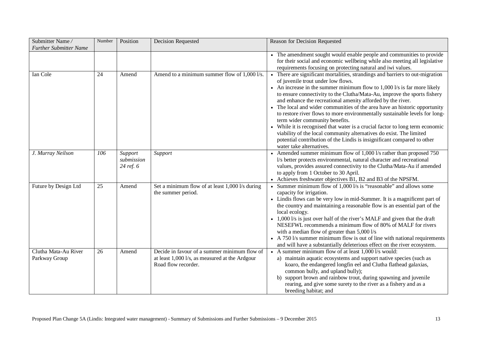| Submitter Name/                       | Number | Position                           | <b>Decision Requested</b>                                                                                             | Reason for Decision Requested                                                                                                                                                                                                                                                                                                                                                                                                                                                                                                                                                                                                                                                                                                                                                                              |
|---------------------------------------|--------|------------------------------------|-----------------------------------------------------------------------------------------------------------------------|------------------------------------------------------------------------------------------------------------------------------------------------------------------------------------------------------------------------------------------------------------------------------------------------------------------------------------------------------------------------------------------------------------------------------------------------------------------------------------------------------------------------------------------------------------------------------------------------------------------------------------------------------------------------------------------------------------------------------------------------------------------------------------------------------------|
| <b>Further Submitter Name</b>         |        |                                    |                                                                                                                       |                                                                                                                                                                                                                                                                                                                                                                                                                                                                                                                                                                                                                                                                                                                                                                                                            |
|                                       |        |                                    |                                                                                                                       | • The amendment sought would enable people and communities to provide<br>for their social and economic wellbeing while also meeting all legislative<br>requirements focusing on protecting natural and iwi values.                                                                                                                                                                                                                                                                                                                                                                                                                                                                                                                                                                                         |
| Ian Cole                              | 24     | Amend                              | Amend to a minimum summer flow of 1,000 l/s.                                                                          | • There are significant mortalities, strandings and barriers to out-migration<br>of juvenile trout under low flows.<br>• An increase in the summer minimum flow to $1,000$ l/s is far more likely<br>to ensure connectivity to the Clutha/Mata-Au, improve the sports fishery<br>and enhance the recreational amenity afforded by the river.<br>• The local and wider communities of the area have an historic opportunity<br>to restore river flows to more environmentally sustainable levels for long-<br>term wider community benefits.<br>• While it is recognised that water is a crucial factor to long term economic<br>viability of the local community alternatives do exist. The limited<br>potential contribution of the Lindis is insignificant compared to other<br>water take alternatives. |
| J. Murray Neilson                     | 106    | Support<br>submission<br>24 ref. 6 | Support                                                                                                               | • Amended summer minimum flow of 1,000 l/s rather than proposed 750<br>l/s better protects environmental, natural character and recreational<br>values, provides assured connectivity to the Clutha/Mata-Au if amended<br>to apply from 1 October to 30 April.<br>• Achieves freshwater objectives B1, B2 and B3 of the NPSFM.                                                                                                                                                                                                                                                                                                                                                                                                                                                                             |
| Future by Design Ltd                  | 25     | Amend                              | Set a minimum flow of at least 1,000 l/s during<br>the summer period.                                                 | Summer minimum flow of 1,000 l/s is "reasonable" and allows some<br>capacity for irrigation.<br>• Lindis flows can be very low in mid-Summer. It is a magnificent part of<br>the country and maintaining a reasonable flow is an essential part of the<br>local ecology.<br>• 1,000 l/s is just over half of the river's MALF and given that the draft<br>NESEFWL recommends a minimum flow of 80% of MALF for rivers<br>with a median flow of greater than 5,000 l/s<br>• A 750 l/s summer minimum flow is out of line with national requirements<br>and will have a substantially deleterious effect on the river ecosystem.                                                                                                                                                                             |
| Clutha Mata-Au River<br>Parkway Group | 26     | Amend                              | Decide in favour of a summer minimum flow of<br>at least 1,000 l/s, as measured at the Ardgour<br>Road flow recorder. | • A summer minimum flow of at least $1,000$ l/s would:<br>a) maintain aquatic ecosystems and support native species (such as<br>koaro, the endangered longfin eel and Clutha flathead galaxias,<br>common bully, and upland bully);<br>b) support brown and rainbow trout, during spawning and juvenile<br>rearing, and give some surety to the river as a fishery and as a<br>breeding habitat; and                                                                                                                                                                                                                                                                                                                                                                                                       |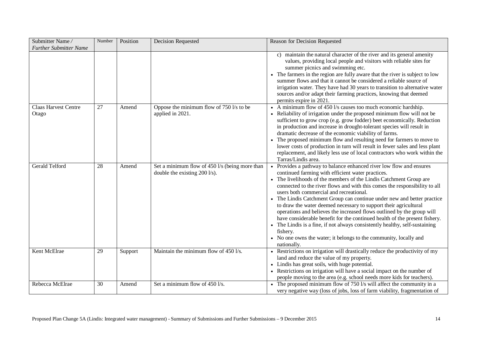| Submitter Name/<br><b>Further Submitter Name</b> | Number | Position | Decision Requested                                                                        | Reason for Decision Requested                                                                                                                                                                                                                                                                                                                                                                                                                                                                                                                                                                                                                                                                                                                                                                                            |
|--------------------------------------------------|--------|----------|-------------------------------------------------------------------------------------------|--------------------------------------------------------------------------------------------------------------------------------------------------------------------------------------------------------------------------------------------------------------------------------------------------------------------------------------------------------------------------------------------------------------------------------------------------------------------------------------------------------------------------------------------------------------------------------------------------------------------------------------------------------------------------------------------------------------------------------------------------------------------------------------------------------------------------|
|                                                  |        |          |                                                                                           | maintain the natural character of the river and its general amenity<br>$\mathcal{C}$ )<br>values, providing local people and visitors with reliable sites for<br>summer picnics and swimming etc.<br>The farmers in the region are fully aware that the river is subject to low<br>summer flows and that it cannot be considered a reliable source of<br>irrigation water. They have had 30 years to transition to alternative water<br>sources and/or adapt their farming practices, knowing that deemed<br>permits expire in 2021.                                                                                                                                                                                                                                                                                     |
| <b>Claas Harvest Centre</b><br>Otago             | 27     | Amend    | Oppose the minimum flow of 750 l/s to be<br>applied in 2021.                              | • A minimum flow of 450 l/s causes too much economic hardship.<br>Reliability of irrigation under the proposed minimum flow will not be<br>sufficient to grow crop (e.g. grow fodder) beet economically. Reduction<br>in production and increase in drought-tolerant species will result in<br>dramatic decrease of the economic viability of farms.<br>• The proposed minimum flow and resulting need for farmers to move to<br>lower costs of production in turn will result in fewer sales and less plant<br>replacement, and likely less use of local contractors who work within the<br>Tarras/Lindis area.                                                                                                                                                                                                         |
| <b>Gerald Telford</b>                            | 28     | Amend    | Set a minimum flow of 450 l/s (being more than<br>double the existing $200 \frac{1}{s}$ . | Provides a pathway to balance enhanced river low flow and ensures<br>$\bullet$<br>continued farming with efficient water practices.<br>• The livelihoods of the members of the Lindis Catchment Group are<br>connected to the river flows and with this comes the responsibility to all<br>users both commercial and recreational.<br>• The Lindis Catchment Group can continue under new and better practice<br>to draw the water deemed necessary to support their agricultural<br>operations and believes the increased flows outlined by the group will<br>have considerable benefit for the continued health of the present fishery.<br>• The Lindis is a fine, if not always consistently healthy, self-sustaining<br>fishery.<br>• No one owns the water; it belongs to the community, locally and<br>nationally. |
| Kent McElrae                                     | 29     | Support  | Maintain the minimum flow of 450 l/s.                                                     | • Restrictions on irrigation will drastically reduce the productivity of my<br>land and reduce the value of my property.<br>• Lindis has great soils, with huge potential.<br>• Restrictions on irrigation will have a social impact on the number of<br>people moving to the area (e.g. school needs more kids for teachers).                                                                                                                                                                                                                                                                                                                                                                                                                                                                                           |
| Rebecca McElrae                                  | 30     | Amend    | Set a minimum flow of 450 l/s.                                                            | • The proposed minimum flow of $750$ l/s will affect the community in a<br>very negative way (loss of jobs, loss of farm viability, fragmentation of                                                                                                                                                                                                                                                                                                                                                                                                                                                                                                                                                                                                                                                                     |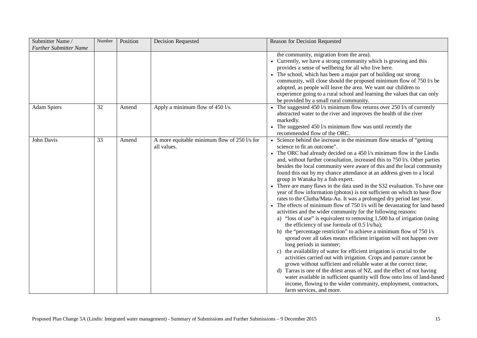| Submitter Name/<br><b>Further Submitter Name</b> | Number | Position | Decision Requested                                                    | Reason for Decision Requested                                                                                                                                                                                                                                                                                                                                                                                                                                                                                                                                                                                                                                                                                                                                                                                                                                                                                                                                                                                                                                                                                                                                                                                                                                                                                                                                                                                                                                                                                                                                                                                                         |
|--------------------------------------------------|--------|----------|-----------------------------------------------------------------------|---------------------------------------------------------------------------------------------------------------------------------------------------------------------------------------------------------------------------------------------------------------------------------------------------------------------------------------------------------------------------------------------------------------------------------------------------------------------------------------------------------------------------------------------------------------------------------------------------------------------------------------------------------------------------------------------------------------------------------------------------------------------------------------------------------------------------------------------------------------------------------------------------------------------------------------------------------------------------------------------------------------------------------------------------------------------------------------------------------------------------------------------------------------------------------------------------------------------------------------------------------------------------------------------------------------------------------------------------------------------------------------------------------------------------------------------------------------------------------------------------------------------------------------------------------------------------------------------------------------------------------------|
|                                                  |        |          |                                                                       | the community, migration from the area).<br>• Currently, we have a strong community which is growing and this<br>provides a sense of wellbeing for all who live here.<br>The school, which has been a major part of building our strong<br>community, will close should the proposed minimum flow of 750 l/s be<br>adopted, as people will leave the area. We want our children to<br>experience going to a rural school and learning the values that can only<br>be provided by a small rural community.                                                                                                                                                                                                                                                                                                                                                                                                                                                                                                                                                                                                                                                                                                                                                                                                                                                                                                                                                                                                                                                                                                                             |
| <b>Adam Spiers</b>                               | 32     | Amend    | Apply a minimum flow of 450 l/s.                                      | The suggested 450 l/s minimum flow returns over 250 l/s of currently<br>abstracted water to the river and improves the health of the river<br>markedly.<br>• The suggested 450 l/s minimum flow was until recently the<br>recommended flow of the ORC.                                                                                                                                                                                                                                                                                                                                                                                                                                                                                                                                                                                                                                                                                                                                                                                                                                                                                                                                                                                                                                                                                                                                                                                                                                                                                                                                                                                |
| John Davis                                       | 33     | Amend    | A more equitable minimum flow of $250 \frac{1}{s}$ for<br>all values. | • Science behind the increase in the minimum flow smacks of "getting"<br>science to fit an outcome".<br>• The ORC had already decided on a 450 l/s minimum flow in the Lindis<br>and, without further consultation, increased this to 750 l/s. Other parties<br>besides the local community were aware of this and the local community<br>found this out by my chance attendance at an address given to a local<br>group in Wanaka by a fish expert.<br>• There are many flaws in the data used in the S32 evaluation. To have one<br>year of flow information (photos) is not sufficient on which to base flow<br>rates to the Clutha/Mata-Au. It was a prolonged dry period last year.<br>• The effects of minimum flow of 750 l/s will be devastating for land based<br>activities and the wider community for the following reasons:<br>a) "loss of use" is equivalent to removing 1,500 ha of irrigation (using<br>the efficiency of use formula of 0.5 l/s/ha);<br>b) the "percentage restriction" to achieve a minimum flow of $750 \text{ Vs}$<br>spread over all takes means efficient irrigation will not happen over<br>long periods in summer;<br>the availability of water for efficient irrigation is crucial to the<br>activities carried out with irrigation. Crops and pasture cannot be<br>grown without sufficient and reliable water at the correct time;<br>d) Tarras is one of the driest areas of NZ, and the effect of not having<br>water available in sufficient quantity will flow onto loss of land-based<br>income, flowing to the wider community, employment, contractors,<br>farm services, and more. |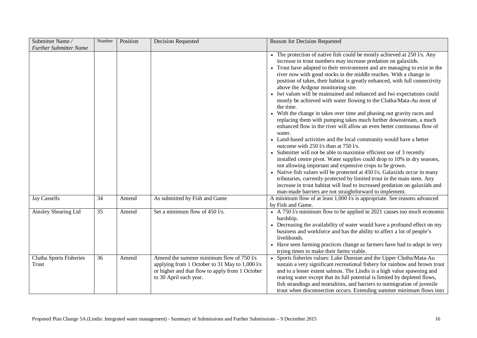| Submitter Name/<br><b>Further Submitter Name</b> | Number | Position | <b>Decision Requested</b>                                                                                                                                               | Reason for Decision Requested                                                                                                                                                                                                                                                                                                                                                                                                                                                                                                                                                                                                                                                                                                                                                                                                                                                                                                                                                                                                                                                                                                                                                                                                                                                                                                                                                                                                                         |
|--------------------------------------------------|--------|----------|-------------------------------------------------------------------------------------------------------------------------------------------------------------------------|-------------------------------------------------------------------------------------------------------------------------------------------------------------------------------------------------------------------------------------------------------------------------------------------------------------------------------------------------------------------------------------------------------------------------------------------------------------------------------------------------------------------------------------------------------------------------------------------------------------------------------------------------------------------------------------------------------------------------------------------------------------------------------------------------------------------------------------------------------------------------------------------------------------------------------------------------------------------------------------------------------------------------------------------------------------------------------------------------------------------------------------------------------------------------------------------------------------------------------------------------------------------------------------------------------------------------------------------------------------------------------------------------------------------------------------------------------|
|                                                  |        |          |                                                                                                                                                                         | • The protection of native fish could be mostly achieved at 250 l/s. Any<br>increase in trout numbers may increase predation on galaxiids.<br>Trout have adapted to their environment and are managing to exist in the<br>river now with good stocks in the middle reaches. With a change in<br>position of takes, their habitat is greatly enhanced, with full connectivity<br>above the Ardgour monitoring site.<br>• Iwi values will be maintained and enhanced and Iwi expectations could<br>mostly be achieved with water flowing to the Clutha/Mata-Au most of<br>the time.<br>• With the change in takes over time and phasing out gravity races and<br>replacing them with pumping takes much further downstream, a much<br>enhanced flow in the river will allow an even better continuous flow of<br>water.<br>• Land-based activities and the local community would have a better<br>outcome with 250 l/s than at 750 l/s.<br>Submitter will not be able to maximise efficient use of 3 recently<br>installed centre pivot. Water supplies could drop to 10% in dry seasons,<br>not allowing important and expensive crops to be grown.<br>• Native fish values will be protected at 450 l/s. Galaxiids occur in many<br>tributaries, currently protected by limited trout in the main stem. Any<br>increase in trout habitat will lead to increased predation on galaxiids and<br>man-made barriers are not straightforward to implement. |
| Jay Cassells                                     | 34     | Amend    | As submitted by Fish and Game                                                                                                                                           | A minimum flow of at least 1,000 l/s is appropriate. See reasons advanced<br>by Fish and Game.                                                                                                                                                                                                                                                                                                                                                                                                                                                                                                                                                                                                                                                                                                                                                                                                                                                                                                                                                                                                                                                                                                                                                                                                                                                                                                                                                        |
| Ainsley Shearing Ltd                             | 35     | Amend    | Set a minimum flow of 450 l/s.                                                                                                                                          | • A 750 l/s minimum flow to be applied in 2021 causes too much economic<br>hardship.<br>• Decreasing the availability of water would have a profound effect on my<br>business and workforce and has the ability to affect a lot of people's<br>livelihoods.<br>• Have seen farming practices change as farmers have had to adapt in very<br>trying times to make their farms viable.                                                                                                                                                                                                                                                                                                                                                                                                                                                                                                                                                                                                                                                                                                                                                                                                                                                                                                                                                                                                                                                                  |
| Clutha Sports Fisheries<br>Trust                 | 36     | Amend    | Amend the summer minimum flow of 750 l/s<br>applying from 1 October to 31 May to 1,000 l/s<br>or higher and that flow to apply from 1 October<br>to 30 April each year. | • Sports fisheries values: Lake Dunstan and the Upper Clutha/Mata-Au<br>sustain a very significant recreational fishery for rainbow and brown trout<br>and to a lesser extent salmon. The Lindis is a high value spawning and<br>rearing water except that its full potential is limited by depleted flows,<br>fish strandings and mortalities, and barriers to outmigration of juvenile<br>trout when disconnection occurs. Extending summer minimum flows into                                                                                                                                                                                                                                                                                                                                                                                                                                                                                                                                                                                                                                                                                                                                                                                                                                                                                                                                                                                      |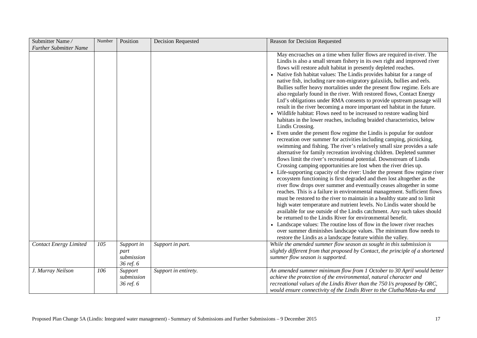| Submitter Name/               | Number | Position                                      | <b>Decision Requested</b> | Reason for Decision Requested                                                                                                                                                                                                                                                                                                                                                                                                                                                                                                                                                                                                                                                                                                                                                                                                                                                                                                                                                                                                                                                                                                                                                                                                                                                                                                                                                                                                                                                                                                                                                                                                                                                                                                                                                                                                                                                                                                                                                                                                                                                                                                                 |
|-------------------------------|--------|-----------------------------------------------|---------------------------|-----------------------------------------------------------------------------------------------------------------------------------------------------------------------------------------------------------------------------------------------------------------------------------------------------------------------------------------------------------------------------------------------------------------------------------------------------------------------------------------------------------------------------------------------------------------------------------------------------------------------------------------------------------------------------------------------------------------------------------------------------------------------------------------------------------------------------------------------------------------------------------------------------------------------------------------------------------------------------------------------------------------------------------------------------------------------------------------------------------------------------------------------------------------------------------------------------------------------------------------------------------------------------------------------------------------------------------------------------------------------------------------------------------------------------------------------------------------------------------------------------------------------------------------------------------------------------------------------------------------------------------------------------------------------------------------------------------------------------------------------------------------------------------------------------------------------------------------------------------------------------------------------------------------------------------------------------------------------------------------------------------------------------------------------------------------------------------------------------------------------------------------------|
| <b>Further Submitter Name</b> |        |                                               |                           |                                                                                                                                                                                                                                                                                                                                                                                                                                                                                                                                                                                                                                                                                                                                                                                                                                                                                                                                                                                                                                                                                                                                                                                                                                                                                                                                                                                                                                                                                                                                                                                                                                                                                                                                                                                                                                                                                                                                                                                                                                                                                                                                               |
|                               |        |                                               |                           | May encroaches on a time when fuller flows are required in-river. The<br>Lindis is also a small stream fishery in its own right and improved river<br>flows will restore adult habitat in presently depleted reaches.<br>Native fish habitat values: The Lindis provides habitat for a range of<br>native fish, including rare non-migratory galaxiids, bullies and eels.<br>Bullies suffer heavy mortalities under the present flow regime. Eels are<br>also regularly found in the river. With restored flows, Contact Energy<br>Ltd's obligations under RMA consents to provide upstream passage will<br>result in the river becoming a more important eel habitat in the future.<br>• Wildlife habitat: Flows need to be increased to restore wading bird<br>habitats in the lower reaches, including braided characteristics, below<br>Lindis Crossing.<br>• Even under the present flow regime the Lindis is popular for outdoor<br>recreation over summer for activities including camping, picnicking,<br>swimming and fishing. The river's relatively small size provides a safe<br>alternative for family recreation involving children. Depleted summer<br>flows limit the river's recreational potential. Downstream of Lindis<br>Crossing camping opportunities are lost when the river dries up.<br>Life-supporting capacity of the river: Under the present flow regime river<br>ecosystem functioning is first degraded and then lost altogether as the<br>river flow drops over summer and eventually ceases altogether in some<br>reaches. This is a failure in environmental management. Sufficient flows<br>must be restored to the river to maintain in a healthy state and to limit<br>high water temperature and nutrient levels. No Lindis water should be<br>available for use outside of the Lindis catchment. Any such takes should<br>be returned to the Lindis River for environmental benefit.<br>• Landscape values: The routine loss of flow in the lower river reaches<br>over summer diminishes landscape values. The minimum flow needs to<br>restore the Lindis as a landscape feature within the valley. |
| <b>Contact Energy Limited</b> | 105    | Support in<br>part<br>submission<br>36 ref. 6 | Support in part.          | While the amended summer flow season as sought in this submission is<br>slightly different from that proposed by Contact, the principle of a shortened<br>summer flow season is supported.                                                                                                                                                                                                                                                                                                                                                                                                                                                                                                                                                                                                                                                                                                                                                                                                                                                                                                                                                                                                                                                                                                                                                                                                                                                                                                                                                                                                                                                                                                                                                                                                                                                                                                                                                                                                                                                                                                                                                    |
| J. Murray Neilson             | 106    | Support<br>submission<br>36 ref. 6            | Support in entirety.      | An amended summer minimum flow from 1 October to 30 April would better<br>achieve the protection of the environmental, natural character and<br>recreational values of the Lindis River than the 750 l/s proposed by ORC,<br>would ensure connectivity of the Lindis River to the Clutha/Mata-Au and                                                                                                                                                                                                                                                                                                                                                                                                                                                                                                                                                                                                                                                                                                                                                                                                                                                                                                                                                                                                                                                                                                                                                                                                                                                                                                                                                                                                                                                                                                                                                                                                                                                                                                                                                                                                                                          |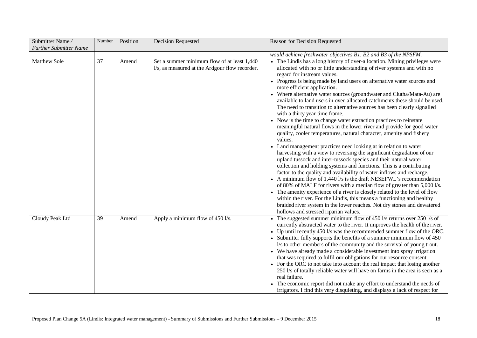| Submitter Name/               | Number | Position | <b>Decision Requested</b>                                                                     | Reason for Decision Requested                                                                                                                                                                                                                                                                                                                                                                                                                                                                                                                                                                                                                                                                                                                                                                                                                                                                                                                                                                                                                                                                                                                                                                                                                                                                                                                                                                                                                                                                                                                                                                               |
|-------------------------------|--------|----------|-----------------------------------------------------------------------------------------------|-------------------------------------------------------------------------------------------------------------------------------------------------------------------------------------------------------------------------------------------------------------------------------------------------------------------------------------------------------------------------------------------------------------------------------------------------------------------------------------------------------------------------------------------------------------------------------------------------------------------------------------------------------------------------------------------------------------------------------------------------------------------------------------------------------------------------------------------------------------------------------------------------------------------------------------------------------------------------------------------------------------------------------------------------------------------------------------------------------------------------------------------------------------------------------------------------------------------------------------------------------------------------------------------------------------------------------------------------------------------------------------------------------------------------------------------------------------------------------------------------------------------------------------------------------------------------------------------------------------|
| <b>Further Submitter Name</b> |        |          |                                                                                               |                                                                                                                                                                                                                                                                                                                                                                                                                                                                                                                                                                                                                                                                                                                                                                                                                                                                                                                                                                                                                                                                                                                                                                                                                                                                                                                                                                                                                                                                                                                                                                                                             |
|                               |        |          |                                                                                               | would achieve freshwater objectives B1, B2 and B3 of the NPSFM.                                                                                                                                                                                                                                                                                                                                                                                                                                                                                                                                                                                                                                                                                                                                                                                                                                                                                                                                                                                                                                                                                                                                                                                                                                                                                                                                                                                                                                                                                                                                             |
| <b>Matthew Sole</b>           | 37     | Amend    | Set a summer minimum flow of at least 1,440<br>l/s, as measured at the Ardgour flow recorder. | • The Lindis has a long history of over-allocation. Mining privileges were<br>allocated with no or little understanding of river systems and with no<br>regard for instream values.<br>• Progress is being made by land users on alternative water sources and<br>more efficient application.<br>• Where alternative water sources (groundwater and Clutha/Mata-Au) are<br>available to land users in over-allocated catchments these should be used.<br>The need to transition to alternative sources has been clearly signalled<br>with a thirty year time frame.<br>• Now is the time to change water extraction practices to reinstate<br>meaningful natural flows in the lower river and provide for good water<br>quality, cooler temperatures, natural character, amenity and fishery<br>values.<br>• Land management practices need looking at in relation to water<br>harvesting with a view to reversing the significant degradation of our<br>upland tussock and inter-tussock species and their natural water<br>collection and holding systems and functions. This is a contributing<br>factor to the quality and availability of water inflows and recharge.<br>• A minimum flow of $1,440$ l/s is the draft NESEFWL's recommendation<br>of 80% of MALF for rivers with a median flow of greater than 5,000 l/s.<br>• The amenity experience of a river is closely related to the level of flow<br>within the river. For the Lindis, this means a functioning and healthy<br>braided river system in the lower reaches. Not dry stones and dewatered<br>hollows and stressed riparian values. |
| Cloudy Peak Ltd               | 39     | Amend    | Apply a minimum flow of 450 l/s.                                                              | • The suggested summer minimum flow of 450 $1/s$ returns over 250 $1/s$ of<br>currently abstracted water to the river. It improves the health of the river.<br>• Up until recently 450 l/s was the recommended summer flow of the ORC.<br>• Submitter fully supports the benefits of a summer minimum flow of 450<br>l/s to other members of the community and the survival of young trout.<br>• We have already made a considerable investment into spray irrigation<br>that was required to fulfil our obligations for our resource consent.<br>• For the ORC to not take into account the real impact that losing another<br>250 l/s of totally reliable water will have on farms in the area is seen as a<br>real failure.<br>• The economic report did not make any effort to understand the needs of<br>irrigators. I find this very disquieting, and displays a lack of respect for                                                                                                                                                                                                                                                                                                                                                                                                                                                                                                                                                                                                                                                                                                                  |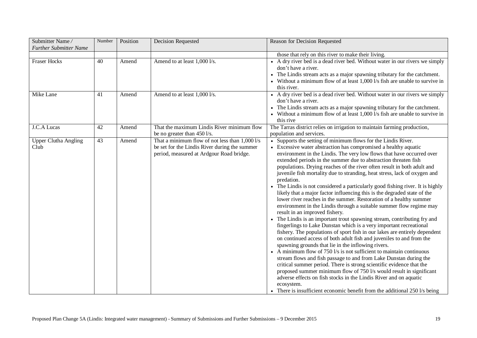| Submitter Name/<br><b>Further Submitter Name</b> | Number | Position | <b>Decision Requested</b>                                                                                                                   | Reason for Decision Requested                                                                                                                                                                                                                                                                                                                                                                                                                                                                                                                                                                                                                                                                                                                                                                                                                                                                                                                                                                                                                                                                                                                                                                                                                                                                                                                                                                                                                                                                                                                                                                                            |
|--------------------------------------------------|--------|----------|---------------------------------------------------------------------------------------------------------------------------------------------|--------------------------------------------------------------------------------------------------------------------------------------------------------------------------------------------------------------------------------------------------------------------------------------------------------------------------------------------------------------------------------------------------------------------------------------------------------------------------------------------------------------------------------------------------------------------------------------------------------------------------------------------------------------------------------------------------------------------------------------------------------------------------------------------------------------------------------------------------------------------------------------------------------------------------------------------------------------------------------------------------------------------------------------------------------------------------------------------------------------------------------------------------------------------------------------------------------------------------------------------------------------------------------------------------------------------------------------------------------------------------------------------------------------------------------------------------------------------------------------------------------------------------------------------------------------------------------------------------------------------------|
|                                                  |        |          |                                                                                                                                             | those that rely on this river to make their living.                                                                                                                                                                                                                                                                                                                                                                                                                                                                                                                                                                                                                                                                                                                                                                                                                                                                                                                                                                                                                                                                                                                                                                                                                                                                                                                                                                                                                                                                                                                                                                      |
| <b>Fraser Hocks</b>                              | 40     | Amend    | Amend to at least 1,000 l/s.                                                                                                                | • A dry river bed is a dead river bed. Without water in our rivers we simply<br>don't have a river.<br>The Lindis stream acts as a major spawning tributary for the catchment.<br>• Without a minimum flow of at least 1,000 l/s fish are unable to survive in<br>this river.                                                                                                                                                                                                                                                                                                                                                                                                                                                                                                                                                                                                                                                                                                                                                                                                                                                                                                                                                                                                                                                                                                                                                                                                                                                                                                                                            |
| Mike Lane                                        | 41     | Amend    | Amend to at least 1,000 l/s.                                                                                                                | • A dry river bed is a dead river bed. Without water in our rivers we simply<br>don't have a river.<br>• The Lindis stream acts as a major spawning tributary for the catchment.<br>• Without a minimum flow of at least 1,000 l/s fish are unable to survive in<br>this rive                                                                                                                                                                                                                                                                                                                                                                                                                                                                                                                                                                                                                                                                                                                                                                                                                                                                                                                                                                                                                                                                                                                                                                                                                                                                                                                                            |
| J.C.A Lucas                                      | 42     | Amend    | That the maximum Lindis River minimum flow<br>be no greater than 450 l/s.                                                                   | The Tarras district relies on irrigation to maintain farming production,<br>population and services.                                                                                                                                                                                                                                                                                                                                                                                                                                                                                                                                                                                                                                                                                                                                                                                                                                                                                                                                                                                                                                                                                                                                                                                                                                                                                                                                                                                                                                                                                                                     |
| <b>Upper Clutha Angling</b><br>Club              | 43     | Amend    | That a minimum flow of not less than 1,000 l/s<br>be set for the Lindis River during the summer<br>period, measured at Ardgour Road bridge. | • Supports the setting of minimum flows for the Lindis River.<br>• Excessive water abstraction has compromised a healthy aquatic<br>environment in the Lindis. The very low flows that have occurred over<br>extended periods in the summer due to abstraction threaten fish<br>populations. Drying reaches of the river often result in both adult and<br>juvenile fish mortality due to stranding, heat stress, lack of oxygen and<br>predation.<br>• The Lindis is not considered a particularly good fishing river. It is highly<br>likely that a major factor influencing this is the degraded state of the<br>lower river reaches in the summer. Restoration of a healthy summer<br>environment in the Lindis through a suitable summer flow regime may<br>result in an improved fishery.<br>The Lindis is an important trout spawning stream, contributing fry and<br>fingerlings to Lake Dunstan which is a very important recreational<br>fishery. The populations of sport fish in our lakes are entirely dependent<br>on continued access of both adult fish and juveniles to and from the<br>spawning grounds that lie in the inflowing rivers.<br>• A minimum flow of 750 l/s is not sufficient to maintain continuous<br>stream flows and fish passage to and from Lake Dunstan during the<br>critical summer period. There is strong scientific evidence that the<br>proposed summer minimum flow of 750 l/s would result in significant<br>adverse effects on fish stocks in the Lindis River and on aquatic<br>ecosystem.<br>• There is insufficient economic benefit from the additional 250 l/s being |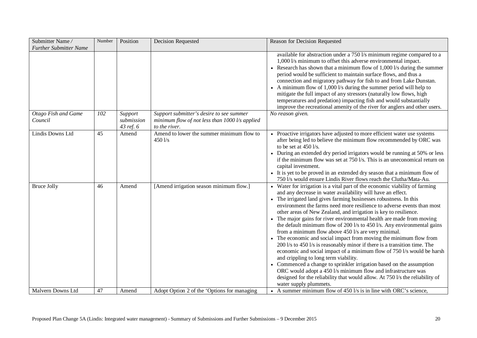| Submitter Name/<br><b>Further Submitter Name</b> | Number | Position                           | <b>Decision Requested</b>                                                                                     | Reason for Decision Requested                                                                                                                                                                                                                                                                                                                                                                                                                                                                                                                                                                                                                                                                                                                                                                                                                                                                                                                                                                                                                                                                 |
|--------------------------------------------------|--------|------------------------------------|---------------------------------------------------------------------------------------------------------------|-----------------------------------------------------------------------------------------------------------------------------------------------------------------------------------------------------------------------------------------------------------------------------------------------------------------------------------------------------------------------------------------------------------------------------------------------------------------------------------------------------------------------------------------------------------------------------------------------------------------------------------------------------------------------------------------------------------------------------------------------------------------------------------------------------------------------------------------------------------------------------------------------------------------------------------------------------------------------------------------------------------------------------------------------------------------------------------------------|
|                                                  |        |                                    |                                                                                                               | available for abstraction under a 750 l/s minimum regime compared to a<br>1,000 l/s minimum to offset this adverse environmental impact.<br>• Research has shown that a minimum flow of $1,000$ l/s during the summer<br>period would be sufficient to maintain surface flows, and thus a<br>connection and migratory pathway for fish to and from Lake Dunstan.<br>• A minimum flow of $1,000$ l/s during the summer period will help to<br>mitigate the full impact of any stressors (naturally low flows, high<br>temperatures and predation) impacting fish and would substantially<br>improve the recreational amenity of the river for anglers and other users.                                                                                                                                                                                                                                                                                                                                                                                                                         |
| Otago Fish and Game<br>Council                   | 102    | Support<br>submission<br>43 ref. 6 | Support submitter's desire to see summer<br>minimum flow of not less than $1000$ l/s applied<br>to the river. | No reason given.                                                                                                                                                                                                                                                                                                                                                                                                                                                                                                                                                                                                                                                                                                                                                                                                                                                                                                                                                                                                                                                                              |
| Lindis Downs Ltd                                 | 45     | Amend                              | Amend to lower the summer minimum flow to<br>450 l/s                                                          | • Proactive irrigators have adjusted to more efficient water use systems<br>after being led to believe the minimum flow recommended by ORC was<br>to be set at 450 l/s.<br>• During an extended dry period irrigators would be running at 50% or less<br>if the minimum flow was set at 750 l/s. This is an uneconomical return on<br>capital investment.<br>• It is yet to be proved in an extended dry season that a minimum flow of<br>750 l/s would ensure Lindis River flows reach the Clutha/Mata-Au.                                                                                                                                                                                                                                                                                                                                                                                                                                                                                                                                                                                   |
| <b>Bruce Jolly</b>                               | 46     | Amend                              | [Amend irrigation season minimum flow.]                                                                       | Water for irrigation is a vital part of the economic viability of farming<br>and any decrease in water availability will have an effect.<br>• The irrigated land gives farming businesses robustness. In this<br>environment the farms need more resilience to adverse events than most<br>other areas of New Zealand, and irrigation is key to resilience.<br>• The major gains for river environmental health are made from moving<br>the default minimum flow of 200 l/s to 450 l/s. Any environmental gains<br>from a minimum flow above 450 l/s are very minimal.<br>The economic and social impact from moving the minimum flow from<br>200 l/s to 450 l/s is reasonably minor if there is a transition time. The<br>economic and social impact of a minimum flow of 750 l/s would be harsh<br>and crippling to long term viability.<br>• Commenced a change to sprinkler irrigation based on the assumption<br>ORC would adopt a 450 l/s minimum flow and infrastructure was<br>designed for the reliability that would allow. At 750 l/s the reliability of<br>water supply plummets. |
| Malvern Downs Ltd                                | 47     | Amend                              | Adopt Option 2 of the 'Options for managing                                                                   | • A summer minimum flow of 450 $1/s$ is in line with ORC's science,                                                                                                                                                                                                                                                                                                                                                                                                                                                                                                                                                                                                                                                                                                                                                                                                                                                                                                                                                                                                                           |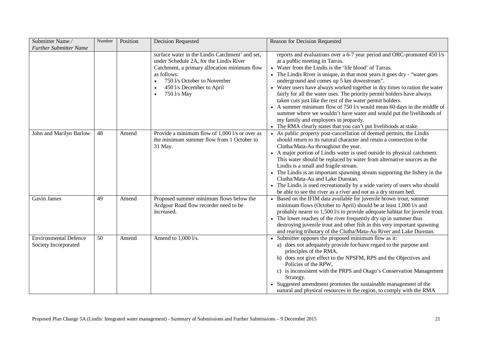| Submitter Name/<br><b>Further Submitter Name</b>     | Number          | Position | <b>Decision Requested</b>                                                                                                                                                                                                                         | Reason for Decision Requested                                                                                                                                                                                                                                                                                                                                                                                                                                                                                                                                                                                                                                                                                                                                                       |
|------------------------------------------------------|-----------------|----------|---------------------------------------------------------------------------------------------------------------------------------------------------------------------------------------------------------------------------------------------------|-------------------------------------------------------------------------------------------------------------------------------------------------------------------------------------------------------------------------------------------------------------------------------------------------------------------------------------------------------------------------------------------------------------------------------------------------------------------------------------------------------------------------------------------------------------------------------------------------------------------------------------------------------------------------------------------------------------------------------------------------------------------------------------|
|                                                      |                 |          | surface water in the Lindis Catchment' and set,<br>under Schedule 2A, for the Lindis River<br>Catchment, a primary allocation minimum flow<br>as follows:<br>750 l/s October to November<br>450 l/s December to April<br>750 l/s May<br>$\bullet$ | reports and evaluations over a 6-7 year period and ORC-promoted 450 l/s<br>at a public meeting in Tarras.<br>• Water from the Lindis is the 'life blood' of Tarras.<br>The Lindis River is unique, in that most years it goes dry - "water goes"<br>underground and comes up 5 km downstream".<br>• Water users have always worked together in dry times to ration the water<br>fairly for all the water uses. The priority permit holders have always<br>taken cuts just like the rest of the water permit holders.<br>• A summer minimum flow of 750 l/s would mean 60 days in the middle of<br>summer where we wouldn't have water and would put the livelihoods of<br>my family and employees in jeopardy.<br>• The RMA clearly states that you can't put livelihoods at stake. |
| John and Marilyn Barlow                              | 48              | Amend    | Provide a minimum flow of 1,000 l/s or over as<br>the minimum summer flow from 1 October to<br>31 May.                                                                                                                                            | • As public property post-cancellation of deemed permits, the Lindis<br>should return to its natural character and retain a connection to the<br>Clutha/Mata-Au throughout the year.<br>• A major portion of Lindis water is used outside its physical catchment.<br>This water should be replaced by water from alternative sources as the<br>Lindis is a small and fragile stream.<br>• The Lindis is an important spawning stream supporting the fishery in the<br>Clutha/Mata-Au and Lake Dunstan.<br>• The Lindis is used recreationally by a wide variety of users who should<br>be able to see the river as a river and not as a dry stream bed.                                                                                                                             |
| Gavin James                                          | 49              | Amend    | Proposed summer minimum flows below the<br>Ardgour Road flow recorder need to be<br>increased.                                                                                                                                                    | • Based on the IFIM data available for juvenile brown trout, summer<br>minimum flows (October to April) should be at least 1,000 l/s and<br>probably nearer to 1,500 l/s to provide adequate habitat for juvenile trout.<br>The lower reaches of the river frequently dry up in summer thus<br>destroying juvenile trout and other fish in this very important spawning<br>and rearing tributary of the Clutha/Mata-Au River and Lake Dunstan.                                                                                                                                                                                                                                                                                                                                      |
| <b>Environmental Defence</b><br>Society Incorporated | $\overline{50}$ | Amend    | Amend to 1,000 l/s.                                                                                                                                                                                                                               | • Submitter opposes the proposed minimum flow as it:<br>a) does not adequately provide for/have regard to the purpose and<br>principles of the RMA,<br>b) does not give effect to the NPSFM, RPS and the Objectives and<br>Policies of the RPW,<br>c) is inconsistent with the PRPS and Otago's Conservation Management<br>Strategy.<br>• Suggested amendment promotes the sustainable management of the<br>natural and physical resources in the region, to comply with the RMA                                                                                                                                                                                                                                                                                                    |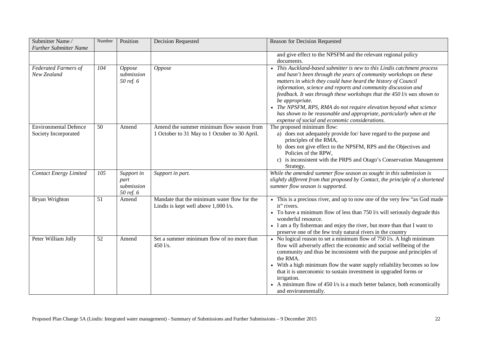| Submitter Name/<br><b>Further Submitter Name</b>     | Number | Position                                      | <b>Decision Requested</b>                                                                  | Reason for Decision Requested                                                                                                                                                                                                                                                                                                                                                                                                                                                                                                                                               |
|------------------------------------------------------|--------|-----------------------------------------------|--------------------------------------------------------------------------------------------|-----------------------------------------------------------------------------------------------------------------------------------------------------------------------------------------------------------------------------------------------------------------------------------------------------------------------------------------------------------------------------------------------------------------------------------------------------------------------------------------------------------------------------------------------------------------------------|
|                                                      |        |                                               |                                                                                            | and give effect to the NPSFM and the relevant regional policy<br>documents.                                                                                                                                                                                                                                                                                                                                                                                                                                                                                                 |
| <b>Federated Farmers of</b><br>New Zealand           | 104    | <b>Oppose</b><br>submission<br>50 ref. 6      | Oppose                                                                                     | • This Auckland-based submitter is new to this Lindis catchment process<br>and hasn't been through the years of community workshops on these<br>matters in which they could have heard the history of Council<br>information, science and reports and community discussion and<br>feedback. It was through these workshops that the 450 l/s was shown to<br>be appropriate.<br>• The NPSFM, RPS, RMA do not require elevation beyond what science<br>has shown to be reasonable and appropriate, particularly when at the<br>expense of social and economic considerations. |
| <b>Environmental Defence</b><br>Society Incorporated | 50     | Amend                                         | Amend the summer minimum flow season from<br>1 October to 31 May to 1 October to 30 April. | The proposed minimum flow:<br>a) does not adequately provide for/have regard to the purpose and<br>principles of the RMA,<br>b) does not give effect to the NPSFM, RPS and the Objectives and<br>Policies of the RPW,<br>c) is inconsistent with the PRPS and Otago's Conservation Management<br>Strategy.                                                                                                                                                                                                                                                                  |
| <b>Contact Energy Limited</b>                        | 105    | Support in<br>part<br>submission<br>50 ref. 6 | Support in part.                                                                           | While the amended summer flow season as sought in this submission is<br>slightly different from that proposed by Contact, the principle of a shortened<br>summer flow season is supported.                                                                                                                                                                                                                                                                                                                                                                                  |
| Bryan Wrighton                                       | 51     | Amend                                         | Mandate that the minimum water flow for the<br>Lindis is kept well above 1,000 l/s.        | • This is a precious river, and up to now one of the very few "as God made"<br>it" rivers.<br>To have a minimum flow of less than 750 l/s will seriously degrade this<br>wonderful resource.<br>• I am a fly fisherman and enjoy the river, but more than that I want to<br>preserve one of the few truly natural rivers in the country                                                                                                                                                                                                                                     |
| Peter William Jolly                                  | 52     | Amend                                         | Set a summer minimum flow of no more than<br>$450$ l/s.                                    | • No logical reason to set a minimum flow of $750 \text{ l/s}$ . A high minimum<br>flow will adversely affect the economic and social wellbeing of the<br>community and thus be inconsistent with the purpose and principles of<br>the RMA.<br>• With a high minimum flow the water supply reliability becomes so low<br>that it is uneconomic to sustain investment in upgraded forms or<br>irrigation.<br>• A minimum flow of 450 l/s is a much better balance, both economically<br>and environmentally.                                                                 |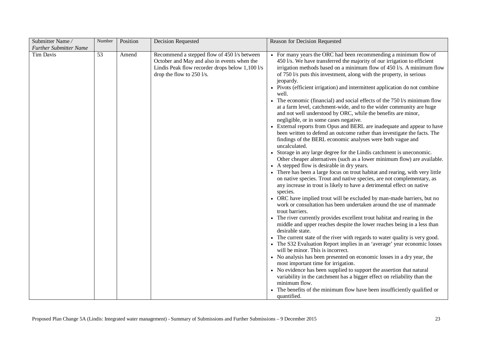| Submitter Name/               | Number | Position | <b>Decision Requested</b>                                                                                                                                                    | Reason for Decision Requested                                                                                                                                                                                                                                                                                                                                                                                                                                                                                                                                                                                                                                                                                                                                                                                                                                                                                                                                                                                                                                                                                                                                                                                                                                                                                                                                                                                                                                                                                                                                                                                                                                                                                                                                                                                                                                                                                                                                                                                                                                                                                                                                                                                                                                                                           |
|-------------------------------|--------|----------|------------------------------------------------------------------------------------------------------------------------------------------------------------------------------|---------------------------------------------------------------------------------------------------------------------------------------------------------------------------------------------------------------------------------------------------------------------------------------------------------------------------------------------------------------------------------------------------------------------------------------------------------------------------------------------------------------------------------------------------------------------------------------------------------------------------------------------------------------------------------------------------------------------------------------------------------------------------------------------------------------------------------------------------------------------------------------------------------------------------------------------------------------------------------------------------------------------------------------------------------------------------------------------------------------------------------------------------------------------------------------------------------------------------------------------------------------------------------------------------------------------------------------------------------------------------------------------------------------------------------------------------------------------------------------------------------------------------------------------------------------------------------------------------------------------------------------------------------------------------------------------------------------------------------------------------------------------------------------------------------------------------------------------------------------------------------------------------------------------------------------------------------------------------------------------------------------------------------------------------------------------------------------------------------------------------------------------------------------------------------------------------------------------------------------------------------------------------------------------------------|
| <b>Further Submitter Name</b> |        |          |                                                                                                                                                                              |                                                                                                                                                                                                                                                                                                                                                                                                                                                                                                                                                                                                                                                                                                                                                                                                                                                                                                                                                                                                                                                                                                                                                                                                                                                                                                                                                                                                                                                                                                                                                                                                                                                                                                                                                                                                                                                                                                                                                                                                                                                                                                                                                                                                                                                                                                         |
| Tim Davis                     | 53     | Amend    | Recommend a stepped flow of 450 l/s between<br>October and May and also in events when the<br>Lindis Peak flow recorder drops below 1,100 l/s<br>drop the flow to $250$ l/s. | • For many years the ORC had been recommending a minimum flow of<br>450 l/s. We have transferred the majority of our irrigation to efficient<br>irrigation methods based on a minimum flow of 450 l/s. A minimum flow<br>of 750 l/s puts this investment, along with the property, in serious<br>jeopardy.<br>• Pivots (efficient irrigation) and intermittent application do not combine<br>well.<br>• The economic (financial) and social effects of the $750 \text{ l/s}$ minimum flow<br>at a farm level, catchment-wide, and to the wider community are huge<br>and not well understood by ORC, while the benefits are minor,<br>negligible, or in some cases negative.<br>• External reports from Opus and BERL are inadequate and appear to have<br>been written to defend an outcome rather than investigate the facts. The<br>findings of the BERL economic analyses were both vague and<br>uncalculated.<br>Storage in any large degree for the Lindis catchment is uneconomic.<br>Other cheaper alternatives (such as a lower minimum flow) are available.<br>• A stepped flow is desirable in dry years.<br>• There has been a large focus on trout habitat and rearing, with very little<br>on native species. Trout and native species, are not complementary, as<br>any increase in trout is likely to have a detrimental effect on native<br>species.<br>• ORC have implied trout will be excluded by man-made barriers, but no<br>work or consultation has been undertaken around the use of manmade<br>trout barriers.<br>• The river currently provides excellent trout habitat and rearing in the<br>middle and upper reaches despite the lower reaches being in a less than<br>desirable state.<br>• The current state of the river with regards to water quality is very good.<br>• The S32 Evaluation Report implies in an 'average' year economic losses<br>will be minor. This is incorrect.<br>• No analysis has been presented on economic losses in a dry year, the<br>most important time for irrigation.<br>• No evidence has been supplied to support the assertion that natural<br>variability in the catchment has a bigger effect on reliability than the<br>minimum flow.<br>• The benefits of the minimum flow have been insufficiently qualified or<br>quantified. |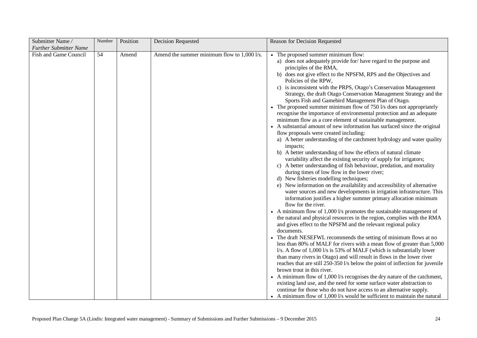| Submitter Name/               | Number | Position | Decision Requested                          | Reason for Decision Requested                                                                                                                                                                                                                                                                                                                                                                                                                                                                                                                                                                                                                                                                                                                                                                                                                                                                                                                                                                                                                                                                                                                                                                                                                                                                                                                                                                                                                                                                                                                                                                                                                                                                                                                                                                                                                                                                                                                                                                                                                                                                                                                                                                                                                                                                                                                                                           |
|-------------------------------|--------|----------|---------------------------------------------|-----------------------------------------------------------------------------------------------------------------------------------------------------------------------------------------------------------------------------------------------------------------------------------------------------------------------------------------------------------------------------------------------------------------------------------------------------------------------------------------------------------------------------------------------------------------------------------------------------------------------------------------------------------------------------------------------------------------------------------------------------------------------------------------------------------------------------------------------------------------------------------------------------------------------------------------------------------------------------------------------------------------------------------------------------------------------------------------------------------------------------------------------------------------------------------------------------------------------------------------------------------------------------------------------------------------------------------------------------------------------------------------------------------------------------------------------------------------------------------------------------------------------------------------------------------------------------------------------------------------------------------------------------------------------------------------------------------------------------------------------------------------------------------------------------------------------------------------------------------------------------------------------------------------------------------------------------------------------------------------------------------------------------------------------------------------------------------------------------------------------------------------------------------------------------------------------------------------------------------------------------------------------------------------------------------------------------------------------------------------------------------------|
| <b>Further Submitter Name</b> |        |          |                                             |                                                                                                                                                                                                                                                                                                                                                                                                                                                                                                                                                                                                                                                                                                                                                                                                                                                                                                                                                                                                                                                                                                                                                                                                                                                                                                                                                                                                                                                                                                                                                                                                                                                                                                                                                                                                                                                                                                                                                                                                                                                                                                                                                                                                                                                                                                                                                                                         |
| Fish and Game Council         | 54     | Amend    | Amend the summer minimum flow to 1,000 l/s. | • The proposed summer minimum flow:<br>a) does not adequately provide for/have regard to the purpose and<br>principles of the RMA,<br>b) does not give effect to the NPSFM, RPS and the Objectives and<br>Policies of the RPW,<br>c) is inconsistent with the PRPS, Otago's Conservation Management<br>Strategy, the draft Otago Conservation Management Strategy and the<br>Sports Fish and Gamebird Management Plan of Otago.<br>• The proposed summer minimum flow of $750$ l/s does not appropriately<br>recognise the importance of environmental protection and an adequate<br>minimum flow as a core element of sustainable management.<br>• A substantial amount of new information has surfaced since the original<br>flow proposals were created including:<br>a) A better understanding of the catchment hydrology and water quality<br>impacts;<br>b) A better understanding of how the effects of natural climate<br>variability affect the existing security of supply for irrigators;<br>c) A better understanding of fish behaviour, predation, and mortality<br>during times of low flow in the lower river;<br>d) New fisheries modelling techniques;<br>e) New information on the availability and accessibility of alternative<br>water sources and new developments in irrigation infrastructure. This<br>information justifies a higher summer primary allocation minimum<br>flow for the river.<br>• A minimum flow of $1,000$ l/s promotes the sustainable management of<br>the natural and physical resources in the region, complies with the RMA<br>and gives effect to the NPSFM and the relevant regional policy<br>documents.<br>• The draft NESEFWL recommends the setting of minimum flows at no<br>less than 80% of MALF for rivers with a mean flow of greater than 5,000<br>l/s. A flow of 1,000 l/s is 53% of MALF (which is substantially lower<br>than many rivers in Otago) and will result in flows in the lower river<br>reaches that are still 250-350 l/s below the point of inflection for juvenile<br>brown trout in this river.<br>• A minimum flow of 1,000 l/s recognises the dry nature of the catchment,<br>existing land use, and the need for some surface water abstraction to<br>continue for those who do not have access to an alternative supply.<br>• A minimum flow of 1,000 l/s would be sufficient to maintain the natural |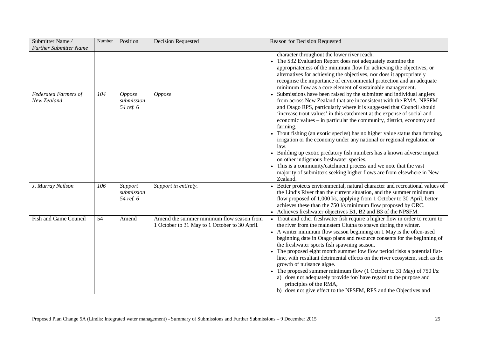| Submitter Name/<br><b>Further Submitter Name</b> | Number | Position                                 | <b>Decision Requested</b>                                                                  | Reason for Decision Requested                                                                                                                                                                                                                                                                                                                                                                                                                                                                                                                                                                                                                                                                                                                                                                                                       |
|--------------------------------------------------|--------|------------------------------------------|--------------------------------------------------------------------------------------------|-------------------------------------------------------------------------------------------------------------------------------------------------------------------------------------------------------------------------------------------------------------------------------------------------------------------------------------------------------------------------------------------------------------------------------------------------------------------------------------------------------------------------------------------------------------------------------------------------------------------------------------------------------------------------------------------------------------------------------------------------------------------------------------------------------------------------------------|
|                                                  |        |                                          |                                                                                            | character throughout the lower river reach.<br>The S32 Evaluation Report does not adequately examine the<br>appropriateness of the minimum flow for achieving the objectives, or<br>alternatives for achieving the objectives, nor does it appropriately<br>recognise the importance of environmental protection and an adequate<br>minimum flow as a core element of sustainable management.                                                                                                                                                                                                                                                                                                                                                                                                                                       |
| <b>Federated Farmers of</b><br>New Zealand       | 104    | <i>Oppose</i><br>submission<br>54 ref. 6 | <b>Oppose</b>                                                                              | • Submissions have been raised by the submitter and individual anglers<br>from across New Zealand that are inconsistent with the RMA, NPSFM<br>and Otago RPS, particularly where it is suggested that Council should<br>'increase trout values' in this catchment at the expense of social and<br>economic values – in particular the community, district, economy and<br>farming.<br>• Trout fishing (an exotic species) has no higher value status than farming,<br>irrigation or the economy under any national or regional regulation or<br>law.<br>• Building up exotic predatory fish numbers has a known adverse impact<br>on other indigenous freshwater species.<br>• This is a community/catchment process and we note that the vast<br>majority of submitters seeking higher flows are from elsewhere in New<br>Zealand. |
| J. Murray Neilson                                | 106    | Support<br>submission<br>54 ref. 6       | Support in entirety.                                                                       | • Better protects environmental, natural character and recreational values of<br>the Lindis River than the current situation, and the summer minimum<br>flow proposed of 1,000 l/s, applying from 1 October to 30 April, better<br>achieves these than the 750 l/s minimum flow proposed by ORC.<br>Achieves freshwater objectives B1, B2 and B3 of the NPSFM.                                                                                                                                                                                                                                                                                                                                                                                                                                                                      |
| <b>Fish and Game Council</b>                     | 54     | Amend                                    | Amend the summer minimum flow season from<br>1 October to 31 May to 1 October to 30 April. | Trout and other freshwater fish require a higher flow in order to return to<br>the river from the mainstem Clutha to spawn during the winter.<br>• A winter minimum flow season beginning on 1 May is the often-used<br>beginning date in Otago plans and resource consents for the beginning of<br>the freshwater sports fish spawning season.<br>• The proposed eight month summer low flow period risks a potential flat-<br>line, with resultant detrimental effects on the river ecosystem, such as the<br>growth of nuisance algae.<br>• The proposed summer minimum flow (1 October to 31 May) of 750 $1/s$ :<br>a) does not adequately provide for/have regard to the purpose and<br>principles of the RMA,<br>b) does not give effect to the NPSFM, RPS and the Objectives and                                             |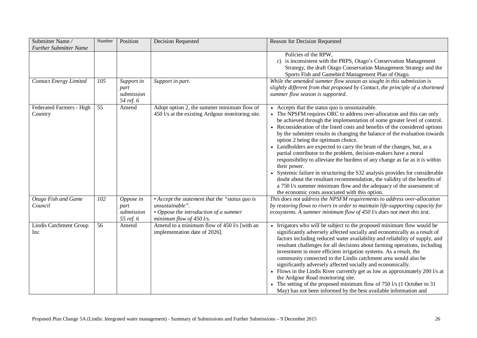| Submitter Name/<br><b>Further Submitter Name</b> | Number          | Position                                      | <b>Decision Requested</b>                                                                                                                          | Reason for Decision Requested                                                                                                                                                                                                                                                                                                                                                                                                                                                                                                                                                                                                                                                                                                                                                                                                                                                                                                              |
|--------------------------------------------------|-----------------|-----------------------------------------------|----------------------------------------------------------------------------------------------------------------------------------------------------|--------------------------------------------------------------------------------------------------------------------------------------------------------------------------------------------------------------------------------------------------------------------------------------------------------------------------------------------------------------------------------------------------------------------------------------------------------------------------------------------------------------------------------------------------------------------------------------------------------------------------------------------------------------------------------------------------------------------------------------------------------------------------------------------------------------------------------------------------------------------------------------------------------------------------------------------|
|                                                  |                 |                                               |                                                                                                                                                    | Policies of the RPW,<br>c) is inconsistent with the PRPS, Otago's Conservation Management<br>Strategy, the draft Otago Conservation Management Strategy and the<br>Sports Fish and Gamebird Management Plan of Otago.                                                                                                                                                                                                                                                                                                                                                                                                                                                                                                                                                                                                                                                                                                                      |
| <b>Contact Energy Limited</b>                    | 105             | Support in<br>part<br>submission<br>54 ref. 6 | Support in part.                                                                                                                                   | While the amended summer flow season as sought in this submission is<br>slightly different from that proposed by Contact, the principle of a shortened<br>summer flow season is supported.                                                                                                                                                                                                                                                                                                                                                                                                                                                                                                                                                                                                                                                                                                                                                 |
| Federated Farmers - High<br>Country              | 55              | Amend                                         | Adopt option 2, the summer minimum flow of<br>450 l/s at the existing Ardgour monitoring site.                                                     | • Accepts that the status quo is unsustainable.<br>The NPSFM requires ORC to address over-allocation and this can only<br>be achieved through the implementation of some greater level of control.<br>• Reconsideration of the listed costs and benefits of the considered options<br>by the submitter results in changing the balance of the evaluation towards<br>option 2 being the optimum choice.<br>• Landholders are expected to carry the brunt of the changes, but, as a<br>partial contributor to the problem, decision-makers have a moral<br>responsibility to alleviate the burdens of any change as far as it is within<br>their power.<br>Systemic failure in structuring the S32 analysis provides for considerable<br>doubt about the resultant recommendation, the validity of the benefits of<br>a 750 l/s summer minimum flow and the adequacy of the assessment of<br>the economic costs associated with this option. |
| Otago Fish and Game<br>Council                   | 102             | Oppose in<br>part<br>submission<br>55 ref. 6  | • Accept the statement that the "status quo is<br>unsustainable".<br>• Oppose the introduction of a summer<br>minimum flow of 450 $\mathit{l/s}$ . | This does not address the NPSFM requirements to address over-allocation<br>by restoring flows to rivers in order to maintain life-supporting capacity for<br>ecosystems. A summer minimum flow of 450 l/s does not meet this test.                                                                                                                                                                                                                                                                                                                                                                                                                                                                                                                                                                                                                                                                                                         |
| Lindis Catchment Group<br>Inc                    | $\overline{56}$ | Amend                                         | Amend to a minimum flow of 450 l/s [with an<br>implementation date of 2026].                                                                       | • Irrigators who will be subject to the proposed minimum flow would be<br>significantly adversely affected socially and economically as a result of<br>factors including reduced water availability and reliability of supply, and<br>resultant challenges for all decisions about farming operations, including<br>investment in more efficient irrigation systems. As a result, the<br>community connected to the Lindis catchment area would also be<br>significantly adversely affected socially and economically.<br>• Flows in the Lindis River currently get as low as approximately 200 l/s at<br>the Ardgour Road monitoring site.<br>• The setting of the proposed minimum flow of 750 l/s (1 October to 31<br>May) has not been informed by the best available information and                                                                                                                                                  |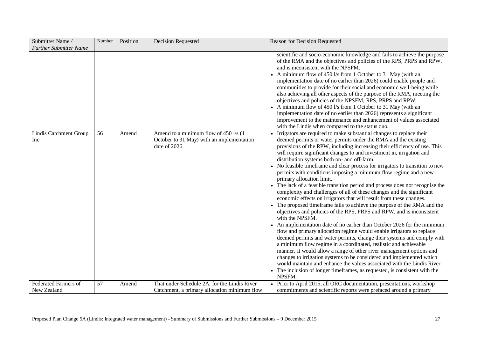| Submitter Name/                            | Number | Position | <b>Decision Requested</b>                                                                            | Reason for Decision Requested                                                                                                                                                                                                                                                                                                                                                                                                                                                                                                                                                                                                                                                                                                                                                                                                                                                                                                                                                                                                                                                                                                                                                                                                                                                                                                                                                                                                                                                                                                                                |
|--------------------------------------------|--------|----------|------------------------------------------------------------------------------------------------------|--------------------------------------------------------------------------------------------------------------------------------------------------------------------------------------------------------------------------------------------------------------------------------------------------------------------------------------------------------------------------------------------------------------------------------------------------------------------------------------------------------------------------------------------------------------------------------------------------------------------------------------------------------------------------------------------------------------------------------------------------------------------------------------------------------------------------------------------------------------------------------------------------------------------------------------------------------------------------------------------------------------------------------------------------------------------------------------------------------------------------------------------------------------------------------------------------------------------------------------------------------------------------------------------------------------------------------------------------------------------------------------------------------------------------------------------------------------------------------------------------------------------------------------------------------------|
| <b>Further Submitter Name</b>              |        |          |                                                                                                      | scientific and socio-economic knowledge and fails to achieve the purpose<br>of the RMA and the objectives and policies of the RPS, PRPS and RPW,<br>and is inconsistent with the NPSFM.<br>• A minimum flow of 450 l/s from 1 October to 31 May (with an<br>implementation date of no earlier than 2026) could enable people and<br>communities to provide for their social and economic well-being while<br>also achieving all other aspects of the purpose of the RMA, meeting the<br>objectives and policies of the NPSFM, RPS, PRPS and RPW.<br>• A minimum flow of 450 l/s from 1 October to 31 May (with an<br>implementation date of no earlier than 2026) represents a significant<br>improvement to the maintenance and enhancement of values associated<br>with the Lindis when compared to the status quo.                                                                                                                                                                                                                                                                                                                                                                                                                                                                                                                                                                                                                                                                                                                                        |
| Lindis Catchment Group<br>Inc              | 56     | Amend    | Amend to a minimum flow of 450 l/s (1)<br>October to 31 May) with an implementation<br>date of 2026. | Irrigators are required to make substantial changes to replace their<br>deemed permits or water permits under the RMA and the existing<br>provisions of the RPW, including increasing their efficiency of use. This<br>will require significant changes to and investment in, irrigation and<br>distribution systems both on- and off-farm.<br>• No feasible timeframe and clear process for irrigators to transition to new<br>permits with conditions imposing a minimum flow regime and a new<br>primary allocation limit.<br>• The lack of a feasible transition period and process does not recognise the<br>complexity and challenges of all of these changes and the significant<br>economic effects on irrigators that will result from these changes.<br>• The proposed timeframe fails to achieve the purpose of the RMA and the<br>objectives and policies of the RPS, PRPS and RPW, and is inconsistent<br>with the NPSFM.<br>• An implementation date of no earlier than October 2026 for the minimum<br>flow and primary allocation regime would enable irrigators to replace<br>deemed permits and water permits, change their systems and comply with<br>a minimum flow regime in a coordinated, realistic and achievable<br>manner. It would allow a range of other river management options and<br>changes to irrigation systems to be considered and implemented which<br>would maintain and enhance the values associated with the Lindis River.<br>• The inclusion of longer timeframes, as requested, is consistent with the<br>NPSFM. |
| <b>Federated Farmers of</b><br>New Zealand | 57     | Amend    | That under Schedule 2A, for the Lindis River<br>Catchment, a primary allocation minimum flow         | • Prior to April 2015, all ORC documentation, presentations, workshop<br>commitments and scientific reports were prefaced around a primary                                                                                                                                                                                                                                                                                                                                                                                                                                                                                                                                                                                                                                                                                                                                                                                                                                                                                                                                                                                                                                                                                                                                                                                                                                                                                                                                                                                                                   |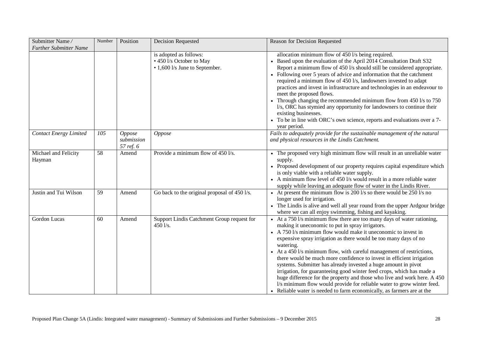| Submitter Name/<br><b>Further Submitter Name</b> | Number | Position                                 | <b>Decision Requested</b>                                                            | Reason for Decision Requested                                                                                                                                                                                                                                                                                                                                                                                                                                                                                                                                                                                                                                                                                                                                                                             |
|--------------------------------------------------|--------|------------------------------------------|--------------------------------------------------------------------------------------|-----------------------------------------------------------------------------------------------------------------------------------------------------------------------------------------------------------------------------------------------------------------------------------------------------------------------------------------------------------------------------------------------------------------------------------------------------------------------------------------------------------------------------------------------------------------------------------------------------------------------------------------------------------------------------------------------------------------------------------------------------------------------------------------------------------|
|                                                  |        |                                          | is adopted as follows:<br>• 450 l/s October to May<br>• 1,600 l/s June to September. | allocation minimum flow of 450 l/s being required.<br>• Based upon the evaluation of the April 2014 Consultation Draft S32<br>Report a minimum flow of 450 l/s should still be considered appropriate.<br>Following over 5 years of advice and information that the catchment<br>required a minimum flow of 450 l/s, landowners invested to adapt<br>practices and invest in infrastructure and technologies in an endeavour to<br>meet the proposed flows.<br>• Through changing the recommended minimum flow from $450 \text{ Vs}$ to $750$<br>l/s, ORC has stymied any opportunity for landowners to continue their<br>existing businesses.<br>• To be in line with ORC's own science, reports and evaluations over a 7-<br>year period.                                                               |
| <b>Contact Energy Limited</b>                    | 105    | <b>Oppose</b><br>submission<br>57 ref. 6 | <b>Oppose</b>                                                                        | Fails to adequately provide for the sustainable management of the natural<br>and physical resources in the Lindis Catchment.                                                                                                                                                                                                                                                                                                                                                                                                                                                                                                                                                                                                                                                                              |
| Michael and Felicity<br>Hayman                   | 58     | Amend                                    | Provide a minimum flow of 450 l/s.                                                   | • The proposed very high minimum flow will result in an unreliable water<br>supply.<br>• Proposed development of our property requires capital expenditure which<br>is only viable with a reliable water supply.<br>A minimum flow level of 450 l/s would result in a more reliable water<br>supply while leaving an adequate flow of water in the Lindis River.                                                                                                                                                                                                                                                                                                                                                                                                                                          |
| Justin and Tui Wilson                            | 59     | Amend                                    | Go back to the original proposal of 450 l/s.                                         | • At present the minimum flow is 200 $1/s$ so there would be 250 $1/s$ no<br>longer used for irrigation.<br>• The Lindis is alive and well all year round from the upper Ardgour bridge<br>where we can all enjoy swimming, fishing and kayaking.                                                                                                                                                                                                                                                                                                                                                                                                                                                                                                                                                         |
| Gordon Lucas                                     | 60     | Amend                                    | Support Lindis Catchment Group request for<br>450 l/s.                               | At a 750 l/s minimum flow there are too many days of water rationing,<br>making it uneconomic to put in spray irrigators.<br>• A 750 l/s minimum flow would make it uneconomic to invest in<br>expensive spray irrigation as there would be too many days of no<br>watering.<br>• At a 450 l/s minimum flow, with careful management of restrictions,<br>there would be much more confidence to invest in efficient irrigation<br>systems. Submitter has already invested a huge amount in pivot<br>irrigation, for guaranteeing good winter feed crops, which has made a<br>huge difference for the property and those who live and work here. A 450<br>l/s minimum flow would provide for reliable water to grow winter feed.<br>• Reliable water is needed to farm economically, as farmers are at the |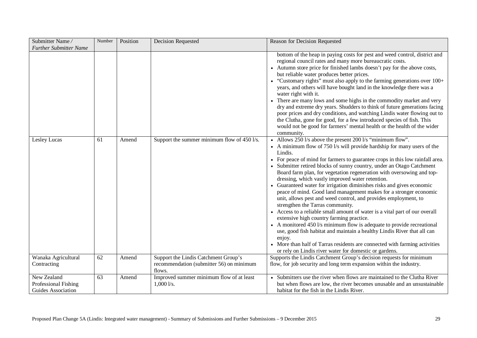| Submitter Name/                                           | Number | Position | <b>Decision Requested</b>                                                                  | Reason for Decision Requested                                                                                                                                                                                                                                                                                                                                                                                                                                                                                                                                                                                                                                                                                                                                                                                                                                                                                                                                                                                                                                                                                                  |
|-----------------------------------------------------------|--------|----------|--------------------------------------------------------------------------------------------|--------------------------------------------------------------------------------------------------------------------------------------------------------------------------------------------------------------------------------------------------------------------------------------------------------------------------------------------------------------------------------------------------------------------------------------------------------------------------------------------------------------------------------------------------------------------------------------------------------------------------------------------------------------------------------------------------------------------------------------------------------------------------------------------------------------------------------------------------------------------------------------------------------------------------------------------------------------------------------------------------------------------------------------------------------------------------------------------------------------------------------|
| <b>Further Submitter Name</b>                             |        |          |                                                                                            |                                                                                                                                                                                                                                                                                                                                                                                                                                                                                                                                                                                                                                                                                                                                                                                                                                                                                                                                                                                                                                                                                                                                |
|                                                           |        |          |                                                                                            | bottom of the heap in paying costs for pest and weed control, district and<br>regional council rates and many more bureaucratic costs.<br>• Autumn store price for finished lambs doesn't pay for the above costs,<br>but reliable water produces better prices.<br>"Customary rights" must also apply to the farming generations over 100+<br>years, and others will have bought land in the knowledge there was a<br>water right with it.<br>• There are many lows and some highs in the commodity market and very<br>dry and extreme dry years. Shudders to think of future generations facing<br>poor prices and dry conditions, and watching Lindis water flowing out to<br>the Clutha, gone for good, for a few introduced species of fish. This<br>would not be good for farmers' mental health or the health of the wider<br>community.                                                                                                                                                                                                                                                                                |
| Lesley Lucas                                              | 61     | Amend    | Support the summer minimum flow of 450 l/s.                                                | • Allows 250 l/s above the present 200 l/s "minimum flow".<br>• A minimum flow of 750 l/s will provide hardship for many users of the<br>Lindis.<br>• For peace of mind for farmers to guarantee crops in this low rainfall area.<br>• Submitter retired blocks of sunny country, under an Otago Catchment<br>Board farm plan, for vegetation regeneration with oversowing and top-<br>dressing, which vastly improved water retention.<br>• Guaranteed water for irrigation diminishes risks and gives economic<br>peace of mind. Good land management makes for a stronger economic<br>unit, allows pest and weed control, and provides employment, to<br>strengthen the Tarras community.<br>• Access to a reliable small amount of water is a vital part of our overall<br>extensive high country farming practice.<br>• A monitored 450 l/s minimum flow is adequate to provide recreational<br>use, good fish habitat and maintain a healthy Lindis River that all can<br>enjoy.<br>• More than half of Tarras residents are connected with farming activities<br>or rely on Lindis river water for domestic or gardens. |
| Wanaka Agricultural<br>Contracting                        | 62     | Amend    | Support the Lindis Catchment Group's<br>recommendation (submitter 56) on minimum<br>flows. | Supports the Lindis Catchment Group's decision requests for minimum<br>flow, for job security and long term expansion within the industry.                                                                                                                                                                                                                                                                                                                                                                                                                                                                                                                                                                                                                                                                                                                                                                                                                                                                                                                                                                                     |
| New Zealand<br>Professional Fishing<br>Guides Association | 63     | Amend    | Improved summer minimum flow of at least<br>1,0001/s.                                      | Submitters use the river when flows are maintained to the Clutha River<br>but when flows are low, the river becomes unusable and an unsustainable<br>habitat for the fish in the Lindis River.                                                                                                                                                                                                                                                                                                                                                                                                                                                                                                                                                                                                                                                                                                                                                                                                                                                                                                                                 |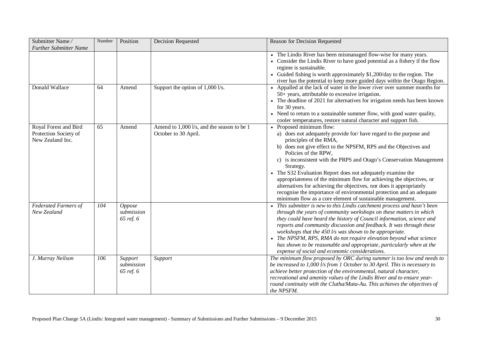| Submitter Name/<br><b>Further Submitter Name</b>                   | Number | Position                                 | Decision Requested                                                 | Reason for Decision Requested                                                                                                                                                                                                                                                                                                                                                                                                                                                                                                                                                                                                                                |
|--------------------------------------------------------------------|--------|------------------------------------------|--------------------------------------------------------------------|--------------------------------------------------------------------------------------------------------------------------------------------------------------------------------------------------------------------------------------------------------------------------------------------------------------------------------------------------------------------------------------------------------------------------------------------------------------------------------------------------------------------------------------------------------------------------------------------------------------------------------------------------------------|
|                                                                    |        |                                          |                                                                    | • The Lindis River has been mismanaged flow-wise for many years.<br>• Consider the Lindis River to have good potential as a fishery if the flow<br>regime is sustainable.<br>Guided fishing is worth approximately \$1,200/day to the region. The<br>river has the potential to keep more guided days within the Otago Region.                                                                                                                                                                                                                                                                                                                               |
| Donald Wallace                                                     | 64     | Amend                                    | Support the option of 1,000 l/s.                                   | • Appalled at the lack of water in the lower river over summer months for<br>50+ years, attributable to excessive irrigation.<br>• The deadline of 2021 for alternatives for irrigation needs has been known<br>for 30 years.<br>• Need to return to a sustainable summer flow, with good water quality,<br>cooler temperatures, restore natural character and support fish.                                                                                                                                                                                                                                                                                 |
| Royal Forest and Bird<br>Protection Society of<br>New Zealand Inc. | 65     | Amend                                    | Amend to 1,000 l/s, and the season to be 1<br>October to 30 April. | • Proposed minimum flow:<br>a) does not adequately provide for/have regard to the purpose and<br>principles of the RMA,<br>b) does not give effect to the NPSFM, RPS and the Objectives and<br>Policies of the RPW,<br>c) is inconsistent with the PRPS and Otago's Conservation Management<br>Strategy.<br>• The S32 Evaluation Report does not adequately examine the<br>appropriateness of the minimum flow for achieving the objectives, or<br>alternatives for achieving the objectives, nor does it appropriately<br>recognise the importance of environmental protection and an adequate<br>minimum flow as a core element of sustainable management. |
| <b>Federated Farmers of</b><br>New Zealand                         | 104    | <b>Oppose</b><br>submission<br>65 ref. 6 |                                                                    | This submitter is new to this Lindis catchment process and hasn't been<br>through the years of community workshops on these matters in which<br>they could have heard the history of Council information, science and<br>reports and community discussion and feedback. It was through these<br>workshops that the $450$ l/s was shown to be appropriate.<br>• The NPSFM, RPS, RMA do not require elevation beyond what science<br>has shown to be reasonable and appropriate, particularly when at the<br>expense of social and economic considerations.                                                                                                    |
| J. Murray Neilson                                                  | 106    | Support<br>submission<br>65 ref. 6       | Support                                                            | The minimum flow proposed by ORC during summer is too low and needs to<br>be increased to 1,000 l/s from 1 October to 30 April. This is necessary to<br>achieve better protection of the environmental, natural character,<br>recreational and amenity values of the Lindis River and to ensure year-<br>round continuity with the Clutha/Mata-Au. This achieves the objectives of<br>the NPSFM.                                                                                                                                                                                                                                                             |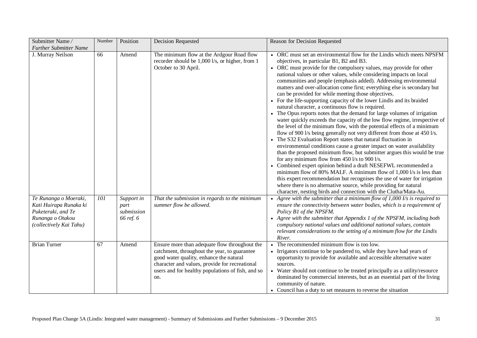| Submitter Name/<br><b>Further Submitter Name</b>                                                                     | Number | Position                                      | <b>Decision Requested</b>                                                                                                                                                                                                                              | Reason for Decision Requested                                                                                                                                                                                                                                                                                                                                                                                                                                                                                                                                                                                                                                                                                                                                                                                                                                                                                                                                                                                                                                                                                                                                                                                                                                                                                                                                                                                                                                                                                                                                |
|----------------------------------------------------------------------------------------------------------------------|--------|-----------------------------------------------|--------------------------------------------------------------------------------------------------------------------------------------------------------------------------------------------------------------------------------------------------------|--------------------------------------------------------------------------------------------------------------------------------------------------------------------------------------------------------------------------------------------------------------------------------------------------------------------------------------------------------------------------------------------------------------------------------------------------------------------------------------------------------------------------------------------------------------------------------------------------------------------------------------------------------------------------------------------------------------------------------------------------------------------------------------------------------------------------------------------------------------------------------------------------------------------------------------------------------------------------------------------------------------------------------------------------------------------------------------------------------------------------------------------------------------------------------------------------------------------------------------------------------------------------------------------------------------------------------------------------------------------------------------------------------------------------------------------------------------------------------------------------------------------------------------------------------------|
| J. Murray Neilson                                                                                                    | 66     | Amend                                         | The minimum flow at the Ardgour Road flow<br>recorder should be 1,000 l/s, or higher, from 1<br>October to 30 April.                                                                                                                                   | • ORC must set an environmental flow for the Lindis which meets NPSFM<br>objectives, in particular B1, B2 and B3.<br>ORC must provide for the compulsory values, may provide for other<br>national values or other values, while considering impacts on local<br>communities and people (emphasis added). Addressing environmental<br>matters and over-allocation come first; everything else is secondary but<br>can be provided for while meeting those objectives.<br>• For the life-supporting capacity of the lower Lindis and its braided<br>natural character, a continuous flow is required.<br>• The Opus reports notes that the demand for large volumes of irrigation<br>water quickly exceeds the capacity of the low flow regime, irrespective of<br>the level of the minimum flow, with the potential effects of a minimum<br>flow of 900 l/s being generally not very different from those at 450 l/s.<br>• The S32 Evaluation Report states that natural fluctuation in<br>environmental conditions cause a greater impact on water availability<br>than the proposed minimum flow, but submitter argues this would be true<br>for any minimum flow from $450$ l/s to $900$ l/s.<br>Combined expert opinion behind a draft NESEFWL recommended a<br>minimum flow of 80% MALF. A minimum flow of 1,000 l/s is less than<br>this expert recommendation but recognises the use of water for irrigation<br>where there is no alternative source, while providing for natural<br>character, nesting birds and connection with the Clutha/Mata-Au. |
| Te Runanga o Moeraki,<br>Kati Huirapa Runaka ki<br>Puketeraki, and Te<br>Runanga o Otakou<br>(collectively Kai Tahu) | 101    | Support in<br>part<br>submission<br>66 ref. 6 | That the submission in regards to the minimum<br>summer flow be allowed.                                                                                                                                                                               | Agree with the submitter that a minimum flow of $1,000$ I/s is required to<br>ensure the connectivity between water bodies, which is a requirement of<br>Policy B1 of the NPSFM.<br>• Agree with the submitter that Appendix 1 of the NPSFM, including both<br>compulsory national values and additional national values, contain<br>relevant considerations to the setting of a minimum flow for the Lindis<br>River.                                                                                                                                                                                                                                                                                                                                                                                                                                                                                                                                                                                                                                                                                                                                                                                                                                                                                                                                                                                                                                                                                                                                       |
| <b>Brian Turner</b>                                                                                                  | 67     | Amend                                         | Ensure more than adequate flow throughout the<br>catchment, throughout the year, to guarantee<br>good water quality, enhance the natural<br>character and values, provide for recreational<br>users and for healthy populations of fish, and so<br>on. | The recommended minimum flow is too low.<br>• Irrigators continue to be pandered to, while they have had years of<br>opportunity to provide for available and accessible alternative water<br>sources.<br>• Water should not continue to be treated principally as a utility/resource<br>dominated by commercial interests, but as an essential part of the living<br>community of nature.<br>• Council has a duty to set measures to reverse the situation                                                                                                                                                                                                                                                                                                                                                                                                                                                                                                                                                                                                                                                                                                                                                                                                                                                                                                                                                                                                                                                                                                  |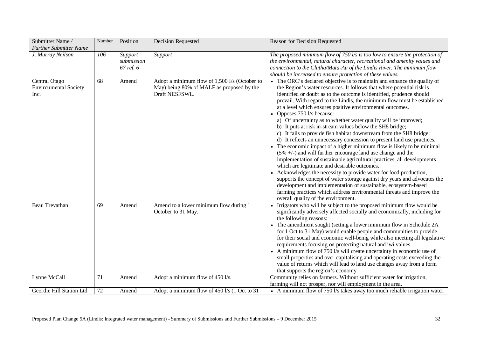| Submitter Name/                                       | Number | Position                           | <b>Decision Requested</b>                                                                                    | Reason for Decision Requested                                                                                                                                                                                                                                                                                                                                                                                                                                                                                                                                                                                                                                                                                                                                                                                                                                                                                                                                                                                                                                                                                                                                                                                                                                                             |
|-------------------------------------------------------|--------|------------------------------------|--------------------------------------------------------------------------------------------------------------|-------------------------------------------------------------------------------------------------------------------------------------------------------------------------------------------------------------------------------------------------------------------------------------------------------------------------------------------------------------------------------------------------------------------------------------------------------------------------------------------------------------------------------------------------------------------------------------------------------------------------------------------------------------------------------------------------------------------------------------------------------------------------------------------------------------------------------------------------------------------------------------------------------------------------------------------------------------------------------------------------------------------------------------------------------------------------------------------------------------------------------------------------------------------------------------------------------------------------------------------------------------------------------------------|
| <b>Further Submitter Name</b>                         |        |                                    |                                                                                                              |                                                                                                                                                                                                                                                                                                                                                                                                                                                                                                                                                                                                                                                                                                                                                                                                                                                                                                                                                                                                                                                                                                                                                                                                                                                                                           |
| J. Murray Neilson                                     | 106    | Support<br>submission<br>67 ref. 6 | Support                                                                                                      | The proposed minimum flow of 750 $\mathit{l/s}$ is too low to ensure the protection of<br>the environmental, natural character, recreational and amenity values and<br>connection to the Clutha/Mata-Au of the Lindis River. The minimum flow<br>should be increased to ensure protection of these values.                                                                                                                                                                                                                                                                                                                                                                                                                                                                                                                                                                                                                                                                                                                                                                                                                                                                                                                                                                                |
| Central Otago<br><b>Environmental Society</b><br>Inc. | 68     | Amend                              | Adopt a minimum flow of 1,500 I/s (October to<br>May) being 80% of MALF as proposed by the<br>Draft NESFSWL. | The ORC's declared objective is to maintain and enhance the quality of<br>the Region's water resources. It follows that where potential risk is<br>identified or doubt as to the outcome is identified, prudence should<br>prevail. With regard to the Lindis, the minimum flow must be established<br>at a level which ensures positive environmental outcomes.<br>• Opposes 750 l/s because:<br>a) Of uncertainty as to whether water quality will be improved;<br>b) It puts at risk in-stream values below the SH8 bridge;<br>c) It fails to provide fish habitat downstream from the SH8 bridge;<br>d) It reflects an unnecessary concession to present land use practices.<br>• The economic impact of a higher minimum flow is likely to be minimal<br>$(5\% +/-)$ and will further encourage land use change and the<br>implementation of sustainable agricultural practices, all developments<br>which are legitimate and desirable outcomes.<br>Acknowledges the necessity to provide water for food production,<br>supports the concept of water storage against dry years and advocates the<br>development and implementation of sustainable, ecosystem-based<br>farming practices which address environmental threats and improve the<br>overall quality of the environment. |
| Beau Trevathan                                        | 69     | Amend                              | Amend to a lower minimum flow during 1<br>October to 31 May.                                                 | • Irrigators who will be subject to the proposed minimum flow would be<br>significantly adversely affected socially and economically, including for<br>the following reasons:<br>The amendment sought (setting a lower minimum flow in Schedule 2A<br>for 1 Oct to 31 May) would enable people and communities to provide<br>for their social and economic well-being while also meeting all legislative<br>requirements focusing on protecting natural and iwi values.<br>• A minimum flow of 750 l/s will create uncertainty in economic use of<br>small properties and over-capitalising and operating costs exceeding the<br>value of returns which will lead to land use changes away from a form<br>that supports the region's economy.                                                                                                                                                                                                                                                                                                                                                                                                                                                                                                                                             |
| Lynne McCall                                          | 71     | Amend                              | Adopt a minimum flow of 450 l/s.                                                                             | Community relies on farmers. Without sufficient water for irrigation,<br>farming will not prosper, nor will employment in the area.                                                                                                                                                                                                                                                                                                                                                                                                                                                                                                                                                                                                                                                                                                                                                                                                                                                                                                                                                                                                                                                                                                                                                       |
| Geordie Hill Station Ltd                              | 72     | Amend                              | Adopt a minimum flow of 450 l/s (1 Oct to 31                                                                 | • A minimum flow of 750 l/s takes away too much reliable irrigation water.                                                                                                                                                                                                                                                                                                                                                                                                                                                                                                                                                                                                                                                                                                                                                                                                                                                                                                                                                                                                                                                                                                                                                                                                                |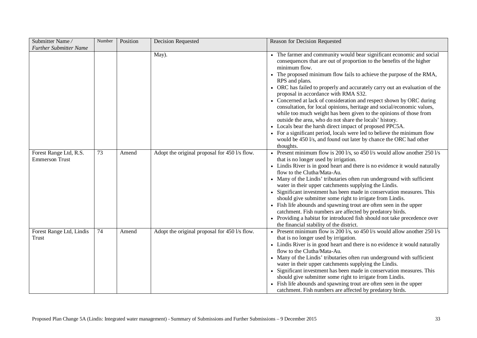| Submitter Name/<br><b>Further Submitter Name</b> | Number | Position | Decision Requested                            | Reason for Decision Requested                                                                                                                                                                                                                                                                                                                                                                                                                                                                                                                                                                                                                                                                                                                                                                                                                                                               |
|--------------------------------------------------|--------|----------|-----------------------------------------------|---------------------------------------------------------------------------------------------------------------------------------------------------------------------------------------------------------------------------------------------------------------------------------------------------------------------------------------------------------------------------------------------------------------------------------------------------------------------------------------------------------------------------------------------------------------------------------------------------------------------------------------------------------------------------------------------------------------------------------------------------------------------------------------------------------------------------------------------------------------------------------------------|
|                                                  |        |          | May).                                         | • The farmer and community would bear significant economic and social<br>consequences that are out of proportion to the benefits of the higher<br>minimum flow.<br>• The proposed minimum flow fails to achieve the purpose of the RMA,<br>RPS and plans.<br>• ORC has failed to properly and accurately carry out an evaluation of the<br>proposal in accordance with RMA S32.<br>• Concerned at lack of consideration and respect shown by ORC during<br>consultation, for local opinions, heritage and social/economic values,<br>while too much weight has been given to the opinions of those from<br>outside the area, who do not share the locals' history.<br>• Locals bear the harsh direct impact of proposed PPC5A.<br>• For a significant period, locals were led to believe the minimum flow<br>would be 450 l/s, and found out later by chance the ORC had other<br>thoughts. |
| Forest Range Ltd, R.S.<br><b>Emmerson Trust</b>  | 73     | Amend    | Adopt the original proposal for 450 l/s flow. | • Present minimum flow is 200 l/s, so 450 l/s would allow another 250 l/s<br>that is no longer used by irrigation.<br>• Lindis River is in good heart and there is no evidence it would naturally<br>flow to the Clutha/Mata-Au.<br>• Many of the Lindis' tributaries often run underground with sufficient<br>water in their upper catchments supplying the Lindis.<br>• Significant investment has been made in conservation measures. This<br>should give submitter some right to irrigate from Lindis.<br>• Fish life abounds and spawning trout are often seen in the upper<br>catchment. Fish numbers are affected by predatory birds.<br>• Providing a habitat for introduced fish should not take precedence over<br>the financial stability of the district.                                                                                                                       |
| Forest Range Ltd, Lindis<br>Trust                | 74     | Amend    | Adopt the original proposal for 450 l/s flow. | • Present minimum flow is 200 l/s, so 450 l/s would allow another 250 l/s<br>that is no longer used by irrigation.<br>• Lindis River is in good heart and there is no evidence it would naturally<br>flow to the Clutha/Mata-Au.<br>• Many of the Lindis' tributaries often run underground with sufficient<br>water in their upper catchments supplying the Lindis.<br>• Significant investment has been made in conservation measures. This<br>should give submitter some right to irrigate from Lindis.<br>• Fish life abounds and spawning trout are often seen in the upper<br>catchment. Fish numbers are affected by predatory birds.                                                                                                                                                                                                                                                |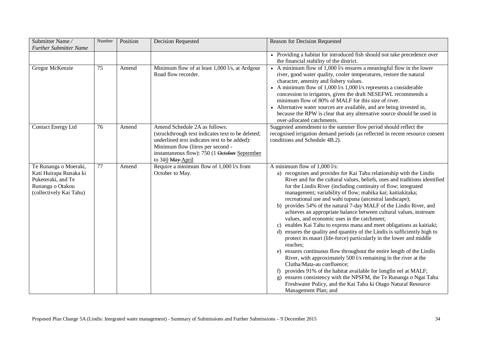| Submitter Name/<br><b>Further Submitter Name</b>                                                                     | Number | Position | <b>Decision Requested</b>                                                                                                                                                                                                                    | Reason for Decision Requested                                                                                                                                                                                                                                                                                                                                                                                                                                                                                                                                                                                                                                                                                                                                                                                                                                                                                                                                                                                                                                                                                                                                                                                                                      |
|----------------------------------------------------------------------------------------------------------------------|--------|----------|----------------------------------------------------------------------------------------------------------------------------------------------------------------------------------------------------------------------------------------------|----------------------------------------------------------------------------------------------------------------------------------------------------------------------------------------------------------------------------------------------------------------------------------------------------------------------------------------------------------------------------------------------------------------------------------------------------------------------------------------------------------------------------------------------------------------------------------------------------------------------------------------------------------------------------------------------------------------------------------------------------------------------------------------------------------------------------------------------------------------------------------------------------------------------------------------------------------------------------------------------------------------------------------------------------------------------------------------------------------------------------------------------------------------------------------------------------------------------------------------------------|
|                                                                                                                      |        |          |                                                                                                                                                                                                                                              | • Providing a habitat for introduced fish should not take precedence over<br>the financial stability of the district.                                                                                                                                                                                                                                                                                                                                                                                                                                                                                                                                                                                                                                                                                                                                                                                                                                                                                                                                                                                                                                                                                                                              |
| Gregor McKenzie                                                                                                      | 75     | Amend    | Minimum flow of at least 1,000 l/s, at Ardgour<br>Road flow recorder.                                                                                                                                                                        | A minimum flow of 1,000 l/s ensures a meaningful flow in the lower<br>river, good water quality, cooler temperatures, restore the natural<br>character, amenity and fishery values.<br>• A minimum flow of $1,000$ l/s $1,000$ l/s represents a considerable<br>concession to irrigators, given the draft NESEFWL recommends a<br>minimum flow of 80% of MALF for this size of river.<br>• Alternative water sources are available, and are being invested in,<br>because the RPW is clear that any alternative source should be used in<br>over-allocated catchments.                                                                                                                                                                                                                                                                                                                                                                                                                                                                                                                                                                                                                                                                             |
| Contact Energy Ltd                                                                                                   | 76     | Amend    | Amend Schedule 2A as follows:<br>(struckthrough text indicates text to be deleted;<br>underlined text indicates text to be added):<br>Minimum flow (litres per second -<br>instantaneous flow): 750 (1 October September<br>to 310 May April | Suggested amendment to the summer flow period should reflect the<br>recognised irrigation demand periods (as reflected in recent resource consent<br>conditions and Schedule 4B.2).                                                                                                                                                                                                                                                                                                                                                                                                                                                                                                                                                                                                                                                                                                                                                                                                                                                                                                                                                                                                                                                                |
| Te Runanga o Moeraki,<br>Kati Huirapa Runaka ki<br>Puketeraki, and Te<br>Runanga o Otakou<br>(collectively Kai Tahu) | 77     | Amend    | Require a minimum flow of 1,000 l/s from<br>October to May.                                                                                                                                                                                  | A minimum flow of 1,000 l/s:<br>a) recognises and provides for Kai Tahu relationship with the Lindis<br>River and for the cultural values, beliefs, uses and traditions identified<br>for the Lindis River (including continuity of flow; integrated<br>management; variability of flow; mahika kai; kaitiakitaka;<br>recreational use and wahi tupuna (ancestral landscape);<br>b) provides 54% of the natural 7-day MALF of the Lindis River, and<br>achieves an appropriate balance between cultural values, instream<br>values, and economic uses in the catchment;<br>enables Kai Tahu to express mana and meet obligations as kaitiaki;<br>c)<br>ensures the quality and quantity of the Lindis is sufficiently high to<br>d)<br>protect its mauri (life-force) particularly in the lower and middle<br>reaches;<br>ensures continuous flow throughout the entire length of the Lindis<br>e)<br>River, with approximately 500 l/s remaining in the river at the<br>Clutha/Mata-au confluence;<br>provides 91% of the habitat available for longfin eel at MALF;<br>ensures consistency with the NPSFM, the Te Runanga o Ngai Tahu<br>$\mathbf{g}$ )<br>Freshwater Policy, and the Kai Tahu ki Otago Natural Resource<br>Management Plan; and |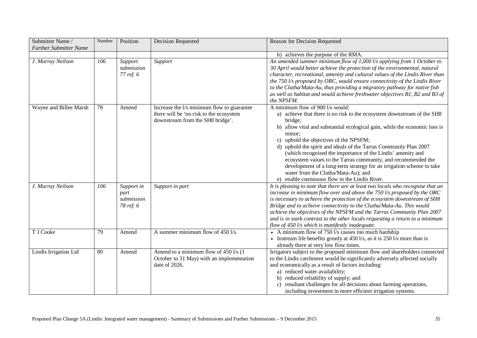| Submitter Name/<br><b>Further Submitter Name</b> | Number          | Position                                      | Decision Requested                                                                                                        | Reason for Decision Requested                                                                                                                                                                                                                                                                                                                                                                                                                                                                                                                                                                                                     |
|--------------------------------------------------|-----------------|-----------------------------------------------|---------------------------------------------------------------------------------------------------------------------------|-----------------------------------------------------------------------------------------------------------------------------------------------------------------------------------------------------------------------------------------------------------------------------------------------------------------------------------------------------------------------------------------------------------------------------------------------------------------------------------------------------------------------------------------------------------------------------------------------------------------------------------|
|                                                  |                 |                                               |                                                                                                                           | h) achieves the purpose of the RMA.                                                                                                                                                                                                                                                                                                                                                                                                                                                                                                                                                                                               |
| J. Murray Neilson                                | 106             | Support<br>submission<br>77 ref. 6            | Support                                                                                                                   | An amended summer minimum flow of 1,000 l/s applying from 1 October to<br>30 April would better achieve the protection of the environmental, natural<br>character, recreational, amenity and cultural values of the Lindis River than<br>the 750 l/s proposed by ORC, would ensure connectivity of the Lindis River<br>to the Clutha/Mata-Au, thus providing a migratory pathway for native fish<br>as well as habitat and would achieve freshwater objectives B1, B2 and B3 of<br>the NPSFM.                                                                                                                                     |
| Wayne and Billee Marsh                           | 78              | Amend                                         | Increase the l/s minimum flow to guarantee<br>there will be 'no risk to the ecosystem<br>downstream from the SH8 bridge'. | A minimum flow of 900 l/s would:<br>a) achieve that there is no risk to the ecosystem downstream of the SH8<br>bridge;<br>b) allow vital and substantial ecological gain, while the economic loss is<br>minor;<br>uphold the objectives of the NPSFM;<br>c)<br>d) uphold the spirit and ideals of the Tarras Community Plan 2007<br>(which recognised the importance of the Lindis' amenity and<br>ecosystem values to the Tarras community, and recommended the<br>development of a long-term strategy for an irrigation scheme to take<br>water from the Clutha/Mata-Au); and<br>e) enable continuous flow in the Lindis River. |
| J. Murray Neilson                                | 106             | Support in<br>part<br>submission<br>78 ref. 6 | Support in part                                                                                                           | It is pleasing to note that there are at least two locals who recognise that an<br>increase in minimum flow over and above the $750$ l/s proposed by the ORC<br>is necessary to achieve the protection of the ecosystem downstream of SH8<br>Bridge and to achieve connectivity to the Clutha/Mata-Au. This would<br>achieve the objectives of the NPSFM and the Tarras Community Plan 2007<br>and is in stark contrast to the other locals requesting a return to a minimum<br>flow of $450$ l/s which is manifestly inadequate.                                                                                                 |
| T J Cooke                                        | $\overline{79}$ | Amend                                         | A summer minimum flow of 450 l/s.                                                                                         | • A minimum flow of $750$ l/s causes too much hardship<br>• Instream life benefits greatly at $450 \frac{1}{s}$ , as it is $250 \frac{1}{s}$ more than is<br>already there at very low flow times.                                                                                                                                                                                                                                                                                                                                                                                                                                |
| Lindis Irrigation Ltd                            | $\overline{80}$ | Amend                                         | Amend to a minimum flow of 450 l/s (1)<br>October to 31 May) with an implementation<br>date of 2026.                      | Irrigators subject to the proposed minimum flow and shareholders connected<br>to the Lindis catchment would be significantly adversely affected socially<br>and economically as a result of factors including:<br>a) reduced water availability;<br>b) reduced reliability of supply; and<br>c) resultant challenges for all decisions about farming operations,<br>including investment in more efficient irrigation systems.                                                                                                                                                                                                    |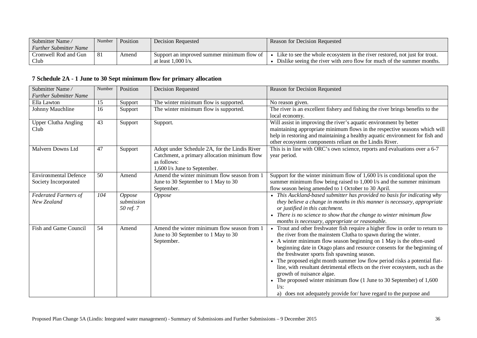| Submitter Name                | Number | <b>Position</b> | <b>Decision Requested</b>                    | Reason for Decision Requested                                              |
|-------------------------------|--------|-----------------|----------------------------------------------|----------------------------------------------------------------------------|
| <b>Further Submitter Name</b> |        |                 |                                              |                                                                            |
| Cromwell Rod and Gun          | l 81   | Amend           | Support an improved summer minimum flow of   | Like to see the whole ecosystem in the river restored, not just for trout. |
| Club                          |        |                 | at least $1.000 \frac{\text{1}}{\text{s}}$ . | Dislike seeing the river with zero flow for much of the summer months.     |

## **7 Schedule 2A - 1 June to 30 Sept minimum flow for primary allocation**

| Submitter Name/<br><b>Further Submitter Name</b> | Number | Position   | <b>Decision Requested</b>                                                   | Reason for Decision Requested                                                             |
|--------------------------------------------------|--------|------------|-----------------------------------------------------------------------------|-------------------------------------------------------------------------------------------|
| Ella Lawton                                      | 15     | Support    | The winter minimum flow is supported.                                       | No reason given.                                                                          |
| Johnny Mauchline                                 | 16     | Support    | The winter minimum flow is supported.                                       | The river is an excellent fishery and fishing the river brings benefits to the            |
|                                                  |        |            |                                                                             | local economy.                                                                            |
| <b>Upper Clutha Angling</b>                      | 43     | Support    | Support.                                                                    | Will assist in improving the river's aquatic environment by better                        |
| Club                                             |        |            |                                                                             | maintaining appropriate minimum flows in the respective seasons which will                |
|                                                  |        |            |                                                                             | help in restoring and maintaining a healthy aquatic environment for fish and              |
|                                                  |        |            |                                                                             | other ecosystem components reliant on the Lindis River.                                   |
| Malvern Downs Ltd                                | 47     | Support    | Adopt under Schedule 2A, for the Lindis River                               | This is in line with ORC's own science, reports and evaluations over a 6-7                |
|                                                  |        |            | Catchment, a primary allocation minimum flow                                | year period.                                                                              |
|                                                  |        |            | as follows:                                                                 |                                                                                           |
| <b>Environmental Defence</b>                     | 50     | Amend      | 1,600 l/s June to September.<br>Amend the winter minimum flow season from 1 | Support for the winter minimum flow of $1,600$ l/s is conditional upon the                |
| Society Incorporated                             |        |            | June to 30 September to 1 May to 30                                         | summer minimum flow being raised to 1,000 l/s and the summer minimum                      |
|                                                  |        |            | September.                                                                  | flow season being amended to 1 October to 30 April.                                       |
| <b>Federated Farmers of</b>                      | 104    | Oppose     | Oppose                                                                      | • This Auckland-based submitter has provided no basis for indicating why                  |
| New Zealand                                      |        | submission |                                                                             | they believe a change in months in this manner is necessary, appropriate                  |
|                                                  |        | 50 ref. 7  |                                                                             | or justified in this catchment.                                                           |
|                                                  |        |            |                                                                             | • There is no science to show that the change to winter minimum flow                      |
|                                                  |        |            |                                                                             | months is necessary, appropriate or reasonable.                                           |
| Fish and Game Council                            | 54     | Amend      | Amend the winter minimum flow season from 1                                 | • Trout and other freshwater fish require a higher flow in order to return to             |
|                                                  |        |            | June to 30 September to 1 May to 30                                         | the river from the mainstem Clutha to spawn during the winter.                            |
|                                                  |        |            | September.                                                                  | • A winter minimum flow season beginning on 1 May is the often-used                       |
|                                                  |        |            |                                                                             | beginning date in Otago plans and resource consents for the beginning of                  |
|                                                  |        |            |                                                                             | the freshwater sports fish spawning season.                                               |
|                                                  |        |            |                                                                             | • The proposed eight month summer low flow period risks a potential flat-                 |
|                                                  |        |            |                                                                             | line, with resultant detrimental effects on the river ecosystem, such as the              |
|                                                  |        |            |                                                                             | growth of nuisance algae.                                                                 |
|                                                  |        |            |                                                                             | • The proposed winter minimum flow $(1 \text{ June to } 30 \text{ September})$ of $1,600$ |
|                                                  |        |            |                                                                             | $1/s$ :                                                                                   |
|                                                  |        |            |                                                                             | a) does not adequately provide for/have regard to the purpose and                         |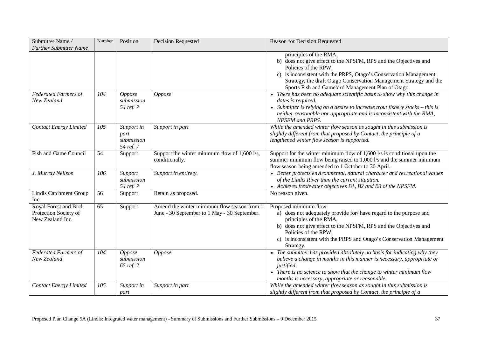| Submitter Name/<br><b>Further Submitter Name</b>                   | Number | Position                                      | <b>Decision Requested</b>                                                                   | Reason for Decision Requested                                                                                                                                                                                                                                                                                       |
|--------------------------------------------------------------------|--------|-----------------------------------------------|---------------------------------------------------------------------------------------------|---------------------------------------------------------------------------------------------------------------------------------------------------------------------------------------------------------------------------------------------------------------------------------------------------------------------|
|                                                                    |        |                                               |                                                                                             | principles of the RMA,<br>b) does not give effect to the NPSFM, RPS and the Objectives and<br>Policies of the RPW,<br>c) is inconsistent with the PRPS, Otago's Conservation Management<br>Strategy, the draft Otago Conservation Management Strategy and the<br>Sports Fish and Gamebird Management Plan of Otago. |
| <b>Federated Farmers of</b><br>New Zealand                         | 104    | <b>Oppose</b><br>submission<br>54 ref. 7      | <b>Oppose</b>                                                                               | • There has been no adequate scientific basis to show why this change in<br>dates is required.<br>• Submitter is relying on a desire to increase trout fishery stocks – this is<br>neither reasonable nor appropriate and is inconsistent with the RMA,<br>NPSFM and PRPS.                                          |
| <b>Contact Energy Limited</b>                                      | 105    | Support in<br>part<br>submission<br>54 ref. 7 | Support in part                                                                             | While the amended winter flow season as sought in this submission is<br>slightly different from that proposed by Contact, the principle of a<br>lengthened winter flow season is supported.                                                                                                                         |
| Fish and Game Council                                              | 54     | Support                                       | Support the winter minimum flow of 1,600 l/s,<br>conditionally.                             | Support for the winter minimum flow of $1,600$ l/s is conditional upon the<br>summer minimum flow being raised to 1,000 l/s and the summer minimum<br>flow season being amended to 1 October to 30 April.                                                                                                           |
| J. Murray Neilson                                                  | 106    | Support<br>submission<br>54 ref. 7            | Support in entirety.                                                                        | • Better protects environmental, natural character and recreational values<br>of the Lindis River than the current situation.<br>• Achieves freshwater objectives B1, B2 and B3 of the NPSFM.                                                                                                                       |
| Lindis Catchment Group<br>Inc                                      | 56     | Support                                       | Retain as proposed.                                                                         | No reason given.                                                                                                                                                                                                                                                                                                    |
| Royal Forest and Bird<br>Protection Society of<br>New Zealand Inc. | 65     | Support                                       | Amend the winter minimum flow season from 1<br>June - 30 September to 1 May - 30 September. | Proposed minimum flow:<br>a) does not adequately provide for/have regard to the purpose and<br>principles of the RMA,<br>b) does not give effect to the NPSFM, RPS and the Objectives and<br>Policies of the RPW,<br>c) is inconsistent with the PRPS and Otago's Conservation Management<br>Strategy.              |
| Federated Farmers of<br>New Zealand                                | 104    | Oppose<br>submission<br>65 ref. 7             | Oppose.                                                                                     | • The submitter has provided absolutely no basis for indicating why they<br>believe a change in months in this manner is necessary, appropriate or<br><i>justified.</i><br>• There is no science to show that the change to winter minimum flow<br>months is necessary, appropriate or reasonable.                  |
| <b>Contact Energy Limited</b>                                      | 105    | Support in<br>part                            | Support in part                                                                             | While the amended winter flow season as sought in this submission is<br>slightly different from that proposed by Contact, the principle of a                                                                                                                                                                        |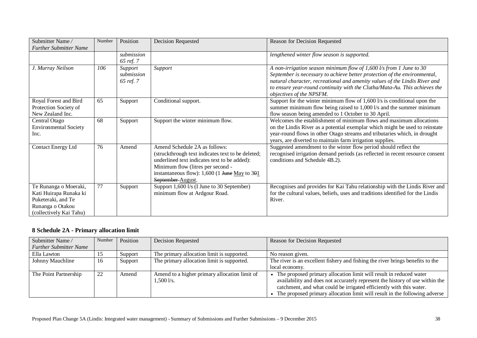| Submitter Name/<br><b>Further Submitter Name</b>                                                                     | Number | Position                           | <b>Decision Requested</b>                                                                                                                                                                                                                         | Reason for Decision Requested                                                                                                                                                                                                                                                                                                              |
|----------------------------------------------------------------------------------------------------------------------|--------|------------------------------------|---------------------------------------------------------------------------------------------------------------------------------------------------------------------------------------------------------------------------------------------------|--------------------------------------------------------------------------------------------------------------------------------------------------------------------------------------------------------------------------------------------------------------------------------------------------------------------------------------------|
|                                                                                                                      |        | submission<br>65 ref. 7            |                                                                                                                                                                                                                                                   | lengthened winter flow season is supported.                                                                                                                                                                                                                                                                                                |
| J. Murray Neilson                                                                                                    | 106    | Support<br>submission<br>65 ref. 7 | Support                                                                                                                                                                                                                                           | A non-irrigation season minimum flow of $1,600$ l/s from 1 June to 30<br>September is necessary to achieve better protection of the environmental,<br>natural character, recreational and amenity values of the Lindis River and<br>to ensure year-round continuity with the Clutha/Mata-Au. This achieves the<br>objectives of the NPSFM. |
| Royal Forest and Bird<br>Protection Society of<br>New Zealand Inc.                                                   | 65     | Support                            | Conditional support.                                                                                                                                                                                                                              | Support for the winter minimum flow of $1,600$ l/s is conditional upon the<br>summer minimum flow being raised to 1,000 l/s and the summer minimum<br>flow season being amended to 1 October to 30 April.                                                                                                                                  |
| Central Otago<br><b>Environmental Society</b><br>Inc.                                                                | 68     | Support                            | Support the winter minimum flow.                                                                                                                                                                                                                  | Welcomes the establishment of minimum flows and maximum allocations<br>on the Lindis River as a potential exemplar which might be used to reinstate<br>year-round flows in other Otago streams and tributaries which, in drought<br>years, are diverted to maintain farm irrigation supplies.                                              |
| <b>Contact Energy Ltd</b>                                                                                            | 76     | Amend                              | Amend Schedule 2A as follows:<br>(struckthrough text indicates text to be deleted;<br>underlined text indicates text to be added):<br>Minimum flow (litres per second -<br>instantaneous flow): $1,600$ (1 June May to $301$<br>September-August. | Suggested amendment to the winter flow period should reflect the<br>recognised irrigation demand periods (as reflected in recent resource consent<br>conditions and Schedule 4B.2).                                                                                                                                                        |
| Te Runanga o Moeraki,<br>Kati Huirapa Runaka ki<br>Puketeraki, and Te<br>Runanga o Otakou<br>(collectively Kai Tahu) | 77     | Support                            | Support 1,600 l/s (I June to 30 September)<br>minimum flow at Ardgour Road.                                                                                                                                                                       | Recognises and provides for Kai Tahu relationship with the Lindis River and<br>for the cultural values, beliefs, uses and traditions identified for the Lindis<br>River.                                                                                                                                                                   |

### **8 Schedule 2A - Primary allocation limit**

| Submitter Name/               | Number | Position | Decision Requested                            | Reason for Decision Requested                                                  |
|-------------------------------|--------|----------|-----------------------------------------------|--------------------------------------------------------------------------------|
| <b>Further Submitter Name</b> |        |          |                                               |                                                                                |
| Ella Lawton                   | -15    | Support  | The primary allocation limit is supported.    | No reason given.                                                               |
| Johnny Mauchline              | 16     | Support  | The primary allocation limit is supported.    | The river is an excellent fishery and fishing the river brings benefits to the |
|                               |        |          |                                               | local economy.                                                                 |
| The Point Partnership         | 22     | Amend    | Amend to a higher primary allocation limit of | The proposed primary allocation limit will result in reduced water             |
|                               |        |          | 1.500 l/s.                                    | availability and does not accurately represent the history of use within the   |
|                               |        |          |                                               | catchment, and what could be irrigated efficiently with this water.            |
|                               |        |          |                                               | The proposed primary allocation limit will result in the following adverse     |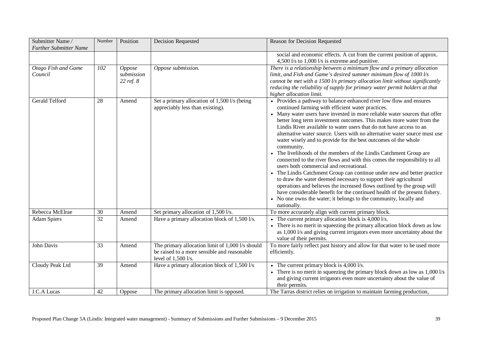| Submitter Name/<br><b>Further Submitter Name</b> | Number | Position                                 | <b>Decision Requested</b>                                                                                              | Reason for Decision Requested                                                                                                                                                                                                                                                                                                                                                                                                                                                                                                                                                                                                                                                                                                                                                                                                                                                                                                                                                                                                                                                                                |
|--------------------------------------------------|--------|------------------------------------------|------------------------------------------------------------------------------------------------------------------------|--------------------------------------------------------------------------------------------------------------------------------------------------------------------------------------------------------------------------------------------------------------------------------------------------------------------------------------------------------------------------------------------------------------------------------------------------------------------------------------------------------------------------------------------------------------------------------------------------------------------------------------------------------------------------------------------------------------------------------------------------------------------------------------------------------------------------------------------------------------------------------------------------------------------------------------------------------------------------------------------------------------------------------------------------------------------------------------------------------------|
|                                                  |        |                                          |                                                                                                                        | social and economic effects. A cut from the current position of approx.<br>4,500 l/s to 1,000 l/s is extreme and punitive.                                                                                                                                                                                                                                                                                                                                                                                                                                                                                                                                                                                                                                                                                                                                                                                                                                                                                                                                                                                   |
| Otago Fish and Game<br>Council                   | 102    | <b>Oppose</b><br>submission<br>22 ref. 8 | Oppose submission.                                                                                                     | There is a relationship between a minimum flow and a primary allocation<br>limit, and Fish and Game's desired summer minimum flow of 1000 l/s<br>cannot be met with a 1500 l/s primary allocation limit without significantly<br>reducing the reliability of supply for primary water permit holders at that<br>higher allocation limit.                                                                                                                                                                                                                                                                                                                                                                                                                                                                                                                                                                                                                                                                                                                                                                     |
| Gerald Telford                                   | 28     | Amend                                    | Set a primary allocation of 1,500 l/s (being<br>appreciably less than existing).                                       | • Provides a pathway to balance enhanced river low flow and ensures<br>continued farming with efficient water practices.<br>• Many water users have invested in more reliable water sources that offer<br>better long term investment outcomes. This makes more water from the<br>Lindis River available to water users that do not have access to an<br>alternative water source. Users with no alternative water source must use<br>water wisely and to provide for the best outcomes of the whole<br>community.<br>• The livelihoods of the members of the Lindis Catchment Group are<br>connected to the river flows and with this comes the responsibility to all<br>users both commercial and recreational.<br>• The Lindis Catchment Group can continue under new and better practice<br>to draw the water deemed necessary to support their agricultural<br>operations and believes the increased flows outlined by the group will<br>have considerable benefit for the continued health of the present fishery.<br>• No one owns the water; it belongs to the community, locally and<br>nationally. |
| Rebecca McElrae                                  | 30     | Amend                                    | Set primary allocation of 1,500 l/s.                                                                                   | To more accurately align with current primary block.                                                                                                                                                                                                                                                                                                                                                                                                                                                                                                                                                                                                                                                                                                                                                                                                                                                                                                                                                                                                                                                         |
| <b>Adam Spiers</b>                               | 32     | Amend                                    | Have a primary allocation block of 1,500 l/s.                                                                          | • The current primary allocation block is $4,0001/s$ .<br>• There is no merit in squeezing the primary allocation block down as low<br>as 1,000 l/s and giving current irrigators even more uncertainty about the<br>value of their permits.                                                                                                                                                                                                                                                                                                                                                                                                                                                                                                                                                                                                                                                                                                                                                                                                                                                                 |
| John Davis                                       | 33     | Amend                                    | The primary allocation limit of 1,000 l/s should<br>be raised to a more sensible and reasonable<br>level of 1,500 l/s. | To more fairly reflect past history and allow for that water to be used more<br>efficiently.                                                                                                                                                                                                                                                                                                                                                                                                                                                                                                                                                                                                                                                                                                                                                                                                                                                                                                                                                                                                                 |
| Cloudy Peak Ltd                                  | 39     | Amend                                    | Have a primary allocation block of 1,500 l/s                                                                           | • The current primary block is $4,000$ l/s.<br>• There is no merit in squeezing the primary block down as low as $1,0001/s$<br>and giving current irrigators even more uncertainty about the value of<br>their permits.                                                                                                                                                                                                                                                                                                                                                                                                                                                                                                                                                                                                                                                                                                                                                                                                                                                                                      |
| J.C.A Lucas                                      | 42     | Oppose                                   | The primary allocation limit is opposed.                                                                               | The Tarras district relies on irrigation to maintain farming production,                                                                                                                                                                                                                                                                                                                                                                                                                                                                                                                                                                                                                                                                                                                                                                                                                                                                                                                                                                                                                                     |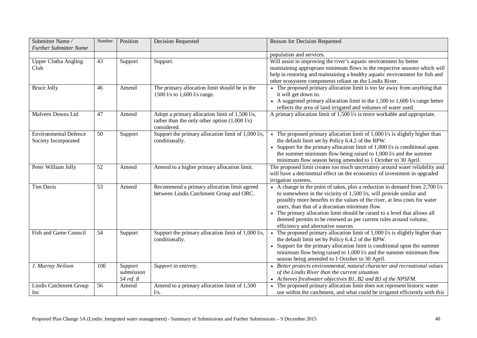| Submitter Name/                                      | Number          | Position                           | <b>Decision Requested</b>                                                                                       | Reason for Decision Requested                                                                                                                                                                                                                                                                                                                                                                                                                                              |
|------------------------------------------------------|-----------------|------------------------------------|-----------------------------------------------------------------------------------------------------------------|----------------------------------------------------------------------------------------------------------------------------------------------------------------------------------------------------------------------------------------------------------------------------------------------------------------------------------------------------------------------------------------------------------------------------------------------------------------------------|
| <b>Further Submitter Name</b>                        |                 |                                    |                                                                                                                 |                                                                                                                                                                                                                                                                                                                                                                                                                                                                            |
|                                                      |                 |                                    |                                                                                                                 | population and services.                                                                                                                                                                                                                                                                                                                                                                                                                                                   |
| <b>Upper Clutha Angling</b><br>Club                  | 43              | Support                            | Support.                                                                                                        | Will assist in improving the river's aquatic environment by better<br>maintaining appropriate minimum flows in the respective seasons which will<br>help in restoring and maintaining a healthy aquatic environment for fish and<br>other ecosystem components reliant on the Lindis River.                                                                                                                                                                                |
| <b>Bruce Jolly</b>                                   | 46              | Amend                              | The primary allocation limit should be in the<br>1500 l/s to 1,600 l/s range.                                   | • The proposed primary allocation limit is too far away from anything that<br>it will get down to.<br>• A suggested primary allocation limit in the 1,500 to 1,600 l/s range better<br>reflects the area of land irrigated and volumes of water used.                                                                                                                                                                                                                      |
| Malvern Downs Ltd                                    | 47              | Amend                              | Adopt a primary allocation limit of 1,500 l/s,<br>rather than the only other option $(1,0001/s)$<br>considered. | A primary allocation limit of 1,500 l/s is more workable and appropriate.                                                                                                                                                                                                                                                                                                                                                                                                  |
| <b>Environmental Defence</b><br>Society Incorporated | 50              | Support                            | Support the primary allocation limit of 1,000 l/s,<br>conditionally.                                            | • The proposed primary allocation limit of $1,0001/s$ is slightly higher than<br>the default limit set by Policy 6.4.2 of the RPW.<br>• Support for the primary allocation limit of $1,000$ l/s is conditional upon<br>the summer minimum flow being raised to 1,000 l/s and the summer<br>minimum flow season being amended to 1 October to 30 April.                                                                                                                     |
| Peter William Jolly                                  | 52              | Amend                              | Amend to a higher primary allocation limit.                                                                     | The proposed limit creates too much uncertainty around water reliability and<br>will have a detrimental effect on the economics of investment in upgraded<br>irrigation systems.                                                                                                                                                                                                                                                                                           |
| <b>Tim Davis</b>                                     | 53              | Amend                              | Recommend a primary allocation limit agreed<br>between Lindis Catchment Group and ORC.                          | • A change in the point of takes, plus a reduction in demand from $2,700$ l/s<br>to somewhere in the vicinity of 1,500 l/s, will provide similar and<br>possibly more benefits to the values of the river, at less costs for water<br>users, than that of a draconian minimum flow.<br>The primary allocation limit should be raised to a level that allows all<br>deemed permits to be renewed as per current rules around volume,<br>efficiency and alternative sources. |
| Fish and Game Council                                | $\overline{54}$ | Support                            | Support the primary allocation limit of 1,000 l/s,<br>conditionally.                                            | • The proposed primary allocation limit of 1,000 l/s is slightly higher than<br>the default limit set by Policy 6.4.2 of the RPW.<br>• Support for the primary allocation limit is conditional upon the summer<br>minimum flow being raised to 1,000 l/s and the summer minimum flow<br>season being amended to 1 October to 30 April.                                                                                                                                     |
| J. Murray Neilson                                    | 106             | Support<br>submission<br>54 ref. 8 | Support in entirety.                                                                                            | • Better protects environmental, natural character and recreational values<br>of the Lindis River than the current situation.<br>• Achieves freshwater objectives B1, B2 and B3 of the NPSFM.                                                                                                                                                                                                                                                                              |
| Lindis Catchment Group<br>Inc                        | 56              | Amend                              | Amend to a primary allocation limit of 1,500<br>1/s.                                                            | The proposed primary allocation limit does not represent historic water<br>use within the catchment, and what could be irrigated efficiently with this                                                                                                                                                                                                                                                                                                                     |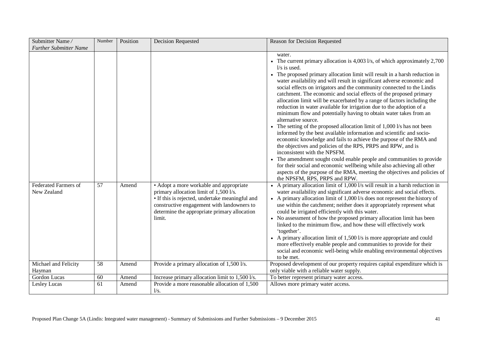| Submitter Name/<br><b>Further Submitter Name</b> | Number          | Position | Decision Requested                                                                                                                                                                                                                           | Reason for Decision Requested                                                                                                                                                                                                                                                                                                                                                                                                                                                                                                                                                                                                                                                                                                                                                                                                                                                                                                                                                                                                                                                                                                                                                                                                                                                                                                                                                                                                                                                                                                                                                                                                                                                                                                                                                                                                                                                                                                                                                                                            |
|--------------------------------------------------|-----------------|----------|----------------------------------------------------------------------------------------------------------------------------------------------------------------------------------------------------------------------------------------------|--------------------------------------------------------------------------------------------------------------------------------------------------------------------------------------------------------------------------------------------------------------------------------------------------------------------------------------------------------------------------------------------------------------------------------------------------------------------------------------------------------------------------------------------------------------------------------------------------------------------------------------------------------------------------------------------------------------------------------------------------------------------------------------------------------------------------------------------------------------------------------------------------------------------------------------------------------------------------------------------------------------------------------------------------------------------------------------------------------------------------------------------------------------------------------------------------------------------------------------------------------------------------------------------------------------------------------------------------------------------------------------------------------------------------------------------------------------------------------------------------------------------------------------------------------------------------------------------------------------------------------------------------------------------------------------------------------------------------------------------------------------------------------------------------------------------------------------------------------------------------------------------------------------------------------------------------------------------------------------------------------------------------|
| <b>Federated Farmers of</b><br>New Zealand       | 57              | Amend    | • Adopt a more workable and appropriate<br>primary allocation limit of 1,500 l/s.<br>• If this is rejected, undertake meaningful and<br>constructive engagement with landowners to<br>determine the appropriate primary allocation<br>limit. | water.<br>• The current primary allocation is 4,003 l/s, of which approximately 2,700<br>$1/s$ is used.<br>The proposed primary allocation limit will result in a harsh reduction in<br>water availability and will result in significant adverse economic and<br>social effects on irrigators and the community connected to the Lindis<br>catchment. The economic and social effects of the proposed primary<br>allocation limit will be exacerbated by a range of factors including the<br>reduction in water available for irrigation due to the adoption of a<br>minimum flow and potentially having to obtain water takes from an<br>alternative source.<br>• The setting of the proposed allocation limit of $1,000$ l/s has not been<br>informed by the best available information and scientific and socio-<br>economic knowledge and fails to achieve the purpose of the RMA and<br>the objectives and policies of the RPS, PRPS and RPW, and is<br>inconsistent with the NPSFM.<br>The amendment sought could enable people and communities to provide<br>for their social and economic wellbeing while also achieving all other<br>aspects of the purpose of the RMA, meeting the objectives and policies of<br>the NPSFM, RPS, PRPS and RPW.<br>• A primary allocation limit of $1,000$ l/s will result in a harsh reduction in<br>water availability and significant adverse economic and social effects.<br>• A primary allocation limit of 1,000 l/s does not represent the history of<br>use within the catchment; neither does it appropriately represent what<br>could be irrigated efficiently with this water.<br>No assessment of how the proposed primary allocation limit has been<br>linked to the minimum flow, and how these will effectively work<br>'together'.<br>• A primary allocation limit of 1,500 l/s is more appropriate and could<br>more effectively enable people and communities to provide for their<br>social and economic well-being while enabling environmental objectives |
| Michael and Felicity                             | $\overline{58}$ | Amend    | Provide a primary allocation of 1,500 l/s.                                                                                                                                                                                                   | to be met.<br>Proposed development of our property requires capital expenditure which is                                                                                                                                                                                                                                                                                                                                                                                                                                                                                                                                                                                                                                                                                                                                                                                                                                                                                                                                                                                                                                                                                                                                                                                                                                                                                                                                                                                                                                                                                                                                                                                                                                                                                                                                                                                                                                                                                                                                 |
| Hayman                                           |                 |          |                                                                                                                                                                                                                                              | only viable with a reliable water supply.                                                                                                                                                                                                                                                                                                                                                                                                                                                                                                                                                                                                                                                                                                                                                                                                                                                                                                                                                                                                                                                                                                                                                                                                                                                                                                                                                                                                                                                                                                                                                                                                                                                                                                                                                                                                                                                                                                                                                                                |
| Gordon Lucas                                     | 60              | Amend    | Increase primary allocation limit to 1,500 l/s.                                                                                                                                                                                              | To better represent primary water access.                                                                                                                                                                                                                                                                                                                                                                                                                                                                                                                                                                                                                                                                                                                                                                                                                                                                                                                                                                                                                                                                                                                                                                                                                                                                                                                                                                                                                                                                                                                                                                                                                                                                                                                                                                                                                                                                                                                                                                                |
| Lesley Lucas                                     | 61              | Amend    | Provide a more reasonable allocation of 1,500<br>1/s.                                                                                                                                                                                        | Allows more primary water access.                                                                                                                                                                                                                                                                                                                                                                                                                                                                                                                                                                                                                                                                                                                                                                                                                                                                                                                                                                                                                                                                                                                                                                                                                                                                                                                                                                                                                                                                                                                                                                                                                                                                                                                                                                                                                                                                                                                                                                                        |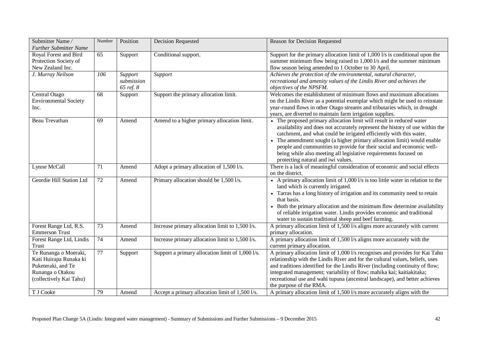| Submitter Name/<br><b>Further Submitter Name</b>                                                                     | Number          | Position                           | Decision Requested                               | Reason for Decision Requested                                                                                                                                                                                                                                                                                                                                                                                                                                                           |
|----------------------------------------------------------------------------------------------------------------------|-----------------|------------------------------------|--------------------------------------------------|-----------------------------------------------------------------------------------------------------------------------------------------------------------------------------------------------------------------------------------------------------------------------------------------------------------------------------------------------------------------------------------------------------------------------------------------------------------------------------------------|
| Royal Forest and Bird<br>Protection Society of<br>New Zealand Inc.                                                   | 65              | Support                            | Conditional support.                             | Support for the primary allocation limit of $1,0001/s$ is conditional upon the<br>summer minimum flow being raised to 1,000 l/s and the summer minimum<br>flow season being amended to 1 October to 30 April.                                                                                                                                                                                                                                                                           |
| J. Murray Neilson                                                                                                    | 106             | Support<br>submission<br>65 ref. 8 | Support                                          | Achieves the protection of the environmental, natural character,<br>recreational and amenity values of the Lindis River and achieves the<br>objectives of the NPSFM.                                                                                                                                                                                                                                                                                                                    |
| Central Otago<br><b>Environmental Society</b><br>Inc.                                                                | 68              | Support                            | Support the primary allocation limit.            | Welcomes the establishment of minimum flows and maximum allocations<br>on the Lindis River as a potential exemplar which might be used to reinstate<br>year-round flows in other Otago streams and tributaries which, in drought<br>years, are diverted to maintain farm irrigation supplies.                                                                                                                                                                                           |
| Beau Trevathan                                                                                                       | 69              | Amend                              | Amend to a higher primary allocation limit.      | • The proposed primary allocation limit will result in reduced water<br>availability and does not accurately represent the history of use within the<br>catchment, and what could be irrigated efficiently with this water.<br>The amendment sought (a higher primary allocation limit) would enable<br>people and communities to provide for their social and economic well-<br>being while also meeting all legislative requirements focused on<br>protecting natural and iwi values. |
| Lynne McCall                                                                                                         | 71              | Amend                              | Adopt a primary allocation of 1,500 l/s.         | There is a lack of meaningful consideration of economic and social effects<br>on the district.                                                                                                                                                                                                                                                                                                                                                                                          |
| Geordie Hill Station Ltd                                                                                             | 72              | Amend                              | Primary allocation should be 1,500 l/s.          | • A primary allocation limit of 1,000 l/s is too little water in relation to the<br>land which is currently irrigated.<br>• Tarras has a long history of irrigation and its community need to retain<br>that basis.<br>• Both the primary allocation and the minimum flow determine availability<br>of reliable irrigation water. Lindis provides economic and traditional<br>water to sustain traditional sheep and beef farming.                                                      |
| Forest Range Ltd, R.S.<br><b>Emmerson Trust</b>                                                                      | $\overline{73}$ | Amend                              | Increase primary allocation limit to 1,500 l/s.  | A primary allocation limit of 1,500 l/s aligns more accurately with current<br>primary allocation.                                                                                                                                                                                                                                                                                                                                                                                      |
| Forest Range Ltd, Lindis<br><b>Trust</b>                                                                             | 74              | Amend                              | Increase primary allocation limit to 1,500 l/s.  | A primary allocation limit of 1,500 l/s aligns more accurately with the<br>current primary allocation.                                                                                                                                                                                                                                                                                                                                                                                  |
| Te Runanga o Moeraki,<br>Kati Huirapa Runaka ki<br>Puketeraki, and Te<br>Runanga o Otakou<br>(collectively Kai Tahu) | 77              | Support                            | Support a primary allocation limit of 1,000 l/s. | A primary allocation limit of 1,000 l/s recognises and provides for Kai Tahu<br>relationship with the Lindis River and for the cultural values, beliefs, uses<br>and traditions identified for the Lindis River (including continuity of flow;<br>integrated management; variability of flow; mahika kai; kaitiakitaka;<br>recreational use and wahi tupuna (ancestral landscape), and better achieves<br>the purpose of the RMA.                                                       |
| T J Cooke                                                                                                            | 79              | Amend                              | Accept a primary allocation limit of 1,500 l/s.  | A primary allocation limit of 1,500 l/s more accurately aligns with the                                                                                                                                                                                                                                                                                                                                                                                                                 |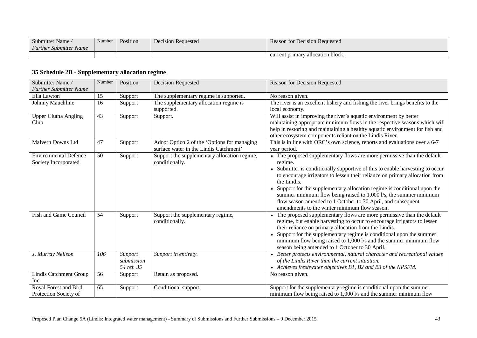| Submitter Name                   | Number | Position | <b>Decision Requested</b> | Reason for Decision Requested     |
|----------------------------------|--------|----------|---------------------------|-----------------------------------|
| <b>Further Submitter</b><br>Name |        |          |                           |                                   |
|                                  |        |          |                           | current primary allocation block. |

### **35 Schedule 2B - Supplementary allocation regime**

| Submitter Name/<br><b>Further Submitter Name</b>     | Number | Position                            | Decision Requested                                                                    | Reason for Decision Requested                                                                                                                                                                                                                                                                                                                                                                                                                                                                                                    |
|------------------------------------------------------|--------|-------------------------------------|---------------------------------------------------------------------------------------|----------------------------------------------------------------------------------------------------------------------------------------------------------------------------------------------------------------------------------------------------------------------------------------------------------------------------------------------------------------------------------------------------------------------------------------------------------------------------------------------------------------------------------|
| Ella Lawton                                          | 15     | Support                             | The supplementary regime is supported.                                                | No reason given.                                                                                                                                                                                                                                                                                                                                                                                                                                                                                                                 |
| Johnny Mauchline                                     | 16     | Support                             | The supplementary allocation regime is<br>supported.                                  | The river is an excellent fishery and fishing the river brings benefits to the<br>local economy.                                                                                                                                                                                                                                                                                                                                                                                                                                 |
| <b>Upper Clutha Angling</b><br>Club                  | 43     | Support                             | Support.                                                                              | Will assist in improving the river's aquatic environment by better<br>maintaining appropriate minimum flows in the respective seasons which will<br>help in restoring and maintaining a healthy aquatic environment for fish and<br>other ecosystem components reliant on the Lindis River.                                                                                                                                                                                                                                      |
| Malvern Downs Ltd                                    | 47     | Support                             | Adopt Option 2 of the 'Options for managing<br>surface water in the Lindis Catchment' | This is in line with ORC's own science, reports and evaluations over a 6-7<br>year period.                                                                                                                                                                                                                                                                                                                                                                                                                                       |
| <b>Environmental Defence</b><br>Society Incorporated | 50     | Support                             | Support the supplementary allocation regime,<br>conditionally.                        | • The proposed supplementary flows are more permissive than the default<br>regime.<br>Submitter is conditionally supportive of this to enable harvesting to occur<br>to encourage irrigators to lessen their reliance on primary allocation from<br>the Lindis.<br>Support for the supplementary allocation regime is conditional upon the<br>summer minimum flow being raised to 1,000 l/s, the summer minimum<br>flow season amended to 1 October to 30 April, and subsequent<br>amendments to the winter minimum flow season. |
| Fish and Game Council                                | 54     | Support                             | Support the supplementary regime,<br>conditionally.                                   | The proposed supplementary flows are more permissive than the default<br>regime, but enable harvesting to occur to encourage irrigators to lessen<br>their reliance on primary allocation from the Lindis.<br>Support for the supplementary regime is conditional upon the summer<br>minimum flow being raised to 1,000 l/s and the summer minimum flow<br>season being amended to 1 October to 30 April.                                                                                                                        |
| J. Murray Neilson                                    | 106    | Support<br>submission<br>54 ref. 35 | Support in entirety.                                                                  | • Better protects environmental, natural character and recreational values<br>of the Lindis River than the current situation.<br>• Achieves freshwater objectives B1, B2 and B3 of the NPSFM.                                                                                                                                                                                                                                                                                                                                    |
| Lindis Catchment Group<br>Inc                        | 56     | Support                             | Retain as proposed.                                                                   | No reason given.                                                                                                                                                                                                                                                                                                                                                                                                                                                                                                                 |
| Royal Forest and Bird<br>Protection Society of       | 65     | Support                             | Conditional support.                                                                  | Support for the supplementary regime is conditional upon the summer<br>minimum flow being raised to 1,000 l/s and the summer minimum flow                                                                                                                                                                                                                                                                                                                                                                                        |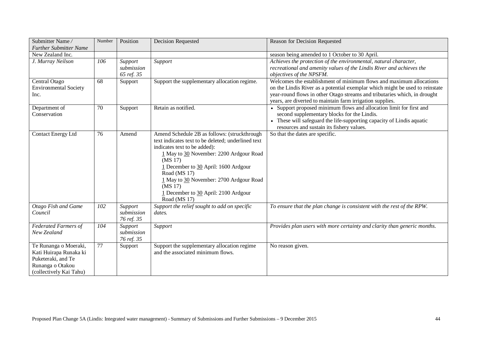| Submitter Name/<br><b>Further Submitter Name</b>                                                                     | Number | Position                            | <b>Decision Requested</b>                                                                                                                                                                                                                                                                                                                                                  | Reason for Decision Requested                                                                                                                                                                                                                                                                 |
|----------------------------------------------------------------------------------------------------------------------|--------|-------------------------------------|----------------------------------------------------------------------------------------------------------------------------------------------------------------------------------------------------------------------------------------------------------------------------------------------------------------------------------------------------------------------------|-----------------------------------------------------------------------------------------------------------------------------------------------------------------------------------------------------------------------------------------------------------------------------------------------|
| New Zealand Inc.                                                                                                     |        |                                     |                                                                                                                                                                                                                                                                                                                                                                            | season being amended to 1 October to 30 April.                                                                                                                                                                                                                                                |
| J. Murray Neilson                                                                                                    | 106    | Support<br>submission<br>65 ref. 35 | Support                                                                                                                                                                                                                                                                                                                                                                    | Achieves the protection of the environmental, natural character,<br>recreational and amenity values of the Lindis River and achieves the<br>objectives of the NPSFM.                                                                                                                          |
| Central Otago<br><b>Environmental Society</b><br>Inc.                                                                | 68     | Support                             | Support the supplementary allocation regime.                                                                                                                                                                                                                                                                                                                               | Welcomes the establishment of minimum flows and maximum allocations<br>on the Lindis River as a potential exemplar which might be used to reinstate<br>year-round flows in other Otago streams and tributaries which, in drought<br>years, are diverted to maintain farm irrigation supplies. |
| Department of<br>Conservation                                                                                        | 70     | Support                             | Retain as notified.                                                                                                                                                                                                                                                                                                                                                        | • Support proposed minimum flows and allocation limit for first and<br>second supplementary blocks for the Lindis.<br>• These will safeguard the life-supporting capacity of Lindis aquatic<br>resources and sustain its fishery values.                                                      |
| <b>Contact Energy Ltd</b>                                                                                            | 76     | Amend                               | Amend Schedule 2B as follows: (struckthrough<br>text indicates text to be deleted; underlined text<br>indicates text to be added):<br>1 May to 30 November: 2200 Ardgour Road<br>(MS 17)<br>1 December to 30 April: 1600 Ardgour<br>Road (MS 17)<br>1 May to 30 November: 2700 Ardgour Road<br>(MS <sub>17</sub> )<br>1 December to 30 April: 2100 Ardgour<br>Road (MS 17) | So that the dates are specific.                                                                                                                                                                                                                                                               |
| Otago Fish and Game<br>Council                                                                                       | 102    | Support<br>submission<br>76 ref. 35 | Support the relief sought to add on specific<br>dates.                                                                                                                                                                                                                                                                                                                     | To ensure that the plan change is consistent with the rest of the RPW.                                                                                                                                                                                                                        |
| <b>Federated Farmers of</b><br>New Zealand                                                                           | 104    | Support<br>submission<br>76 ref. 35 | Support                                                                                                                                                                                                                                                                                                                                                                    | Provides plan users with more certainty and clarity than generic months.                                                                                                                                                                                                                      |
| Te Runanga o Moeraki,<br>Kati Huirapa Runaka ki<br>Puketeraki, and Te<br>Runanga o Otakou<br>(collectively Kai Tahu) | 77     | Support                             | Support the supplementary allocation regime<br>and the associated minimum flows.                                                                                                                                                                                                                                                                                           | No reason given.                                                                                                                                                                                                                                                                              |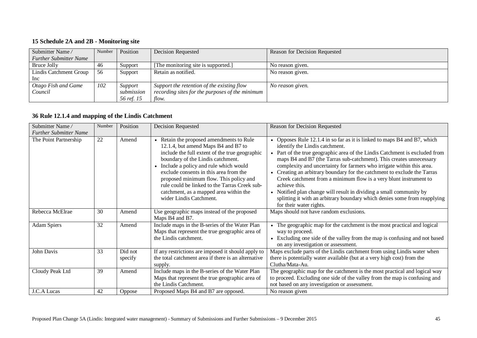#### **15 Schedule 2A and 2B - Monitoring site**

| Submitter Name/               | Number | Position   | <b>Decision Requested</b>                       | Reason for Decision Requested |
|-------------------------------|--------|------------|-------------------------------------------------|-------------------------------|
| <b>Further Submitter Name</b> |        |            |                                                 |                               |
| Bruce Jolly                   | -46    | Support    | [The monitoring site is supported.]             | No reason given.              |
| Lindis Catchment Group        | - 56   | Support    | Retain as notified.                             | No reason given.              |
| <sub>lnc</sub>                |        |            |                                                 |                               |
| Otago Fish and Game           | 102    | Support    | Support the retention of the existing flow      | No reason given.              |
| Council                       |        | submission | recording sites for the purposes of the minimum |                               |
|                               |        | 56 ref. 15 | flow.                                           |                               |

#### **36 Rule 12.1.4 and mapping of the Lindis Catchment**

| Submitter Name/               | Number | Position           | <b>Decision Requested</b>                                                                                                                                                                                                                                                                                                                                                                                                 | Reason for Decision Requested                                                                                                                                                                                                                                                                                                                                                                                                                                                                                                                                                                                                                                                        |
|-------------------------------|--------|--------------------|---------------------------------------------------------------------------------------------------------------------------------------------------------------------------------------------------------------------------------------------------------------------------------------------------------------------------------------------------------------------------------------------------------------------------|--------------------------------------------------------------------------------------------------------------------------------------------------------------------------------------------------------------------------------------------------------------------------------------------------------------------------------------------------------------------------------------------------------------------------------------------------------------------------------------------------------------------------------------------------------------------------------------------------------------------------------------------------------------------------------------|
| <b>Further Submitter Name</b> |        |                    |                                                                                                                                                                                                                                                                                                                                                                                                                           |                                                                                                                                                                                                                                                                                                                                                                                                                                                                                                                                                                                                                                                                                      |
| The Point Partnership         | 22     | Amend              | • Retain the proposed amendments to Rule<br>12.1.4, but amend Maps B4 and B7 to<br>include the full extent of the true geographic<br>boundary of the Lindis catchment.<br>Include a policy and rule which would<br>exclude consents in this area from the<br>proposed minimum flow. This policy and<br>rule could be linked to the Tarras Creek sub-<br>catchment, as a mapped area within the<br>wider Lindis Catchment. | Opposes Rule 12.1.4 in so far as it is linked to maps B4 and B7, which<br>identify the Lindis catchment.<br>Part of the true geographic area of the Lindis Catchment is excluded from<br>maps B4 and B7 (the Tarras sub-catchment). This creates unnecessary<br>complexity and uncertainty for farmers who irrigate within this area.<br>Creating an arbitrary boundary for the catchment to exclude the Tarras<br>Creek catchment from a minimum flow is a very blunt instrument to<br>achieve this.<br>• Notified plan change will result in dividing a small community by<br>splitting it with an arbitrary boundary which denies some from reapplying<br>for their water rights. |
| Rebecca McElrae               | 30     | Amend              | Use geographic maps instead of the proposed<br>Maps B4 and B7.                                                                                                                                                                                                                                                                                                                                                            | Maps should not have random exclusions.                                                                                                                                                                                                                                                                                                                                                                                                                                                                                                                                                                                                                                              |
| <b>Adam Spiers</b>            | 32     | Amend              | Include maps in the B-series of the Water Plan<br>Maps that represent the true geographic area of<br>the Lindis catchment.                                                                                                                                                                                                                                                                                                | The geographic map for the catchment is the most practical and logical<br>$\bullet$<br>way to proceed.<br>Excluding one side of the valley from the map is confusing and not based<br>on any investigation or assessment.                                                                                                                                                                                                                                                                                                                                                                                                                                                            |
| John Davis                    | 33     | Did not<br>specify | If any restrictions are imposed it should apply to<br>the total catchment area if there is an alternative<br>supply.                                                                                                                                                                                                                                                                                                      | Maps exclude parts of the Lindis catchment from using Lindis water when<br>there is potentially water available (but at a very high cost) from the<br>Clutha/Mata-Au.                                                                                                                                                                                                                                                                                                                                                                                                                                                                                                                |
| Cloudy Peak Ltd               | 39     | Amend              | Include maps in the B-series of the Water Plan<br>Maps that represent the true geographic area of<br>the Lindis Catchment.                                                                                                                                                                                                                                                                                                | The geographic map for the catchment is the most practical and logical way<br>to proceed. Excluding one side of the valley from the map is confusing and<br>not based on any investigation or assessment.                                                                                                                                                                                                                                                                                                                                                                                                                                                                            |
| J.C.A Lucas                   | 42     | Oppose             | Proposed Maps B4 and B7 are opposed.                                                                                                                                                                                                                                                                                                                                                                                      | No reason given                                                                                                                                                                                                                                                                                                                                                                                                                                                                                                                                                                                                                                                                      |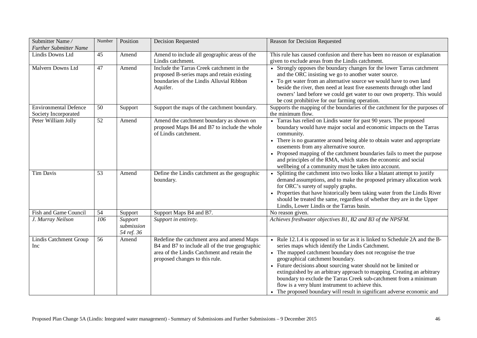| Submitter Name/<br><b>Further Submitter Name</b>     | Number | Position                            | <b>Decision Requested</b>                                                                                                                                                      | Reason for Decision Requested                                                                                                                                                                                                                                                                                                                                                                                                                                                                                                                                                        |
|------------------------------------------------------|--------|-------------------------------------|--------------------------------------------------------------------------------------------------------------------------------------------------------------------------------|--------------------------------------------------------------------------------------------------------------------------------------------------------------------------------------------------------------------------------------------------------------------------------------------------------------------------------------------------------------------------------------------------------------------------------------------------------------------------------------------------------------------------------------------------------------------------------------|
| Lindis Downs Ltd                                     | 45     | Amend                               | Amend to include all geographic areas of the<br>Lindis catchment.                                                                                                              | This rule has caused confusion and there has been no reason or explanation<br>given to exclude areas from the Lindis catchment.                                                                                                                                                                                                                                                                                                                                                                                                                                                      |
| Malvern Downs Ltd                                    | 47     | Amend                               | Include the Tarras Creek catchment in the<br>proposed B-series maps and retain existing<br>boundaries of the Lindis Alluvial Ribbon<br>Aquifer.                                | • Strongly opposes the boundary changes for the lower Tarras catchment<br>and the ORC insisting we go to another water source.<br>To get water from an alternative source we would have to own land<br>beside the river, then need at least five easements through other land<br>owners' land before we could get water to our own property. This would<br>be cost prohibitive for our farming operation.                                                                                                                                                                            |
| <b>Environmental Defence</b><br>Society Incorporated | 50     | Support                             | Support the maps of the catchment boundary.                                                                                                                                    | Supports the mapping of the boundaries of the catchment for the purposes of<br>the minimum flow.                                                                                                                                                                                                                                                                                                                                                                                                                                                                                     |
| Peter William Jolly                                  | 52     | Amend                               | Amend the catchment boundary as shown on<br>proposed Maps B4 and B7 to include the whole<br>of Lindis catchment.                                                               | • Tarras has relied on Lindis water for past 90 years. The proposed<br>boundary would have major social and economic impacts on the Tarras<br>community.<br>• There is no guarantee around being able to obtain water and appropriate<br>easements from any alternative source.<br>• Proposed mapping of the catchment boundaries fails to meet the purpose<br>and principles of the RMA, which states the economic and social<br>wellbeing of a community must be taken into account.                                                                                               |
| Tim Davis                                            | 53     | Amend                               | Define the Lindis catchment as the geographic<br>boundary.                                                                                                                     | Splitting the catchment into two looks like a blatant attempt to justify<br>demand assumptions, and to make the proposed primary allocation work<br>for ORC's surety of supply graphs.<br>• Properties that have historically been taking water from the Lindis River<br>should be treated the same, regardless of whether they are in the Upper<br>Lindis, Lower Lindis or the Tarras basin.                                                                                                                                                                                        |
| Fish and Game Council                                | 54     | Support                             | Support Maps B4 and B7.                                                                                                                                                        | No reason given.                                                                                                                                                                                                                                                                                                                                                                                                                                                                                                                                                                     |
| J. Murray Neilson                                    | 106    | Support<br>submission<br>54 ref. 36 | Support in entirety.                                                                                                                                                           | Achieves freshwater objectives B1, B2 and B3 of the NPSFM.                                                                                                                                                                                                                                                                                                                                                                                                                                                                                                                           |
| Lindis Catchment Group<br>Inc                        | 56     | Amend                               | Redefine the catchment area and amend Maps<br>B4 and B7 to include all of the true geographic<br>area of the Lindis Catchment and retain the<br>proposed changes to this rule. | • Rule 12.1.4 is opposed in so far as it is linked to Schedule 2A and the B-<br>series maps which identify the Lindis Catchment.<br>The mapped catchment boundary does not recognise the true<br>geographical catchment boundary.<br>• Future decisions about sourcing water should not be limited or<br>extinguished by an arbitrary approach to mapping. Creating an arbitrary<br>boundary to exclude the Tarras Creek sub-catchment from a minimum<br>flow is a very blunt instrument to achieve this.<br>• The proposed boundary will result in significant adverse economic and |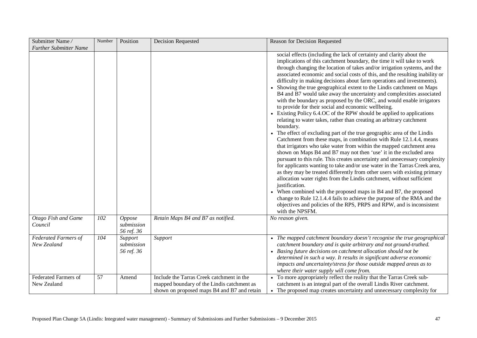| Submitter Name/                            | Number | Position                            | <b>Decision Requested</b>                                                                                                              | Reason for Decision Requested                                                                                                                                                                                                                                                                                                                                                                                                                                                                                                                                                                                                                                                                                                                                                                                                                                                                                                                                                                                                                                                                                                                                                                                                                                                                                                                                                                                                                                                                                                                                                                                                                                                                                                    |
|--------------------------------------------|--------|-------------------------------------|----------------------------------------------------------------------------------------------------------------------------------------|----------------------------------------------------------------------------------------------------------------------------------------------------------------------------------------------------------------------------------------------------------------------------------------------------------------------------------------------------------------------------------------------------------------------------------------------------------------------------------------------------------------------------------------------------------------------------------------------------------------------------------------------------------------------------------------------------------------------------------------------------------------------------------------------------------------------------------------------------------------------------------------------------------------------------------------------------------------------------------------------------------------------------------------------------------------------------------------------------------------------------------------------------------------------------------------------------------------------------------------------------------------------------------------------------------------------------------------------------------------------------------------------------------------------------------------------------------------------------------------------------------------------------------------------------------------------------------------------------------------------------------------------------------------------------------------------------------------------------------|
| <b>Further Submitter Name</b>              |        |                                     |                                                                                                                                        | social effects (including the lack of certainty and clarity about the<br>implications of this catchment boundary, the time it will take to work<br>through changing the location of takes and/or irrigation systems, and the<br>associated economic and social costs of this, and the resulting inability or<br>difficulty in making decisions about farm operations and investments).<br>• Showing the true geographical extent to the Lindis catchment on Maps<br>B4 and B7 would take away the uncertainty and complexities associated<br>with the boundary as proposed by the ORC, and would enable irrigators<br>to provide for their social and economic wellbeing.<br>• Existing Policy 6.4.OC of the RPW should be applied to applications<br>relating to water takes, rather than creating an arbitrary catchment<br>boundary.<br>The effect of excluding part of the true geographic area of the Lindis<br>Catchment from these maps, in combination with Rule 12.1.4.4, means<br>that irrigators who take water from within the mapped catchment area<br>shown on Maps B4 and B7 may not then 'use' it in the excluded area<br>pursuant to this rule. This creates uncertainty and unnecessary complexity<br>for applicants wanting to take and/or use water in the Tarras Creek area,<br>as they may be treated differently from other users with existing primary<br>allocation water rights from the Lindis catchment, without sufficient<br>justification.<br>When combined with the proposed maps in B4 and B7, the proposed<br>$\bullet$<br>change to Rule 12.1.4.4 fails to achieve the purpose of the RMA and the<br>objectives and policies of the RPS, PRPS and RPW, and is inconsistent<br>with the NPSFM. |
| Otago Fish and Game<br>Council             | 102    | Oppose<br>submission<br>56 ref. 36  | Retain Maps B4 and B7 as notified.                                                                                                     | No reason given.                                                                                                                                                                                                                                                                                                                                                                                                                                                                                                                                                                                                                                                                                                                                                                                                                                                                                                                                                                                                                                                                                                                                                                                                                                                                                                                                                                                                                                                                                                                                                                                                                                                                                                                 |
| <b>Federated Farmers of</b><br>New Zealand | 104    | Support<br>submission<br>56 ref. 36 | Support                                                                                                                                | • The mapped catchment boundary doesn't recognise the true geographical<br>catchment boundary and is quite arbitrary and not ground-truthed.<br>• Basing future decisions on catchment allocation should not be<br>determined in such a way. It results in significant adverse economic<br>impacts and uncertainty/stress for those outside mapped areas as to<br>where their water supply will come from.                                                                                                                                                                                                                                                                                                                                                                                                                                                                                                                                                                                                                                                                                                                                                                                                                                                                                                                                                                                                                                                                                                                                                                                                                                                                                                                       |
| <b>Federated Farmers of</b><br>New Zealand | 57     | Amend                               | Include the Tarras Creek catchment in the<br>mapped boundary of the Lindis catchment as<br>shown on proposed maps B4 and B7 and retain | • To more appropriately reflect the reality that the Tarras Creek sub-<br>catchment is an integral part of the overall Lindis River catchment.<br>• The proposed map creates uncertainty and unnecessary complexity for                                                                                                                                                                                                                                                                                                                                                                                                                                                                                                                                                                                                                                                                                                                                                                                                                                                                                                                                                                                                                                                                                                                                                                                                                                                                                                                                                                                                                                                                                                          |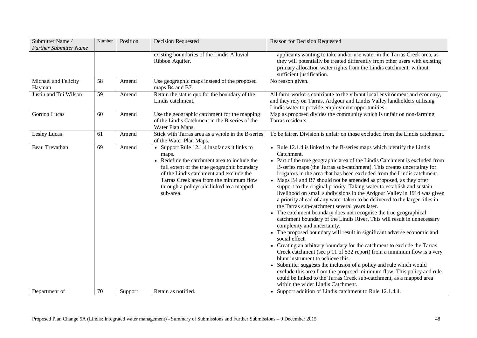| Submitter Name/<br><b>Further Submitter Name</b> | Number | Position | Decision Requested                                                                                                                                                                                                                                                                                  | Reason for Decision Requested                                                                                                                                                                                                                                                                                                                                                                                                                                                                                                                                                                                                                                                                                                                                                                                                                                                                                                                                                                                                                                                                                                                                                                                                                                                                                                                                                                                            |
|--------------------------------------------------|--------|----------|-----------------------------------------------------------------------------------------------------------------------------------------------------------------------------------------------------------------------------------------------------------------------------------------------------|--------------------------------------------------------------------------------------------------------------------------------------------------------------------------------------------------------------------------------------------------------------------------------------------------------------------------------------------------------------------------------------------------------------------------------------------------------------------------------------------------------------------------------------------------------------------------------------------------------------------------------------------------------------------------------------------------------------------------------------------------------------------------------------------------------------------------------------------------------------------------------------------------------------------------------------------------------------------------------------------------------------------------------------------------------------------------------------------------------------------------------------------------------------------------------------------------------------------------------------------------------------------------------------------------------------------------------------------------------------------------------------------------------------------------|
|                                                  |        |          | existing boundaries of the Lindis Alluvial<br>Ribbon Aquifer.                                                                                                                                                                                                                                       | applicants wanting to take and/or use water in the Tarras Creek area, as<br>they will potentially be treated differently from other users with existing<br>primary allocation water rights from the Lindis catchment, without<br>sufficient justification.                                                                                                                                                                                                                                                                                                                                                                                                                                                                                                                                                                                                                                                                                                                                                                                                                                                                                                                                                                                                                                                                                                                                                               |
| Michael and Felicity<br>Hayman                   | 58     | Amend    | Use geographic maps instead of the proposed<br>maps B4 and B7.                                                                                                                                                                                                                                      | No reason given.                                                                                                                                                                                                                                                                                                                                                                                                                                                                                                                                                                                                                                                                                                                                                                                                                                                                                                                                                                                                                                                                                                                                                                                                                                                                                                                                                                                                         |
| Justin and Tui Wilson                            | 59     | Amend    | Retain the status quo for the boundary of the<br>Lindis catchment.                                                                                                                                                                                                                                  | All farm-workers contribute to the vibrant local environment and economy,<br>and they rely on Tarras, Ardgour and Lindis Valley landholders utilising<br>Lindis water to provide employment opportunities.                                                                                                                                                                                                                                                                                                                                                                                                                                                                                                                                                                                                                                                                                                                                                                                                                                                                                                                                                                                                                                                                                                                                                                                                               |
| Gordon Lucas                                     | 60     | Amend    | Use the geographic catchment for the mapping<br>of the Lindis Catchment in the B-series of the<br>Water Plan Maps.                                                                                                                                                                                  | Map as proposed divides the community which is unfair on non-farming<br>Tarras residents.                                                                                                                                                                                                                                                                                                                                                                                                                                                                                                                                                                                                                                                                                                                                                                                                                                                                                                                                                                                                                                                                                                                                                                                                                                                                                                                                |
| Lesley Lucas                                     | 61     | Amend    | Stick with Tarras area as a whole in the B-series<br>of the Water Plan Maps.                                                                                                                                                                                                                        | To be fairer. Division is unfair on those excluded from the Lindis catchment.                                                                                                                                                                                                                                                                                                                                                                                                                                                                                                                                                                                                                                                                                                                                                                                                                                                                                                                                                                                                                                                                                                                                                                                                                                                                                                                                            |
| Beau Trevathan                                   | 69     | Amend    | • Support Rule 12.1.4 insofar as it links to<br>maps.<br>• Redefine the catchment area to include the<br>full extent of the true geographic boundary<br>of the Lindis catchment and exclude the<br>Tarras Creek area from the minimum flow<br>through a policy/rule linked to a mapped<br>sub-area. | • Rule 12.1.4 is linked to the B-series maps which identify the Lindis<br>Catchment.<br>• Part of the true geographic area of the Lindis Catchment is excluded from<br>B-series maps (the Tarras sub-catchment). This creates uncertainty for<br>irrigators in the area that has been excluded from the Lindis catchment.<br>• Maps B4 and B7 should not be amended as proposed, as they offer<br>support to the original priority. Taking water to establish and sustain<br>livelihood on small subdivisions in the Ardgour Valley in 1914 was given<br>a priority ahead of any water taken to be delivered to the larger titles in<br>the Tarras sub-catchment several years later.<br>The catchment boundary does not recognise the true geographical<br>catchment boundary of the Lindis River. This will result in unnecessary<br>complexity and uncertainty.<br>• The proposed boundary will result in significant adverse economic and<br>social effect.<br>• Creating an arbitrary boundary for the catchment to exclude the Tarras<br>Creek catchment (see p 11 of S32 report) from a minimum flow is a very<br>blunt instrument to achieve this.<br>• Submitter suggests the inclusion of a policy and rule which would<br>exclude this area from the proposed minimum flow. This policy and rule<br>could be linked to the Tarras Creek sub-catchment, as a mapped area<br>within the wider Lindis Catchment. |
| Department of                                    | 70     | Support  | Retain as notified.                                                                                                                                                                                                                                                                                 | • Support addition of Lindis catchment to Rule 12.1.4.4.                                                                                                                                                                                                                                                                                                                                                                                                                                                                                                                                                                                                                                                                                                                                                                                                                                                                                                                                                                                                                                                                                                                                                                                                                                                                                                                                                                 |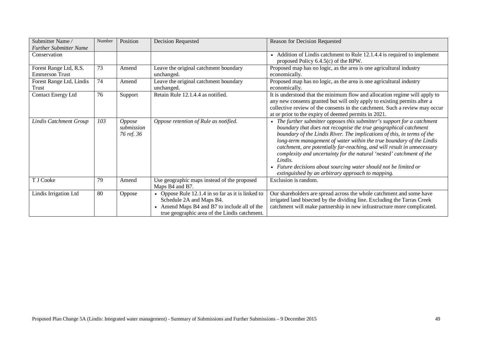| Submitter Name/                                 | Number | Position                                  | Decision Requested                                                                                                                                                           | Reason for Decision Requested                                                                                                                                                                                                                                                                                                                                                                                                                                                                                                                                                      |
|-------------------------------------------------|--------|-------------------------------------------|------------------------------------------------------------------------------------------------------------------------------------------------------------------------------|------------------------------------------------------------------------------------------------------------------------------------------------------------------------------------------------------------------------------------------------------------------------------------------------------------------------------------------------------------------------------------------------------------------------------------------------------------------------------------------------------------------------------------------------------------------------------------|
| <b>Further Submitter Name</b>                   |        |                                           |                                                                                                                                                                              |                                                                                                                                                                                                                                                                                                                                                                                                                                                                                                                                                                                    |
| Conservation                                    |        |                                           |                                                                                                                                                                              | Addition of Lindis catchment to Rule 12.1.4.4 is required to implement<br>proposed Policy 6.4.5(c) of the RPW.                                                                                                                                                                                                                                                                                                                                                                                                                                                                     |
| Forest Range Ltd, R.S.<br><b>Emmerson Trust</b> | 73     | Amend                                     | Leave the original catchment boundary<br>unchanged.                                                                                                                          | Proposed map has no logic, as the area is one agricultural industry<br>economically.                                                                                                                                                                                                                                                                                                                                                                                                                                                                                               |
| Forest Range Ltd, Lindis<br><b>Trust</b>        | 74     | Amend                                     | Leave the original catchment boundary<br>unchanged.                                                                                                                          | Proposed map has no logic, as the area is one agricultural industry<br>economically.                                                                                                                                                                                                                                                                                                                                                                                                                                                                                               |
| <b>Contact Energy Ltd</b>                       | 76     | Support                                   | Retain Rule 12.1.4.4 as notified.                                                                                                                                            | It is understood that the minimum flow and allocation regime will apply to<br>any new consents granted but will only apply to existing permits after a<br>collective review of the consents in the catchment. Such a review may occur<br>at or prior to the expiry of deemed permits in 2021.                                                                                                                                                                                                                                                                                      |
| Lindis Catchment Group                          | 103    | <i>Oppose</i><br>submission<br>76 ref. 36 | Oppose retention of Rule as notified.                                                                                                                                        | The further submitter opposes this submitter's support for a catchment<br>boundary that does not recognise the true geographical catchment<br>boundary of the Lindis River. The implications of this, in terms of the<br>long-term management of water within the true boundary of the Lindis<br>catchment, are potentially far-reaching, and will result in unnecessary<br>complexity and uncertainty for the natural 'nested' catchment of the<br>Lindis.<br>Future decisions about sourcing water should not be limited or<br>extinguished by an arbitrary approach to mapping. |
| T J Cooke                                       | 79     | Amend                                     | Use geographic maps instead of the proposed<br>Maps B4 and B7.                                                                                                               | Exclusion is random.                                                                                                                                                                                                                                                                                                                                                                                                                                                                                                                                                               |
| Lindis Irrigation Ltd                           | 80     | Oppose                                    | • Oppose Rule 12.1.4 in so far as it is linked to<br>Schedule 2A and Maps B4.<br>Amend Maps B4 and B7 to include all of the<br>true geographic area of the Lindis catchment. | Our shareholders are spread across the whole catchment and some have<br>irrigated land bisected by the dividing line. Excluding the Tarras Creek<br>catchment will make partnership in new infrastructure more complicated.                                                                                                                                                                                                                                                                                                                                                        |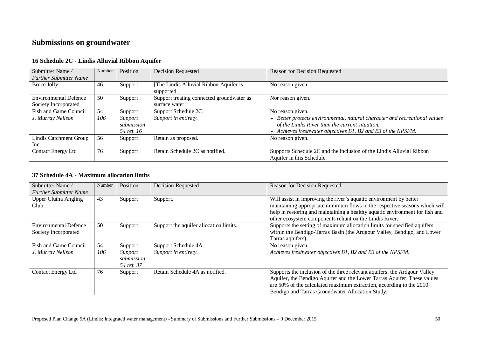# **Submissions on groundwater**

| Submitter Name/               | Number | Position   | <b>Decision Requested</b>                 | Reason for Decision Requested                                            |
|-------------------------------|--------|------------|-------------------------------------------|--------------------------------------------------------------------------|
| <b>Further Submitter Name</b> |        |            |                                           |                                                                          |
| Bruce Jolly                   | 46     | Support    | The Lindis Alluvial Ribbon Aquifer is     | No reason given.                                                         |
|                               |        |            | supported.]                               |                                                                          |
| <b>Environmental Defence</b>  | 50     | Support    | Support treating connected groundwater as | Nor reason given.                                                        |
| Society Incorporated          |        |            | surface water.                            |                                                                          |
| Fish and Game Council         | 54     | Support    | Support Schedule 2C.                      | No reason given.                                                         |
| J. Murray Neilson             | 106    | Support    | Support in entirety.                      | Better protects environmental, natural character and recreational values |
|                               |        | submission |                                           | of the Lindis River than the current situation.                          |
|                               |        | 54 ref. 16 |                                           | Achieves freshwater objectives B1, B2 and B3 of the NPSFM.               |
| Lindis Catchment Group        | 56     | Support    | Retain as proposed.                       | No reason given.                                                         |
| Inc                           |        |            |                                           |                                                                          |
| <b>Contact Energy Ltd</b>     | 76     | Support    | Retain Schedule 2C as notified.           | Supports Schedule 2C and the inclusion of the Lindis Alluvial Ribbon     |
|                               |        |            |                                           | Aquifer in this Schedule.                                                |

### **16 Schedule 2C - Lindis Alluvial Ribbon Aquifer**

## **37 Schedule 4A - Maximum allocation limits**

| Submitter Name/                                      | Number | Position                            | <b>Decision Requested</b>              | Reason for Decision Requested                                                                                                                                                                                                                                                               |
|------------------------------------------------------|--------|-------------------------------------|----------------------------------------|---------------------------------------------------------------------------------------------------------------------------------------------------------------------------------------------------------------------------------------------------------------------------------------------|
| <b>Further Submitter Name</b>                        |        |                                     |                                        |                                                                                                                                                                                                                                                                                             |
| <b>Upper Clutha Angling</b><br>Club                  | 43     | Support                             | Support.                               | Will assist in improving the river's aquatic environment by better<br>maintaining appropriate minimum flows in the respective seasons which will<br>help in restoring and maintaining a healthy aquatic environment for fish and<br>other ecosystem components reliant on the Lindis River. |
| <b>Environmental Defence</b><br>Society Incorporated | 50     | Support                             | Support the aquifer allocation limits. | Supports the setting of maximum allocation limits for specified aquifers<br>within the Bendigo-Tarras Basin (the Ardgour Valley, Bendigo, and Lower<br>Tarras aquifers).                                                                                                                    |
| Fish and Game Council                                | 54     | Support                             | Support Schedule 4A.                   | No reason given.                                                                                                                                                                                                                                                                            |
| J. Murray Neilson                                    | 106    | Support<br>submission<br>54 ref. 37 | Support in entirety.                   | Achieves freshwater objectives B1, B2 and B3 of the NPSFM.                                                                                                                                                                                                                                  |
| Contact Energy Ltd                                   | 76     | Support                             | Retain Schedule 4A as notified.        | Supports the inclusion of the three relevant aquifers: the Ardgour Valley<br>Aquifer, the Bendigo Aquifer and the Lower Tarras Aquifer. These values<br>are 50% of the calculated maximum extraction, according to the 2010<br>Bendigo and Tarras Groundwater Allocation Study.             |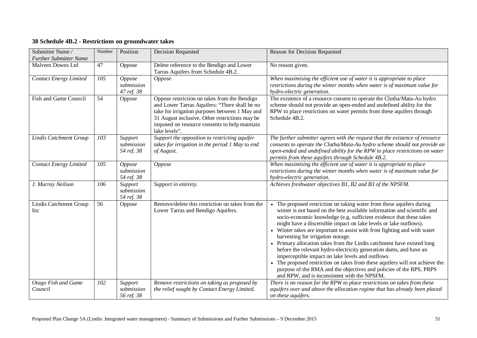## **38 Schedule 4B.2 - Restrictions on groundwater takes**

| Submitter Name/<br><b>Further Submitter Name</b> | Number | Position                            | <b>Decision Requested</b>                                                                                                                                                                                                                                           | Reason for Decision Requested                                                                                                                                                                                                                                                                                                                                                                                                                                                                                                                                                                                                                                                                                                                                                                                              |
|--------------------------------------------------|--------|-------------------------------------|---------------------------------------------------------------------------------------------------------------------------------------------------------------------------------------------------------------------------------------------------------------------|----------------------------------------------------------------------------------------------------------------------------------------------------------------------------------------------------------------------------------------------------------------------------------------------------------------------------------------------------------------------------------------------------------------------------------------------------------------------------------------------------------------------------------------------------------------------------------------------------------------------------------------------------------------------------------------------------------------------------------------------------------------------------------------------------------------------------|
| Malvern Downs Ltd                                | 47     | Oppose                              | Delete reference to the Bendigo and Lower<br>Tarras Aquifers from Schedule 4B.2.                                                                                                                                                                                    | No reason given.                                                                                                                                                                                                                                                                                                                                                                                                                                                                                                                                                                                                                                                                                                                                                                                                           |
| <b>Contact Energy Limited</b>                    | 105    | Oppose<br>submission<br>47 ref. 38  | Oppose                                                                                                                                                                                                                                                              | When maximising the efficient use of water it is appropriate to place<br>restrictions during the winter months when water is of maximum value for<br>hydro-electric generation.                                                                                                                                                                                                                                                                                                                                                                                                                                                                                                                                                                                                                                            |
| Fish and Game Council                            | 54     | Oppose                              | Oppose restriction on takes from the Bendigo<br>and Lower Tarras Aquifers: "There shall be no<br>take for irrigation purposes between 1 May and<br>31 August inclusive. Other restrictions may be<br>imposed on resource consents to help maintain<br>lake levels". | The existence of a resource consent to operate the Clutha/Mata-Au hydro<br>scheme should not provide an open-ended and undefined ability for the<br>RPW to place restrictions on water permits from these aquifers through<br>Schedule 4B.2.                                                                                                                                                                                                                                                                                                                                                                                                                                                                                                                                                                               |
| <b>Lindis Catchment Group</b>                    | 103    | Support<br>submission<br>54 ref. 38 | Support the opposition to restricting aquifer<br>takes for irrigation in the period 1 May to end<br>of August.                                                                                                                                                      | The further submitter agrees with the request that the existence of resource<br>consents to operate the Clutha/Mata-Au hydro scheme should not provide an<br>open-ended and undefined ability for the RPW to place restrictions on water<br>permits from these aquifers through Schedule 4B.2.                                                                                                                                                                                                                                                                                                                                                                                                                                                                                                                             |
| <b>Contact Energy Limited</b>                    | 105    | Oppose<br>submission<br>54 ref. 38  | Oppose                                                                                                                                                                                                                                                              | When maximising the efficient use of water it is appropriate to place<br>restrictions during the winter months when water is of maximum value for<br>hydro-electric generation.                                                                                                                                                                                                                                                                                                                                                                                                                                                                                                                                                                                                                                            |
| J. Murray Neilson                                | 106    | Support<br>submission<br>54 ref. 38 | Support in entirety.                                                                                                                                                                                                                                                | Achieves freshwater objectives B1, B2 and B3 of the NPSFM.                                                                                                                                                                                                                                                                                                                                                                                                                                                                                                                                                                                                                                                                                                                                                                 |
| <b>Lindis Catchment Group</b><br>Inc             | 56     | Oppose                              | Remove/delete this restriction on takes from the<br>Lower Tarras and Bendigo Aquifers.                                                                                                                                                                              | The proposed restriction on taking water from these aquifers during<br>winter is not based on the best available information and scientific and<br>socio-economic knowledge (e.g. sufficient evidence that these takes<br>might have a discernible impact on lake levels or lake outflows).<br>• Winter takes are important to assist with frost fighting and with water<br>harvesting for irrigation storage.<br>• Primary allocation takes from the Lindis catchment have existed long<br>before the relevant hydro-electricity generation dams, and have an<br>imperceptible impact on lake levels and outflows.<br>• The proposed restriction on takes from these aquifers will not achieve the<br>purpose of the RMA and the objectives and policies of the RPS, PRPS<br>and RPW, and is inconsistent with the NPSFM. |
| Otago Fish and Game<br>Council                   | 102    | Support<br>submission<br>56 ref. 38 | Remove restrictions on taking as proposed by<br>the relief sought by Contact Energy Limited.                                                                                                                                                                        | There is no reason for the RPW to place restrictions on takes from these<br>aquifers over and above the allocation regime that has already been placed<br>on these aquifers.                                                                                                                                                                                                                                                                                                                                                                                                                                                                                                                                                                                                                                               |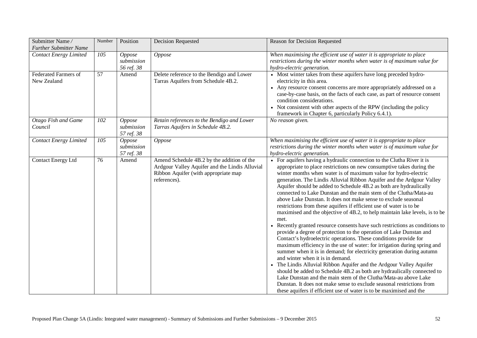| Submitter Name/<br><b>Further Submitter Name</b> | Number          | Position                           | <b>Decision Requested</b>                                                                                                                            | Reason for Decision Requested                                                                                                                                                                                                                                                                                                                                                                                                                                                                                                                                                                                                                                                                                                                                                                                                                                                                                                                                                                                                                                                                                                                                                                                                                                                                                                                                                                                                                                 |
|--------------------------------------------------|-----------------|------------------------------------|------------------------------------------------------------------------------------------------------------------------------------------------------|---------------------------------------------------------------------------------------------------------------------------------------------------------------------------------------------------------------------------------------------------------------------------------------------------------------------------------------------------------------------------------------------------------------------------------------------------------------------------------------------------------------------------------------------------------------------------------------------------------------------------------------------------------------------------------------------------------------------------------------------------------------------------------------------------------------------------------------------------------------------------------------------------------------------------------------------------------------------------------------------------------------------------------------------------------------------------------------------------------------------------------------------------------------------------------------------------------------------------------------------------------------------------------------------------------------------------------------------------------------------------------------------------------------------------------------------------------------|
| <b>Contact Energy Limited</b>                    | 105             | Oppose<br>submission<br>56 ref. 38 | Oppose                                                                                                                                               | When maximising the efficient use of water it is appropriate to place<br>restrictions during the winter months when water is of maximum value for<br>hydro-electric generation.                                                                                                                                                                                                                                                                                                                                                                                                                                                                                                                                                                                                                                                                                                                                                                                                                                                                                                                                                                                                                                                                                                                                                                                                                                                                               |
| <b>Federated Farmers of</b><br>New Zealand       | $\overline{57}$ | Amend                              | Delete reference to the Bendigo and Lower<br>Tarras Aquifers from Schedule 4B.2.                                                                     | • Most winter takes from these aquifers have long preceded hydro-<br>electricity in this area.<br>• Any resource consent concerns are more appropriately addressed on a<br>case-by-case basis, on the facts of each case, as part of resource consent<br>condition considerations.<br>• Not consistent with other aspects of the RPW (including the policy<br>framework in Chapter 6, particularly Policy 6.4.1).                                                                                                                                                                                                                                                                                                                                                                                                                                                                                                                                                                                                                                                                                                                                                                                                                                                                                                                                                                                                                                             |
| Otago Fish and Game<br>Council                   | 102             | Oppose<br>submission<br>57 ref. 38 | Retain references to the Bendigo and Lower<br>Tarras Aquifers in Schedule 4B.2.                                                                      | No reason given.                                                                                                                                                                                                                                                                                                                                                                                                                                                                                                                                                                                                                                                                                                                                                                                                                                                                                                                                                                                                                                                                                                                                                                                                                                                                                                                                                                                                                                              |
| <b>Contact Energy Limited</b>                    | 105             | Oppose<br>submission<br>57 ref. 38 | Oppose                                                                                                                                               | When maximising the efficient use of water it is appropriate to place<br>restrictions during the winter months when water is of maximum value for<br>hydro-electric generation.                                                                                                                                                                                                                                                                                                                                                                                                                                                                                                                                                                                                                                                                                                                                                                                                                                                                                                                                                                                                                                                                                                                                                                                                                                                                               |
| <b>Contact Energy Ltd</b>                        | 76              | Amend                              | Amend Schedule 4B.2 by the addition of the<br>Ardgour Valley Aquifer and the Lindis Alluvial<br>Ribbon Aquifer (with appropriate map<br>references). | • For aquifers having a hydraulic connection to the Clutha River it is<br>appropriate to place restrictions on new consumptive takes during the<br>winter months when water is of maximum value for hydro-electric<br>generation. The Lindis Alluvial Ribbon Aquifer and the Ardgour Valley<br>Aquifer should be added to Schedule 4B.2 as both are hydraulically<br>connected to Lake Dunstan and the main stem of the Clutha/Mata-au<br>above Lake Dunstan. It does not make sense to exclude seasonal<br>restrictions from these aquifers if efficient use of water is to be<br>maximised and the objective of 4B.2, to help maintain lake levels, is to be<br>met.<br>Recently granted resource consents have such restrictions as conditions to<br>provide a degree of protection to the operation of Lake Dunstan and<br>Contact's hydroelectric operations. These conditions provide for<br>maximum efficiency in the use of water: for irrigation during spring and<br>summer when it is in demand; for electricity generation during autumn<br>and winter when it is in demand.<br>• The Lindis Alluvial Ribbon Aquifer and the Ardgour Valley Aquifer<br>should be added to Schedule 4B.2 as both are hydraulically connected to<br>Lake Dunstan and the main stem of the Clutha/Mata-au above Lake<br>Dunstan. It does not make sense to exclude seasonal restrictions from<br>these aquifers if efficient use of water is to be maximised and the |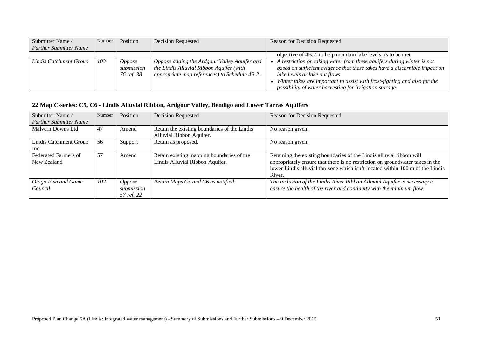| Submitter Name/               | Number | Position                           | <b>Decision Requested</b>                                                                                                                | Reason for Decision Requested                                                                                                                                                                                                                                                                                                         |
|-------------------------------|--------|------------------------------------|------------------------------------------------------------------------------------------------------------------------------------------|---------------------------------------------------------------------------------------------------------------------------------------------------------------------------------------------------------------------------------------------------------------------------------------------------------------------------------------|
| <b>Further Submitter Name</b> |        |                                    |                                                                                                                                          |                                                                                                                                                                                                                                                                                                                                       |
|                               |        |                                    |                                                                                                                                          | objective of 4B.2, to help maintain lake levels, is to be met.                                                                                                                                                                                                                                                                        |
| Lindis Catchment Group        | 103    | Oppose<br>submission<br>76 ref. 38 | Oppose adding the Ardgour Valley Aquifer and<br>the Lindis Alluvial Ribbon Aquifer (with<br>appropriate map references) to Schedule 4B.2 | A restriction on taking water from these aquifers during winter is not<br>based on sufficient evidence that these takes have a discernible impact on $\vert$<br>lake levels or lake out flows<br>Winter takes are important to assist with frost-fighting and also for the<br>possibility of water harvesting for irrigation storage. |

## **22 Map C-series: C5, C6 - Lindis Alluvial Ribbon, Ardgour Valley, Bendigo and Lower Tarras Aquifers**

| Submitter Name/<br><b>Further Submitter Name</b> | Number | Position                                  | <b>Decision Requested</b>                                                    | Reason for Decision Requested                                                                                                                                                                                                                    |
|--------------------------------------------------|--------|-------------------------------------------|------------------------------------------------------------------------------|--------------------------------------------------------------------------------------------------------------------------------------------------------------------------------------------------------------------------------------------------|
| Malvern Downs Ltd                                | 47     | Amend                                     | Retain the existing boundaries of the Lindis<br>Alluvial Ribbon Aquifer.     | No reason given.                                                                                                                                                                                                                                 |
| Lindis Catchment Group<br>Inc                    | 56     | Support                                   | Retain as proposed.                                                          | No reason given.                                                                                                                                                                                                                                 |
| Federated Farmers of<br>New Zealand              | - 57   | Amend                                     | Retain existing mapping boundaries of the<br>Lindis Alluvial Ribbon Aquifer. | Retaining the existing boundaries of the Lindis alluvial ribbon will<br>appropriately ensure that there is no restriction on groundwater takes in the<br>lower Lindis alluvial fan zone which isn't located within 100 m of the Lindis<br>River. |
| Otago Fish and Game<br>Council                   | 102    | <i>Oppose</i><br>submission<br>57 ref. 22 | Retain Maps C5 and C6 as notified.                                           | The inclusion of the Lindis River Ribbon Alluvial Aquifer is necessary to<br>ensure the health of the river and continuity with the minimum flow.                                                                                                |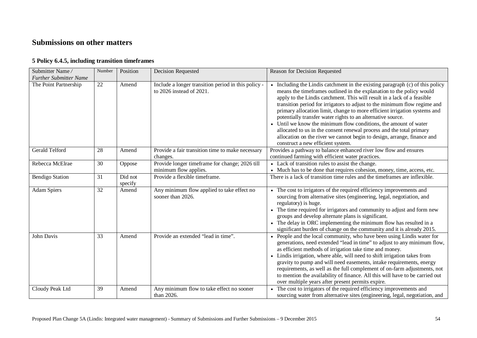# **Submissions on other matters**

### **5 Policy 6.4.5, including transition timeframes**

| Submitter Name/<br><b>Further Submitter Name</b> | Number          | Position           | <b>Decision Requested</b>                                                       | Reason for Decision Requested                                                                                                                                                                                                                                                                                                                                                                                                                                                                                                                                                                                                                                                                                         |
|--------------------------------------------------|-----------------|--------------------|---------------------------------------------------------------------------------|-----------------------------------------------------------------------------------------------------------------------------------------------------------------------------------------------------------------------------------------------------------------------------------------------------------------------------------------------------------------------------------------------------------------------------------------------------------------------------------------------------------------------------------------------------------------------------------------------------------------------------------------------------------------------------------------------------------------------|
| The Point Partnership                            | $\overline{22}$ | Amend              | Include a longer transition period in this policy -<br>to 2026 instead of 2021. | • Including the Lindis catchment in the existing paragraph (c) of this policy<br>means the timeframes outlined in the explanation to the policy would<br>apply to the Lindis catchment. This will result in a lack of a feasible<br>transition period for irrigators to adjust to the minimum flow regime and<br>primary allocation limit, change to more efficient irrigation systems and<br>potentially transfer water rights to an alternative source.<br>• Until we know the minimum flow conditions, the amount of water<br>allocated to us in the consent renewal process and the total primary<br>allocation on the river we cannot begin to design, arrange, finance and<br>construct a new efficient system. |
| Gerald Telford                                   | 28              | Amend              | Provide a fair transition time to make necessary<br>changes.                    | Provides a pathway to balance enhanced river low flow and ensures<br>continued farming with efficient water practices.                                                                                                                                                                                                                                                                                                                                                                                                                                                                                                                                                                                                |
| Rebecca McElrae                                  | 30              | Oppose             | Provide longer timeframe for change; 2026 till<br>minimum flow applies.         | • Lack of transition rules to assist the change.<br>• Much has to be done that requires cohesion, money, time, access, etc.                                                                                                                                                                                                                                                                                                                                                                                                                                                                                                                                                                                           |
| <b>Bendigo Station</b>                           | 31              | Did not<br>specify | Provide a flexible timeframe.                                                   | There is a lack of transition time rules and the timeframes are inflexible.                                                                                                                                                                                                                                                                                                                                                                                                                                                                                                                                                                                                                                           |
| <b>Adam Spiers</b>                               | 32              | Amend              | Any minimum flow applied to take effect no<br>sooner than 2026.                 | • The cost to irrigators of the required efficiency improvements and<br>sourcing from alternative sites (engineering, legal, negotiation, and<br>regulatory) is huge.<br>• The time required for irrigators and community to adjust and form new<br>groups and develop alternate plans is significant.<br>• The delay in ORC implementing the minimum flow has resulted in a<br>significant burden of change on the community and it is already 2015.                                                                                                                                                                                                                                                                 |
| John Davis                                       | $\overline{33}$ | Amend              | Provide an extended "lead in time".                                             | People and the local community, who have been using Lindis water for<br>generations, need extended "lead in time" to adjust to any minimum flow,<br>as efficient methods of irrigation take time and money.<br>Lindis irrigation, where able, will need to shift irrigation takes from<br>gravity to pump and will need easements, intake requirements, energy<br>requirements, as well as the full complement of on-farm adjustments, not<br>to mention the availability of finance. All this will have to be carried out<br>over multiple years after present permits expire.                                                                                                                                       |
| Cloudy Peak Ltd                                  | 39              | Amend              | Any minimum flow to take effect no sooner<br>than 2026.                         | • The cost to irrigators of the required efficiency improvements and<br>sourcing water from alternative sites (engineering, legal, negotiation, and                                                                                                                                                                                                                                                                                                                                                                                                                                                                                                                                                                   |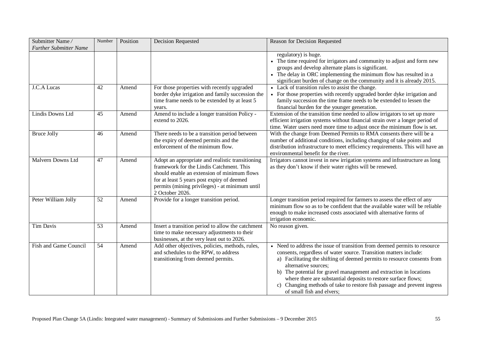| Submitter Name/<br><b>Further Submitter Name</b> | Number          | Position | <b>Decision Requested</b>                                                                                                                                                                                                                                      | Reason for Decision Requested                                                                                                                                                                                                                                                                                                                                                                                                                                                                   |
|--------------------------------------------------|-----------------|----------|----------------------------------------------------------------------------------------------------------------------------------------------------------------------------------------------------------------------------------------------------------------|-------------------------------------------------------------------------------------------------------------------------------------------------------------------------------------------------------------------------------------------------------------------------------------------------------------------------------------------------------------------------------------------------------------------------------------------------------------------------------------------------|
|                                                  |                 |          |                                                                                                                                                                                                                                                                | regulatory) is huge.<br>• The time required for irrigators and community to adjust and form new<br>groups and develop alternate plans is significant.<br>The delay in ORC implementing the minimum flow has resulted in a<br>significant burden of change on the community and it is already 2015.                                                                                                                                                                                              |
| J.C.A Lucas                                      | 42              | Amend    | For those properties with recently upgraded<br>border dyke irrigation and family succession the<br>time frame needs to be extended by at least 5<br>years.                                                                                                     | • Lack of transition rules to assist the change.<br>For those properties with recently upgraded border dyke irrigation and<br>family succession the time frame needs to be extended to lessen the<br>financial burden for the younger generation.                                                                                                                                                                                                                                               |
| Lindis Downs Ltd                                 | 45              | Amend    | Amend to include a longer transition Policy -<br>extend to 2026.                                                                                                                                                                                               | Extension of the transition time needed to allow irrigators to set up more<br>efficient irrigation systems without financial strain over a longer period of<br>time. Water users need more time to adjust once the minimum flow is set.                                                                                                                                                                                                                                                         |
| <b>Bruce Jolly</b>                               | 46              | Amend    | There needs to be a transition period between<br>the expiry of deemed permits and the<br>enforcement of the minimum flow.                                                                                                                                      | With the change from Deemed Permits to RMA consents there will be a<br>number of additional conditions, including changing of take points and<br>distribution infrastructure to meet efficiency requirements. This will have an<br>environmental benefit for the river.                                                                                                                                                                                                                         |
| Malvern Downs Ltd                                | 47              | Amend    | Adopt an appropriate and realistic transitioning<br>framework for the Lindis Catchment. This<br>should enable an extension of minimum flows<br>for at least 5 years post expiry of deemed<br>permits (mining privileges) - at minimum until<br>2 October 2026. | Irrigators cannot invest in new irrigation systems and infrastructure as long<br>as they don't know if their water rights will be renewed.                                                                                                                                                                                                                                                                                                                                                      |
| Peter William Jolly                              | $\overline{52}$ | Amend    | Provide for a longer transition period.                                                                                                                                                                                                                        | Longer transition period required for farmers to assess the effect of any<br>minimum flow so as to be confident that the available water will be reliable<br>enough to make increased costs associated with alternative forms of<br>irrigation economic.                                                                                                                                                                                                                                        |
| <b>Tim Davis</b>                                 | $\overline{53}$ | Amend    | Insert a transition period to allow the catchment<br>time to make necessary adjustments to their<br>businesses, at the very least out to 2026.                                                                                                                 | No reason given.                                                                                                                                                                                                                                                                                                                                                                                                                                                                                |
| Fish and Game Council                            | $\overline{54}$ | Amend    | Add other objectives, policies, methods, rules,<br>and schedules to the RPW, to address<br>transitioning from deemed permits.                                                                                                                                  | • Need to address the issue of transition from deemed permits to resource<br>consents, regardless of water source. Transition matters include:<br>a) Facilitating the shifting of deemed permits to resource consents from<br>alternative sources;<br>b) The potential for gravel management and extraction in locations<br>where there are substantial deposits to restore surface flows;<br>Changing methods of take to restore fish passage and prevent ingress<br>of small fish and elvers; |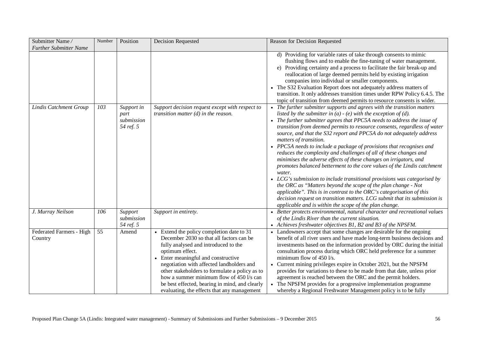| Submitter Name/<br><b>Further Submitter Name</b> | Number | Position                                      | <b>Decision Requested</b>                                                                                                                                                                                                                                                                                                                                                                                                           | Reason for Decision Requested                                                                                                                                                                                                                                                                                                                                                                                                                                                                                                                                                                                                                                                                                                                                                                                                                                                                                                                                                                                                                                                |
|--------------------------------------------------|--------|-----------------------------------------------|-------------------------------------------------------------------------------------------------------------------------------------------------------------------------------------------------------------------------------------------------------------------------------------------------------------------------------------------------------------------------------------------------------------------------------------|------------------------------------------------------------------------------------------------------------------------------------------------------------------------------------------------------------------------------------------------------------------------------------------------------------------------------------------------------------------------------------------------------------------------------------------------------------------------------------------------------------------------------------------------------------------------------------------------------------------------------------------------------------------------------------------------------------------------------------------------------------------------------------------------------------------------------------------------------------------------------------------------------------------------------------------------------------------------------------------------------------------------------------------------------------------------------|
|                                                  |        |                                               |                                                                                                                                                                                                                                                                                                                                                                                                                                     | d) Providing for variable rates of take through consents to mimic<br>flushing flows and to enable the fine-tuning of water management.<br>e) Providing certainty and a process to facilitate the fair break-up and<br>reallocation of large deemed permits held by existing irrigation<br>companies into individual or smaller components.<br>• The S32 Evaluation Report does not adequately address matters of<br>transition. It only addresses transition times under RPW Policy 6.4.5. The<br>topic of transition from deemed permits to resource consents is wider.                                                                                                                                                                                                                                                                                                                                                                                                                                                                                                     |
| <b>Lindis Catchment Group</b>                    | 103    | Support in<br>part<br>submission<br>54 ref. 5 | Support decision request except with respect to<br>transition matter $(d)$ in the reason.                                                                                                                                                                                                                                                                                                                                           | • The further submitter supports and agrees with the transition matters<br>listed by the submitter in $(a)$ - $(e)$ with the exception of $(d)$ .<br>• The further submitter agrees that PPC5A needs to address the issue of<br>transition from deemed permits to resource consents, regardless of water<br>source, and that the S32 report and PPC5A do not adequately address<br>matters of transition.<br>• PPC5A needs to include a package of provisions that recognises and<br>reduces the complexity and challenges of all of these changes and<br>minimises the adverse effects of these changes on irrigators, and<br>promotes balanced betterment to the core values of the Lindis catchment<br>water.<br>• LCG's submission to include transitional provisions was categorised by<br>the ORC as "Matters beyond the scope of the plan change - Not<br>applicable". This is in contrast to the ORC's categorisation of this<br>decision request on transition matters. LCG submit that its submission is<br>applicable and is within the scope of the plan change. |
| J. Murray Neilson                                | 106    | Support<br>submission<br>54 ref. 5            | Support in entirety.                                                                                                                                                                                                                                                                                                                                                                                                                | Better protects environmental, natural character and recreational values<br>of the Lindis River than the current situation.<br>• Achieves freshwater objectives B1, B2 and B3 of the NPSFM.                                                                                                                                                                                                                                                                                                                                                                                                                                                                                                                                                                                                                                                                                                                                                                                                                                                                                  |
| Federated Farmers - High<br>Country              | 55     | Amend                                         | • Extend the policy completion date to 31<br>December 2030 so that all factors can be<br>fully analysed and introduced to the<br>optimum effect.<br>• Enter meaningful and constructive<br>negotiation with affected landholders and<br>other stakeholders to formulate a policy as to<br>how a summer minimum flow of 450 l/s can<br>be best effected, bearing in mind, and clearly<br>evaluating, the effects that any management | • Landowners accept that some changes are desirable for the ongoing<br>benefit of all river users and have made long-term business decisions and<br>investments based on the information provided by ORC during the initial<br>consultation process during which ORC held preference for a summer<br>minimum flow of 450 l/s.<br>Current mining privileges expire in October 2021, but the NPSFM<br>provides for variations to these to be made from that date, unless prior<br>agreement is reached between the ORC and the permit holders.<br>The NPSFM provides for a progressive implementation programme<br>whereby a Regional Freshwater Management policy is to be fully                                                                                                                                                                                                                                                                                                                                                                                              |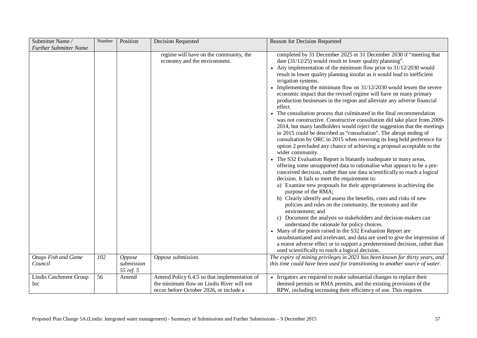| Submitter Name/                | Number | Position                          | Decision Requested                                                                                                                   | Reason for Decision Requested                                                                                                                                                                                                                                                                                                                                                                                                                                                                                                                                                                                                                                                                                                                                                                                                                                                                                                                                                                                                                                                                                                                                                                                                                                                                                                                                                                                                                                                                                                                                                                                                                                                                                                                                                                                                                                                                                                                                             |
|--------------------------------|--------|-----------------------------------|--------------------------------------------------------------------------------------------------------------------------------------|---------------------------------------------------------------------------------------------------------------------------------------------------------------------------------------------------------------------------------------------------------------------------------------------------------------------------------------------------------------------------------------------------------------------------------------------------------------------------------------------------------------------------------------------------------------------------------------------------------------------------------------------------------------------------------------------------------------------------------------------------------------------------------------------------------------------------------------------------------------------------------------------------------------------------------------------------------------------------------------------------------------------------------------------------------------------------------------------------------------------------------------------------------------------------------------------------------------------------------------------------------------------------------------------------------------------------------------------------------------------------------------------------------------------------------------------------------------------------------------------------------------------------------------------------------------------------------------------------------------------------------------------------------------------------------------------------------------------------------------------------------------------------------------------------------------------------------------------------------------------------------------------------------------------------------------------------------------------------|
| <b>Further Submitter Name</b>  |        |                                   |                                                                                                                                      |                                                                                                                                                                                                                                                                                                                                                                                                                                                                                                                                                                                                                                                                                                                                                                                                                                                                                                                                                                                                                                                                                                                                                                                                                                                                                                                                                                                                                                                                                                                                                                                                                                                                                                                                                                                                                                                                                                                                                                           |
|                                |        |                                   | regime will have on the community, the<br>economy and the environment.                                                               | completed by 31 December 2025 or 31 December 2030 if "meeting that<br>date $(31/12/25)$ would result in lower quality planning".<br>• Any implementation of the minimum flow prior to $31/12/2030$ would<br>result in lower quality planning insofar as it would lead to inefficient<br>irrigation systems.<br>Implementing the minimum flow on 31/12/2030 would lessen the severe<br>economic impact that the revised regime will have on many primary<br>production businesses in the region and alleviate any adverse financial<br>effect.<br>• The consultation process that culminated in the final recommendation<br>was not constructive. Constructive consultation did take place from 2009-<br>2014, but many landholders would reject the suggestion that the meetings<br>in 2015 could be described as "consultation". The abrupt ending of<br>consultation by ORC in 2015 when reversing its long held preference for<br>option 2 precluded any chance of achieving a proposal acceptable to the<br>wider community.<br>The S32 Evaluation Report is blatantly inadequate in many areas,<br>offering some unsupported data to rationalise what appears to be a pre-<br>conceived decision, rather than use data scientifically to reach a logical<br>decision. It fails to meet the requirement to:<br>a) Examine new proposals for their appropriateness in achieving the<br>purpose of the RMA;<br>b) Clearly identify and assess the benefits, costs and risks of new<br>policies and rules on the community, the economy and the<br>environment; and<br>c) Document the analysis so stakeholders and decision-makers can<br>understand the rationale for policy choices.<br>• Many of the points raised in the S32 Evaluation Report are<br>unsubstantiated and irrelevant, and data are used to give the impression of<br>a minor adverse effect or to support a predetermined decision, rather than<br>used scientifically to reach a logical decision. |
| Otago Fish and Game<br>Council | 102    | Oppose<br>submission<br>55 ref. 5 | Oppose submission.                                                                                                                   | The expiry of mining privileges in 2021 has been known for thirty years, and<br>this time could have been used for transitioning to another source of water.                                                                                                                                                                                                                                                                                                                                                                                                                                                                                                                                                                                                                                                                                                                                                                                                                                                                                                                                                                                                                                                                                                                                                                                                                                                                                                                                                                                                                                                                                                                                                                                                                                                                                                                                                                                                              |
| Lindis Catchment Group<br>Inc  | 56     | Amend                             | Amend Policy 6.4.5 so that implementation of<br>the minimum flow on Lindis River will not<br>occur before October 2026, or include a | • Irrigators are required to make substantial changes to replace their<br>deemed permits or RMA permits, and the existing provisions of the<br>RPW, including increasing their efficiency of use. This requires                                                                                                                                                                                                                                                                                                                                                                                                                                                                                                                                                                                                                                                                                                                                                                                                                                                                                                                                                                                                                                                                                                                                                                                                                                                                                                                                                                                                                                                                                                                                                                                                                                                                                                                                                           |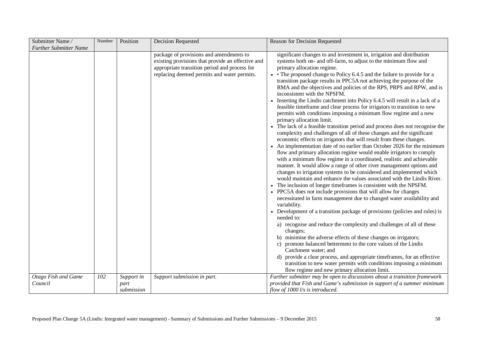| Submitter Name/               | Number | Position   | Decision Requested                                                                                                                                                                           | Reason for Decision Requested                                                                                                                                                                                                                                                                                                                                                                                                                                                                                                                                                                                                                                                                                                                                                                                                                                                                                                                                                                                                                                                                                                                                                                                                                                                                                                                                                                                                                                                                                                                                                                                                                                                                                                                                                                                                                                                                                                                                                                                                                                                                                             |
|-------------------------------|--------|------------|----------------------------------------------------------------------------------------------------------------------------------------------------------------------------------------------|---------------------------------------------------------------------------------------------------------------------------------------------------------------------------------------------------------------------------------------------------------------------------------------------------------------------------------------------------------------------------------------------------------------------------------------------------------------------------------------------------------------------------------------------------------------------------------------------------------------------------------------------------------------------------------------------------------------------------------------------------------------------------------------------------------------------------------------------------------------------------------------------------------------------------------------------------------------------------------------------------------------------------------------------------------------------------------------------------------------------------------------------------------------------------------------------------------------------------------------------------------------------------------------------------------------------------------------------------------------------------------------------------------------------------------------------------------------------------------------------------------------------------------------------------------------------------------------------------------------------------------------------------------------------------------------------------------------------------------------------------------------------------------------------------------------------------------------------------------------------------------------------------------------------------------------------------------------------------------------------------------------------------------------------------------------------------------------------------------------------------|
| <b>Further Submitter Name</b> |        |            |                                                                                                                                                                                              |                                                                                                                                                                                                                                                                                                                                                                                                                                                                                                                                                                                                                                                                                                                                                                                                                                                                                                                                                                                                                                                                                                                                                                                                                                                                                                                                                                                                                                                                                                                                                                                                                                                                                                                                                                                                                                                                                                                                                                                                                                                                                                                           |
|                               |        |            | package of provisions and amendments to<br>existing provisions that provide an effective and<br>appropriate transition period and process for<br>replacing deemed permits and water permits. | significant changes to and investment in, irrigation and distribution<br>systems both on- and off-farm, to adjust to the minimum flow and<br>primary allocation regime.<br>• The proposed change to Policy 6.4.5 and the failure to provide for a<br>transition package results in PPC5A not achieving the purpose of the<br>RMA and the objectives and policies of the RPS, PRPS and RPW, and is<br>inconsistent with the NPSFM.<br>• Inserting the Lindis catchment into Policy 6.4.5 will result in a lack of a<br>feasible timeframe and clear process for irrigators to transition to new<br>permits with conditions imposing a minimum flow regime and a new<br>primary allocation limit.<br>• The lack of a feasible transition period and process does not recognise the<br>complexity and challenges of all of these changes and the significant<br>economic effects on irrigators that will result from these changes.<br>• An implementation date of no earlier than October 2026 for the minimum<br>flow and primary allocation regime would enable irrigators to comply<br>with a minimum flow regime in a coordinated, realistic and achievable<br>manner. It would allow a range of other river management options and<br>changes to irrigation systems to be considered and implemented which<br>would maintain and enhance the values associated with the Lindis River.<br>• The inclusion of longer timeframes is consistent with the NPSFM.<br>• PPC5A does not include provisions that will allow for changes<br>necessitated in farm management due to changed water availability and<br>variability.<br>• Development of a transition package of provisions (policies and rules) is<br>needed to:<br>a) recognise and reduce the complexity and challenges of all of these<br>changes;<br>b) minimise the adverse effects of these changes on irrigators;<br>promote balanced betterment to the core values of the Lindis<br>Catchment water; and<br>d) provide a clear process, and appropriate timeframes, for an effective<br>transition to new water permits with conditions imposing a minimum |
|                               |        |            |                                                                                                                                                                                              | flow regime and new primary allocation limit.                                                                                                                                                                                                                                                                                                                                                                                                                                                                                                                                                                                                                                                                                                                                                                                                                                                                                                                                                                                                                                                                                                                                                                                                                                                                                                                                                                                                                                                                                                                                                                                                                                                                                                                                                                                                                                                                                                                                                                                                                                                                             |
| Otago Fish and Game           | 102    | Support in | Support submission in part.                                                                                                                                                                  | Further submitter may be open to discussions about a transition framework                                                                                                                                                                                                                                                                                                                                                                                                                                                                                                                                                                                                                                                                                                                                                                                                                                                                                                                                                                                                                                                                                                                                                                                                                                                                                                                                                                                                                                                                                                                                                                                                                                                                                                                                                                                                                                                                                                                                                                                                                                                 |
| Council                       |        | part       |                                                                                                                                                                                              | provided that Fish and Game's submission in support of a summer minimum                                                                                                                                                                                                                                                                                                                                                                                                                                                                                                                                                                                                                                                                                                                                                                                                                                                                                                                                                                                                                                                                                                                                                                                                                                                                                                                                                                                                                                                                                                                                                                                                                                                                                                                                                                                                                                                                                                                                                                                                                                                   |
|                               |        | submission |                                                                                                                                                                                              | flow of 1000 l/s is introduced.                                                                                                                                                                                                                                                                                                                                                                                                                                                                                                                                                                                                                                                                                                                                                                                                                                                                                                                                                                                                                                                                                                                                                                                                                                                                                                                                                                                                                                                                                                                                                                                                                                                                                                                                                                                                                                                                                                                                                                                                                                                                                           |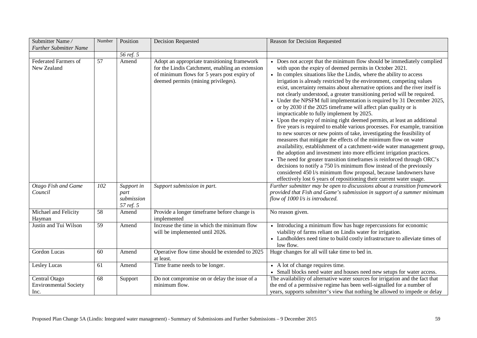| Submitter Name/<br><b>Further Submitter Name</b>      | Number | Position                                      | <b>Decision Requested</b>                                                                                                                                                             | Reason for Decision Requested                                                                                                                                                                                                                                                                                                                                                                                                                                                                                                                                                                                                                                                                                                                                                                                                                                                                                                                                                                                                                                                                                                                                                                                                                                                                                                                                                                         |
|-------------------------------------------------------|--------|-----------------------------------------------|---------------------------------------------------------------------------------------------------------------------------------------------------------------------------------------|-------------------------------------------------------------------------------------------------------------------------------------------------------------------------------------------------------------------------------------------------------------------------------------------------------------------------------------------------------------------------------------------------------------------------------------------------------------------------------------------------------------------------------------------------------------------------------------------------------------------------------------------------------------------------------------------------------------------------------------------------------------------------------------------------------------------------------------------------------------------------------------------------------------------------------------------------------------------------------------------------------------------------------------------------------------------------------------------------------------------------------------------------------------------------------------------------------------------------------------------------------------------------------------------------------------------------------------------------------------------------------------------------------|
|                                                       |        | 56 ref. 5                                     |                                                                                                                                                                                       |                                                                                                                                                                                                                                                                                                                                                                                                                                                                                                                                                                                                                                                                                                                                                                                                                                                                                                                                                                                                                                                                                                                                                                                                                                                                                                                                                                                                       |
| Federated Farmers of<br>New Zealand                   | 57     | Amend                                         | Adopt an appropriate transitioning framework<br>for the Lindis Catchment, enabling an extension<br>of minimum flows for 5 years post expiry of<br>deemed permits (mining privileges). | • Does not accept that the minimum flow should be immediately complied<br>with upon the expiry of deemed permits in October 2021.<br>• In complex situations like the Lindis, where the ability to access<br>irrigation is already restricted by the environment, competing values<br>exist, uncertainty remains about alternative options and the river itself is<br>not clearly understood, a greater transitioning period will be required.<br>• Under the NPSFM full implementation is required by 31 December 2025,<br>or by 2030 if the 2025 timeframe will affect plan quality or is<br>impracticable to fully implement by 2025.<br>• Upon the expiry of mining right deemed permits, at least an additional<br>five years is required to enable various processes. For example, transition<br>to new sources or new points of take, investigating the feasibility of<br>measures that mitigate the effects of the minimum flow on water<br>availability, establishment of a catchment-wide water management group,<br>the adoption and investment into more efficient irrigation practices.<br>• The need for greater transition timeframes is reinforced through ORC's<br>decisions to notify a 750 l/s minimum flow instead of the previously<br>considered 450 l/s minimum flow proposal, because landowners have<br>effectively lost 6 years of repositioning their current water usage. |
| Otago Fish and Game<br>Council                        | 102    | Support in<br>part<br>submission<br>57 ref. 5 | Support submission in part.                                                                                                                                                           | Further submitter may be open to discussions about a transition framework<br>provided that Fish and Game's submission in support of a summer minimum<br>flow of 1000 l/s is introduced.                                                                                                                                                                                                                                                                                                                                                                                                                                                                                                                                                                                                                                                                                                                                                                                                                                                                                                                                                                                                                                                                                                                                                                                                               |
| Michael and Felicity<br>Hayman                        | 58     | Amend                                         | Provide a longer timeframe before change is<br>implemented                                                                                                                            | No reason given.                                                                                                                                                                                                                                                                                                                                                                                                                                                                                                                                                                                                                                                                                                                                                                                                                                                                                                                                                                                                                                                                                                                                                                                                                                                                                                                                                                                      |
| Justin and Tui Wilson                                 | 59     | Amend                                         | Increase the time in which the minimum flow<br>will be implemented until 2026.                                                                                                        | • Introducing a minimum flow has huge repercussions for economic<br>viability of farms reliant on Lindis water for irrigation.<br>• Landholders need time to build costly infrastructure to alleviate times of<br>low flow.                                                                                                                                                                                                                                                                                                                                                                                                                                                                                                                                                                                                                                                                                                                                                                                                                                                                                                                                                                                                                                                                                                                                                                           |
| Gordon Lucas                                          | 60     | Amend                                         | Operative flow time should be extended to 2025<br>at least.                                                                                                                           | Huge changes for all will take time to bed in.                                                                                                                                                                                                                                                                                                                                                                                                                                                                                                                                                                                                                                                                                                                                                                                                                                                                                                                                                                                                                                                                                                                                                                                                                                                                                                                                                        |
| Lesley Lucas                                          | 61     | Amend                                         | Time frame needs to be longer.                                                                                                                                                        | • A lot of change requires time.<br>• Small blocks need water and houses need new setups for water access.                                                                                                                                                                                                                                                                                                                                                                                                                                                                                                                                                                                                                                                                                                                                                                                                                                                                                                                                                                                                                                                                                                                                                                                                                                                                                            |
| Central Otago<br><b>Environmental Society</b><br>Inc. | 68     | Support                                       | Do not compromise on or delay the issue of a<br>minimum flow.                                                                                                                         | The availability of alternative water sources for irrigation and the fact that<br>the end of a permissive regime has been well-signalled for a number of<br>years, supports submitter's view that nothing be allowed to impede or delay                                                                                                                                                                                                                                                                                                                                                                                                                                                                                                                                                                                                                                                                                                                                                                                                                                                                                                                                                                                                                                                                                                                                                               |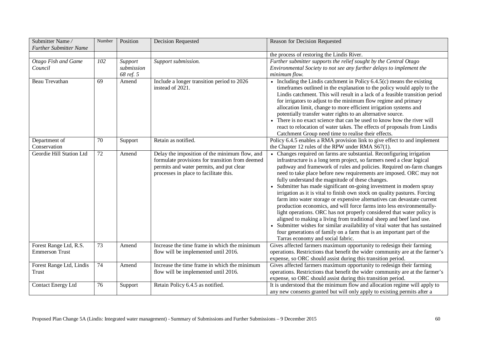| Submitter Name/<br><b>Further Submitter Name</b> | Number          | Position                           | <b>Decision Requested</b>                                                                                                                                                              | Reason for Decision Requested                                                                                                                                                                                                                                                                                                                                                                                                                                                                                                                                                                                                                                                                                                                                                                                                                                                                                                                                                                            |
|--------------------------------------------------|-----------------|------------------------------------|----------------------------------------------------------------------------------------------------------------------------------------------------------------------------------------|----------------------------------------------------------------------------------------------------------------------------------------------------------------------------------------------------------------------------------------------------------------------------------------------------------------------------------------------------------------------------------------------------------------------------------------------------------------------------------------------------------------------------------------------------------------------------------------------------------------------------------------------------------------------------------------------------------------------------------------------------------------------------------------------------------------------------------------------------------------------------------------------------------------------------------------------------------------------------------------------------------|
|                                                  |                 |                                    |                                                                                                                                                                                        | the process of restoring the Lindis River.                                                                                                                                                                                                                                                                                                                                                                                                                                                                                                                                                                                                                                                                                                                                                                                                                                                                                                                                                               |
| Otago Fish and Game<br>Council                   | 102             | Support<br>submission<br>68 ref. 5 | Support submission.                                                                                                                                                                    | Further submitter supports the relief sought by the Central Otago<br>Environmental Society to not see any further delays to implement the<br>minimum flow.                                                                                                                                                                                                                                                                                                                                                                                                                                                                                                                                                                                                                                                                                                                                                                                                                                               |
| Beau Trevathan                                   | 69              | Amend                              | Include a longer transition period to 2026<br>instead of 2021.                                                                                                                         | • Including the Lindis catchment in Policy $6.4.5(c)$ means the existing<br>timeframes outlined in the explanation to the policy would apply to the<br>Lindis catchment. This will result in a lack of a feasible transition period<br>for irrigators to adjust to the minimum flow regime and primary<br>allocation limit, change to more efficient irrigation systems and<br>potentially transfer water rights to an alternative source.<br>• There is no exact science that can be used to know how the river will<br>react to relocation of water takes. The effects of proposals from Lindis<br>Catchment Group need time to realise their effects.                                                                                                                                                                                                                                                                                                                                                 |
| Department of<br>Conservation                    | 70              | Support                            | Retain as notified.                                                                                                                                                                    | Policy 6.4.5 enables a RMA provision link to give effect to and implement<br>the Chapter 12 rules of the RPW under RMA S67(1).                                                                                                                                                                                                                                                                                                                                                                                                                                                                                                                                                                                                                                                                                                                                                                                                                                                                           |
| Geordie Hill Station Ltd                         | $\overline{72}$ | Amend                              | Delay the imposition of the minimum flow, and<br>formulate provisions for transition from deemed<br>permits and water permits, and put clear<br>processes in place to facilitate this. | Changes required on farms are substantial. Reconfiguring irrigation<br>infrastructure is a long term project, so farmers need a clear logical<br>pathway and framework of rules and policies. Required on-farm changes<br>need to take place before new requirements are imposed. ORC may not<br>fully understand the magnitude of these changes.<br>Submitter has made significant on-going investment in modern spray<br>irrigation as it is vital to finish own stock on quality pastures. Forcing<br>farm into water storage or expensive alternatives can devastate current<br>production economics, and will force farms into less environmentally-<br>light operations. ORC has not properly considered that water policy is<br>aligned to making a living from traditional sheep and beef land use.<br>Submitter wishes for similar availability of vital water that has sustained<br>four generations of family on a farm that is an important part of the<br>Tarras economy and social fabric. |
| Forest Range Ltd, R.S.<br><b>Emmerson Trust</b>  | 73              | Amend                              | Increase the time frame in which the minimum<br>flow will be implemented until 2016.                                                                                                   | Gives affected farmers maximum opportunity to redesign their farming<br>operations. Restrictions that benefit the wider community are at the farmer's<br>expense, so ORC should assist during this transition period.                                                                                                                                                                                                                                                                                                                                                                                                                                                                                                                                                                                                                                                                                                                                                                                    |
| Forest Range Ltd, Lindis<br>Trust                | 74              | Amend                              | Increase the time frame in which the minimum<br>flow will be implemented until 2016.                                                                                                   | Gives affected farmers maximum opportunity to redesign their farming<br>operations. Restrictions that benefit the wider community are at the farmer's<br>expense, so ORC should assist during this transition period.                                                                                                                                                                                                                                                                                                                                                                                                                                                                                                                                                                                                                                                                                                                                                                                    |
| <b>Contact Energy Ltd</b>                        | 76              | Support                            | Retain Policy 6.4.5 as notified.                                                                                                                                                       | It is understood that the minimum flow and allocation regime will apply to<br>any new consents granted but will only apply to existing permits after a                                                                                                                                                                                                                                                                                                                                                                                                                                                                                                                                                                                                                                                                                                                                                                                                                                                   |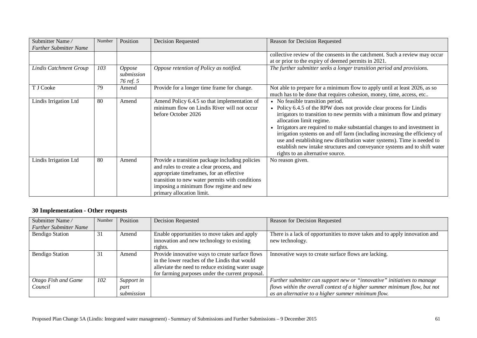| Submitter Name/<br><b>Further Submitter Name</b> | Number | Position                                        | Decision Requested                                                                                                                                                                                                                                                | Reason for Decision Requested                                                                                                                                                                                                                                                                                                                                                                                                                                                                                                                                      |
|--------------------------------------------------|--------|-------------------------------------------------|-------------------------------------------------------------------------------------------------------------------------------------------------------------------------------------------------------------------------------------------------------------------|--------------------------------------------------------------------------------------------------------------------------------------------------------------------------------------------------------------------------------------------------------------------------------------------------------------------------------------------------------------------------------------------------------------------------------------------------------------------------------------------------------------------------------------------------------------------|
|                                                  |        |                                                 |                                                                                                                                                                                                                                                                   | collective review of the consents in the catchment. Such a review may occur<br>at or prior to the expiry of deemed permits in 2021.                                                                                                                                                                                                                                                                                                                                                                                                                                |
| Lindis Catchment Group                           | 103    | <i><b>Oppose</b></i><br>submission<br>76 ref. 5 | Oppose retention of Policy as notified.                                                                                                                                                                                                                           | The further submitter seeks a longer transition period and provisions.                                                                                                                                                                                                                                                                                                                                                                                                                                                                                             |
| T J Cooke                                        | 79     | Amend                                           | Provide for a longer time frame for change.                                                                                                                                                                                                                       | Not able to prepare for a minimum flow to apply until at least 2026, as so<br>much has to be done that requires cohesion, money, time, access, etc                                                                                                                                                                                                                                                                                                                                                                                                                 |
| Lindis Irrigation Ltd                            | 80     | Amend                                           | Amend Policy 6.4.5 so that implementation of<br>minimum flow on Lindis River will not occur<br>before October 2026                                                                                                                                                | • No feasible transition period.<br>Policy 6.4.5 of the RPW does not provide clear process for Lindis<br>irrigators to transition to new permits with a minimum flow and primary<br>allocation limit regime.<br>Irrigators are required to make substantial changes to and investment in<br>irrigation systems on and off farm (including increasing the efficiency of<br>use and establishing new distribution water systems). Time is needed to<br>establish new intake structures and conveyance systems and to shift water<br>rights to an alternative source. |
| Lindis Irrigation Ltd                            | 80     | Amend                                           | Provide a transition package including policies<br>and rules to create a clear process, and<br>appropriate timeframes, for an effective<br>transition to new water permits with conditions<br>imposing a minimum flow regime and new<br>primary allocation limit. | No reason given.                                                                                                                                                                                                                                                                                                                                                                                                                                                                                                                                                   |

#### **30 Implementation - Other requests**

| Submitter Name/<br><b>Further Submitter Name</b> | Number | Position                         | <b>Decision Requested</b>                                                                                                                                                                                 | Reason for Decision Requested                                                                                                                                                                              |
|--------------------------------------------------|--------|----------------------------------|-----------------------------------------------------------------------------------------------------------------------------------------------------------------------------------------------------------|------------------------------------------------------------------------------------------------------------------------------------------------------------------------------------------------------------|
| <b>Bendigo Station</b>                           | 31     | Amend                            | Enable opportunities to move takes and apply<br>innovation and new technology to existing<br>rights.                                                                                                      | There is a lack of opportunities to move takes and to apply innovation and<br>new technology.                                                                                                              |
| <b>Bendigo Station</b>                           | 31     | Amend                            | Provide innovative ways to create surface flows<br>in the lower reaches of the Lindis that would<br>alleviate the need to reduce existing water usage<br>for farming purposes under the current proposal. | Innovative ways to create surface flows are lacking.                                                                                                                                                       |
| Otago Fish and Game<br>Council                   | 102    | Support in<br>part<br>submission |                                                                                                                                                                                                           | Further submitter can support new or "innovative" initiatives to manage<br>flows within the overall context of a higher summer minimum flow, but not<br>as an alternative to a higher summer minimum flow. |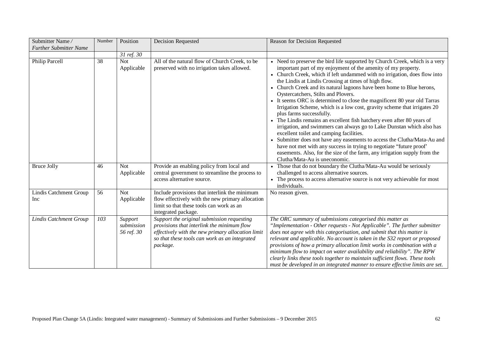| Submitter Name/<br><b>Further Submitter Name</b> | Number | Position                            | <b>Decision Requested</b>                                                                                                                                                                                  | Reason for Decision Requested                                                                                                                                                                                                                                                                                                                                                                                                                                                                                                                                                                                                                                                                                                                                                                                                                                                                                                                                                                                                                   |
|--------------------------------------------------|--------|-------------------------------------|------------------------------------------------------------------------------------------------------------------------------------------------------------------------------------------------------------|-------------------------------------------------------------------------------------------------------------------------------------------------------------------------------------------------------------------------------------------------------------------------------------------------------------------------------------------------------------------------------------------------------------------------------------------------------------------------------------------------------------------------------------------------------------------------------------------------------------------------------------------------------------------------------------------------------------------------------------------------------------------------------------------------------------------------------------------------------------------------------------------------------------------------------------------------------------------------------------------------------------------------------------------------|
|                                                  |        | 31 ref. 30                          |                                                                                                                                                                                                            |                                                                                                                                                                                                                                                                                                                                                                                                                                                                                                                                                                                                                                                                                                                                                                                                                                                                                                                                                                                                                                                 |
| Philip Parcell                                   | 38     | <b>Not</b><br>Applicable            | All of the natural flow of Church Creek, to be<br>preserved with no irrigation takes allowed.                                                                                                              | • Need to preserve the bird life supported by Church Creek, which is a very<br>important part of my enjoyment of the amenity of my property.<br>• Church Creek, which if left undammed with no irrigation, does flow into<br>the Lindis at Lindis Crossing at times of high flow.<br>Church Creek and its natural lagoons have been home to Blue herons,<br>Oystercatchers, Stilts and Plovers.<br>• It seems ORC is determined to close the magnificent 80 year old Tarras<br>Irrigation Scheme, which is a low cost, gravity scheme that irrigates 20<br>plus farms successfully.<br>The Lindis remains an excellent fish hatchery even after 80 years of<br>irrigation, and swimmers can always go to Lake Dunstan which also has<br>excellent toilet and camping facilities.<br>Submitter does not have any easements to access the Clutha/Mata-Au and<br>have not met with any success in trying to negotiate "future proof"<br>easements. Also, for the size of the farm, any irrigation supply from the<br>Clutha/Mata-Au is uneconomic. |
| <b>Bruce Jolly</b>                               | 46     | <b>Not</b><br>Applicable            | Provide an enabling policy from local and<br>central government to streamline the process to<br>access alternative source.                                                                                 | • Those that do not boundary the Clutha/Mata-Au would be seriously<br>challenged to access alternative sources.<br>• The process to access alternative source is not very achievable for most<br>individuals.                                                                                                                                                                                                                                                                                                                                                                                                                                                                                                                                                                                                                                                                                                                                                                                                                                   |
| Lindis Catchment Group<br>Inc                    | 56     | <b>Not</b><br>Applicable            | Include provisions that interlink the minimum<br>flow effectively with the new primary allocation<br>limit so that these tools can work as an<br>integrated package.                                       | No reason given.                                                                                                                                                                                                                                                                                                                                                                                                                                                                                                                                                                                                                                                                                                                                                                                                                                                                                                                                                                                                                                |
| <b>Lindis Catchment Group</b>                    | 103    | Support<br>submission<br>56 ref. 30 | Support the original submission requesting<br>provisions that interlink the minimum flow<br>effectively with the new primary allocation limit<br>so that these tools can work as an integrated<br>package. | The ORC summary of submissions categorised this matter as<br>"Implementation - Other requests - Not Applicable". The further submitter<br>does not agree with this categorisation, and submit that this matter is<br>relevant and applicable. No account is taken in the S32 report or proposed<br>provisions of how a primary allocation limit works in combination with a<br>minimum flow to impact on water availability and reliability". The RPW<br>clearly links these tools together to maintain sufficient flows. These tools<br>must be developed in an integrated manner to ensure effective limits are set.                                                                                                                                                                                                                                                                                                                                                                                                                          |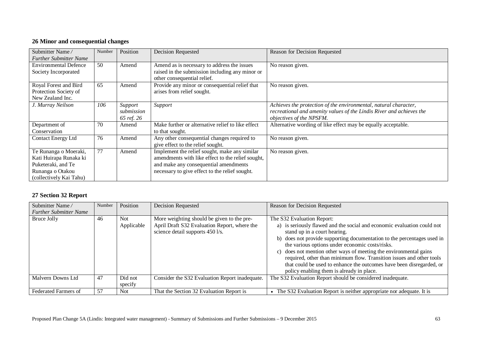## **26 Minor and consequential changes**

| Submitter Name/               | Number | Position   | <b>Decision Requested</b>                         | Reason for Decision Requested                                        |
|-------------------------------|--------|------------|---------------------------------------------------|----------------------------------------------------------------------|
| <b>Further Submitter Name</b> |        |            |                                                   |                                                                      |
| <b>Environmental Defence</b>  | 50     | Amend      | Amend as is necessary to address the issues       | No reason given.                                                     |
| Society Incorporated          |        |            | raised in the submission including any minor or   |                                                                      |
|                               |        |            | other consequential relief.                       |                                                                      |
| Royal Forest and Bird         | 65     | Amend      | Provide any minor or consequential relief that    | No reason given.                                                     |
| Protection Society of         |        |            | arises from relief sought.                        |                                                                      |
| New Zealand Inc.              |        |            |                                                   |                                                                      |
| J. Murray Neilson             | 106    | Support    | Support                                           | Achieves the protection of the environmental, natural character,     |
|                               |        | submission |                                                   | recreational and amenity values of the Lindis River and achieves the |
|                               |        | 65 ref. 26 |                                                   | objectives of the NPSFM.                                             |
| Department of                 | 70     | Amend      | Make further or alternative relief to like effect | Alternative wording of like effect may be equally acceptable.        |
| Conservation                  |        |            | to that sought.                                   |                                                                      |
| <b>Contact Energy Ltd</b>     | 76     | Amend      | Any other consequential changes required to       | No reason given.                                                     |
|                               |        |            | give effect to the relief sought.                 |                                                                      |
| Te Runanga o Moeraki,         | 77     | Amend      | Implement the relief sought, make any similar     | No reason given.                                                     |
| Kati Huirapa Runaka ki        |        |            | amendments with like effect to the relief sought, |                                                                      |
| Puketeraki, and Te            |        |            | and make any consequential amendments             |                                                                      |
| Runanga o Otakou              |        |            | necessary to give effect to the relief sought.    |                                                                      |
| (collectively Kai Tahu)       |        |            |                                                   |                                                                      |

# **27 Section 32 Report**

| Submitter Name/               | Number | Position                 | Decision Requested                                                                                                             | Reason for Decision Requested                                                                                                                                                                                                                                                                                                                                                                                                                                                                                                                      |
|-------------------------------|--------|--------------------------|--------------------------------------------------------------------------------------------------------------------------------|----------------------------------------------------------------------------------------------------------------------------------------------------------------------------------------------------------------------------------------------------------------------------------------------------------------------------------------------------------------------------------------------------------------------------------------------------------------------------------------------------------------------------------------------------|
| <b>Further Submitter Name</b> |        |                          |                                                                                                                                |                                                                                                                                                                                                                                                                                                                                                                                                                                                                                                                                                    |
| Bruce Jolly                   | 46     | <b>Not</b><br>Applicable | More weighting should be given to the pre-<br>April Draft S32 Evaluation Report, where the<br>science detail supports 450 l/s. | The S32 Evaluation Report:<br>a) is seriously flawed and the social and economic evaluation could not<br>stand up in a court hearing.<br>b) does not provide supporting documentation to the percentages used in<br>the various options under economic costs/risks.<br>does not mention other ways of meeting the environmental gains<br>$\mathbf{c}$<br>required, other than minimum flow. Transition issues and other tools<br>that could be used to enhance the outcomes have been disregarded, or<br>policy enabling them is already in place. |
| Malvern Downs Ltd             | 47     | Did not<br>specify       | Consider the S32 Evaluation Report inadequate.                                                                                 | The S32 Evaluation Report should be considered inadequate.                                                                                                                                                                                                                                                                                                                                                                                                                                                                                         |
| <b>Federated Farmers of</b>   | 57     | <b>Not</b>               | That the Section 32 Evaluation Report is                                                                                       | The S32 Evaluation Report is neither appropriate nor adequate. It is                                                                                                                                                                                                                                                                                                                                                                                                                                                                               |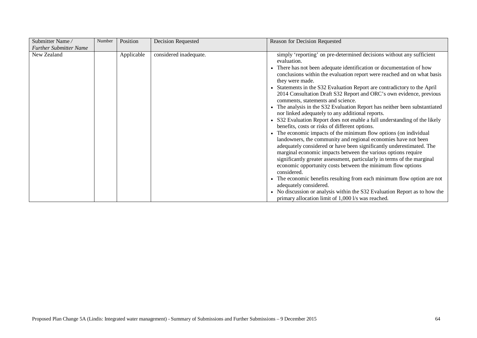| Submitter Name/               | Number | Position   | <b>Decision Requested</b> | Reason for Decision Requested                                                                                                                                                                                                                                                                                                                                                                                                                                                                                                                                                                                                                                                                                                                                                                                                                                                                                                                                                                                                                                                                                                                                                                                                                                                                                                                                                                  |
|-------------------------------|--------|------------|---------------------------|------------------------------------------------------------------------------------------------------------------------------------------------------------------------------------------------------------------------------------------------------------------------------------------------------------------------------------------------------------------------------------------------------------------------------------------------------------------------------------------------------------------------------------------------------------------------------------------------------------------------------------------------------------------------------------------------------------------------------------------------------------------------------------------------------------------------------------------------------------------------------------------------------------------------------------------------------------------------------------------------------------------------------------------------------------------------------------------------------------------------------------------------------------------------------------------------------------------------------------------------------------------------------------------------------------------------------------------------------------------------------------------------|
| <b>Further Submitter Name</b> |        |            |                           |                                                                                                                                                                                                                                                                                                                                                                                                                                                                                                                                                                                                                                                                                                                                                                                                                                                                                                                                                                                                                                                                                                                                                                                                                                                                                                                                                                                                |
| New Zealand                   |        | Applicable | considered inadequate.    | simply 'reporting' on pre-determined decisions without any sufficient<br>evaluation.<br>• There has not been adequate identification or documentation of how<br>conclusions within the evaluation report were reached and on what basis<br>they were made.<br>Statements in the S32 Evaluation Report are contradictory to the April<br>2014 Consultation Draft S32 Report and ORC's own evidence, previous<br>comments, statements and science.<br>The analysis in the S32 Evaluation Report has neither been substantiated<br>nor linked adequately to any additional reports.<br>S32 Evaluation Report does not enable a full understanding of the likely<br>benefits, costs or risks of different options.<br>The economic impacts of the minimum flow options (on individual<br>landowners, the community and regional economies have not been<br>adequately considered or have been significantly underestimated. The<br>marginal economic impacts between the various options require<br>significantly greater assessment, particularly in terms of the marginal<br>economic opportunity costs between the minimum flow options<br>considered.<br>• The economic benefits resulting from each minimum flow option are not<br>adequately considered.<br>• No discussion or analysis within the S32 Evaluation Report as to how the<br>primary allocation limit of 1,000 l/s was reached. |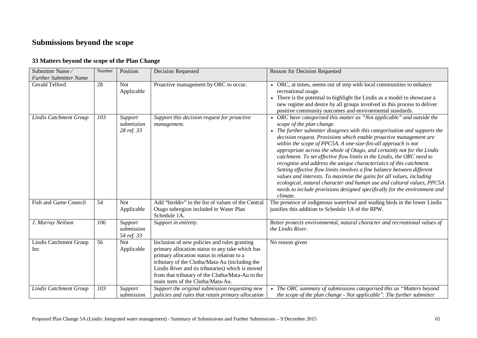# **Submissions beyond the scope**

## **33 Matters beyond the scope of the Plan Change**

| Submitter Name/<br><b>Further Submitter Name</b> | Number | Position                            | <b>Decision Requested</b>                                                                                                                                                                                                                                                                                                                   | Reason for Decision Requested                                                                                                                                                                                                                                                                                                                                                                                                                                                                                                                                                                                                                                                                                                                                                                                                                                               |
|--------------------------------------------------|--------|-------------------------------------|---------------------------------------------------------------------------------------------------------------------------------------------------------------------------------------------------------------------------------------------------------------------------------------------------------------------------------------------|-----------------------------------------------------------------------------------------------------------------------------------------------------------------------------------------------------------------------------------------------------------------------------------------------------------------------------------------------------------------------------------------------------------------------------------------------------------------------------------------------------------------------------------------------------------------------------------------------------------------------------------------------------------------------------------------------------------------------------------------------------------------------------------------------------------------------------------------------------------------------------|
| Gerald Telford                                   | 28     | <b>Not</b><br>Applicable            | Proactive management by ORC to occur.                                                                                                                                                                                                                                                                                                       | • ORC, at times, seems out of step with local communities to enhance<br>recreational usage.<br>• There is the potential to highlight the Lindis as a model to showcase a<br>new regime and desire by all groups involved in this process to deliver<br>positive community outcomes and environmental standards.                                                                                                                                                                                                                                                                                                                                                                                                                                                                                                                                                             |
| <b>Lindis Catchment Group</b>                    | 103    | Support<br>submission<br>28 ref. 33 | Support this decision request for proactive<br>management.                                                                                                                                                                                                                                                                                  | • ORC have categorised this matter as "Not applicable" and outside the<br>scope of the plan change.<br>The further submitter disagrees with this categorisation and supports the<br>decision request. Provisions which enable proactive management are<br>within the scope of PPC5A. A one-size-fits-all approach is not<br>appropriate across the whole of Otago, and certainly not for the Lindis<br>catchment. To set effective flow limits in the Lindis, the ORC need to<br>recognise and address the unique characteristics of this catchment.<br>Setting effective flow limits involves a fine balance between different<br>values and interests. To maximise the gains for all values, including<br>ecological, natural character and human use and cultural values, PPC5A<br>needs to include provisions designed specifically for the environment and<br>climate. |
| Fish and Game Council                            | 54     | <b>Not</b><br>Applicable            | Add "birddiv" to the list of values of the Central<br>Otago subregion included in Water Plan<br>Schedule 1A.                                                                                                                                                                                                                                | The presence of indigenous waterfowl and wading birds in the lower Lindis<br>justifies this addition to Schedule 1A of the RPW.                                                                                                                                                                                                                                                                                                                                                                                                                                                                                                                                                                                                                                                                                                                                             |
| J. Murray Neilson                                | 106    | Support<br>submission<br>54 ref. 33 | Support in entirety.                                                                                                                                                                                                                                                                                                                        | Better protects environmental, natural character and recreational values of<br>the Lindis River.                                                                                                                                                                                                                                                                                                                                                                                                                                                                                                                                                                                                                                                                                                                                                                            |
| Lindis Catchment Group<br>Inc                    | 56     | <b>Not</b><br>Applicable            | Inclusion of new policies and rules granting<br>primary allocation status to any take which has<br>primary allocation status in relation to a<br>tributary of the Clutha/Mata-Au (including the<br>Lindis River and its tributaries) which is moved<br>from that tributary of the Clutha/Mata-Au to the<br>main stem of the Clutha/Mata-Au. | No reason given                                                                                                                                                                                                                                                                                                                                                                                                                                                                                                                                                                                                                                                                                                                                                                                                                                                             |
| <b>Lindis Catchment Group</b>                    | 103    | Support<br>submission               | Support the original submission requesting new<br>policies and rules that retain primary allocation                                                                                                                                                                                                                                         | • The ORC summary of submissions categorised this as "Matters beyond<br>the scope of the plan change - Not applicable". The further submitter                                                                                                                                                                                                                                                                                                                                                                                                                                                                                                                                                                                                                                                                                                                               |